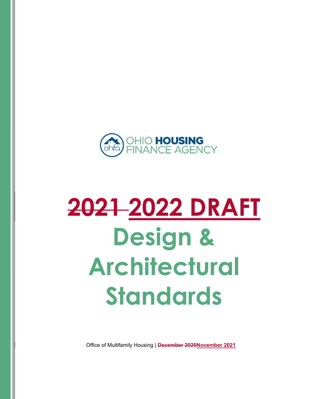

# **2021 2022 DRAFT Design & Architectural Standards**

Office of Multifamily Housing | **December 2020November 2021**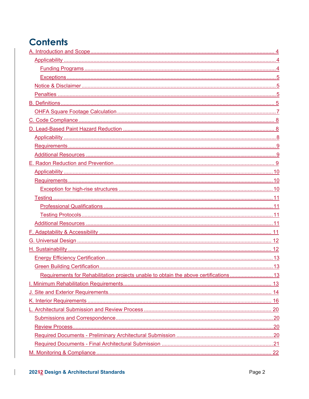# **Contents**

| Requirements for Rehabilitation projects unable to obtain the above certifications13 |  |
|--------------------------------------------------------------------------------------|--|
|                                                                                      |  |
|                                                                                      |  |
|                                                                                      |  |
|                                                                                      |  |
|                                                                                      |  |
|                                                                                      |  |
|                                                                                      |  |
|                                                                                      |  |
|                                                                                      |  |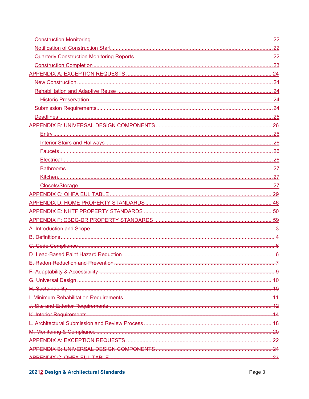| $-11$ |
|-------|
|       |
|       |
|       |
|       |
|       |
|       |
|       |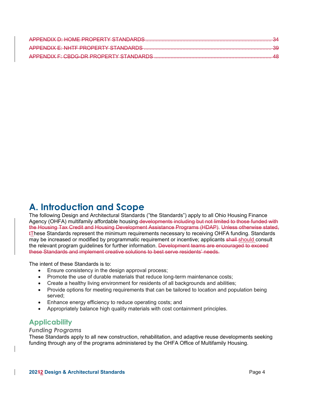| ADDENINIY D: HOME DRODERTY STANDARDS                                                                                                                                                                                                                                                                                                            |  |
|-------------------------------------------------------------------------------------------------------------------------------------------------------------------------------------------------------------------------------------------------------------------------------------------------------------------------------------------------|--|
| ADDENINIY E: NHTE DRODERTY STANDARDS                                                                                                                                                                                                                                                                                                            |  |
| ADDENNIY E: CRNC_NR DRODERTY STANNARNS<br><u> 1989 - Johann Stoff, amerikansk politiker (* 1908)</u><br>$\mathbf{X} = \mathbf{X}$ , and the contract of the contract of the contract of the contract of the contract of the contract of the contract of the contract of the contract of the contract of the contract of the contract of the con |  |

# **A. Introduction and Scope**

The following Design and Architectural Standards ("the Standards") apply to all Ohio Housing Finance Agency (OHFA) multifamily affordable housing developments including but not limited to those funded with the Housing Tax Credit and Housing Development Assistance Programs (HDAP). Unless otherwise stated, tThese Standards represent the minimum requirements necessary to receiving OHFA funding. Standards may be increased or modified by programmatic requirement or incentive; applicants shall-should consult the relevant program guidelines for further information. Development teams are encouraged to exceed these Standards and implement creative solutions to best serve residents' needs.

The intent of these Standards is to:

- Ensure consistency in the design approval process;
- Promote the use of durable materials that reduce long-term maintenance costs;
- Create a healthy living environment for residents of all backgrounds and abilities;
- Provide options for meeting requirements that can be tailored to location and population being served;
- Enhance energy efficiency to reduce operating costs; and
- Appropriately balance high quality materials with cost containment principles.

# **Applicability**

## *Funding Programs*

These Standards apply to all new construction, rehabilitation, and adaptive reuse developments seeking funding through any of the programs administered by the OHFA Office of Multifamily Housing.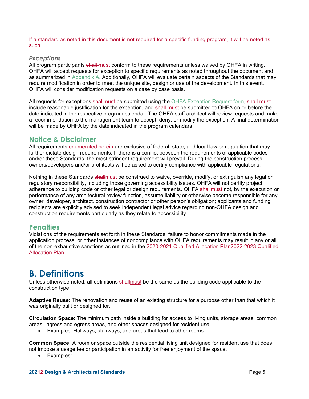If a standard as noted in this document is not required for a specific funding program, it will be noted as such.

#### *Exceptions*

All program participants shall-must conform to these requirements unless waived by OHFA in writing. OHFA will accept requests for exception to specific requirements as noted throughout the document and as summarized in Appendix A. Additionally, OHFA will evaluate certain aspects of the Standards that may require modification in order to meet the unique site, design or use of the development. In this event, OHFA will consider modification requests on a case by case basis.

All requests for exceptions shallmust be submitted using the OHFA Exception Request form, shall-must include reasonable justification for the exception, and shall-must be submitted to OHFA on or before the date indicated in the respective program calendar. The OHFA staff architect will review requests and make a recommendation to the management team to accept, deny, or modify the exception. A final determination will be made by OHFA by the date indicated in the program calendars.

# **Notice & Disclaimer**

All requirements enumerated herein-are exclusive of federal, state, and local law or regulation that may further dictate design requirements. If there is a conflict between the requirements of applicable codes and/or these Standards, the most stringent requirement will prevail. During the construction process, owners/developers and/or architects will be asked to certify compliance with applicable regulations.

Nothing in these Standards shallmust be construed to waive, override, modify, or extinguish any legal or regulatory responsibility, including those governing accessibility issues. OHFA will not certify project adherence to building code or other legal or design requirements. OHFA shallmust not, by the execution or performance of any architectural review function, assume liability or otherwise become responsible for any owner, developer, architect, construction contractor or other person's obligation; applicants and funding recipients are explicitly advised to seek independent legal advice regarding non-OHFA design and construction requirements particularly as they relate to accessibility.

# **Penalties**

Violations of the requirements set forth in these Standards, failure to honor commitments made in the application process, or other instances of noncompliance with OHFA requirements may result in any or all of the non-exhaustive sanctions as outlined in the 2020-2021 Qualified Allocation Plan2022-2023 Qualified Allocation Plan.

# **B. Definitions**

Unless otherwise noted, all definitions shallmust be the same as the building code applicable to the construction type.

**Adaptive Reuse:** The renovation and reuse of an existing structure for a purpose other than that which it was originally built or designed for.

**Circulation Space:** The minimum path inside a building for access to living units, storage areas, common areas, ingress and egress areas, and other spaces designed for resident use.

Examples: Hallways, stairways, and areas that lead to other rooms

**Common Space:** A room or space outside the residential living unit designed for resident use that does not impose a usage fee or participation in an activity for free enjoyment of the space.

• Examples: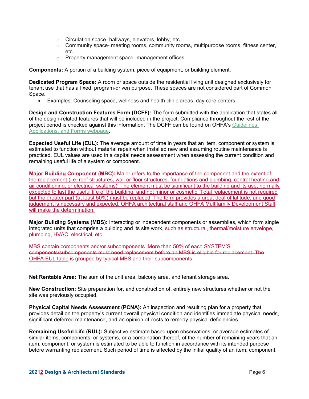- o Circulation space- hallways, elevators, lobby, etc.
- $\circ$  Community space- meeting rooms, community rooms, multipurpose rooms, fitness center, etc.
- o Property management space- management offices

**Components:** A portion of a building system, piece of equipment, or building element.

**Dedicated Program Space:** A room or space outside the residential living unit designed exclusively for tenant use that has a fixed, program-driven purpose. These spaces are not considered part of Common Space.

Examples: Counseling space, wellness and health clinic areas, day care centers

**Design and Construction Features Form (DCFF):** The form submitted with the application that states all of the design-related features that will be included in the project. Compliance throughout the rest of the project period is checked against this information. The DCFF can be found on OHFA's Guidelines, Applications, and Forms webpage.

**Expected Useful Life (EUL):** The average amount of time in years that an item, component or system is estimated to function without material repair when installed new and assuming routine maintenance is practiced. EUL values are used in a capital needs assessment when assessing the current condition and remaining useful life of a system or component.

**Major Building Component (MBC):** Major refers to the importance of the component and the extent of the replacement (i.e. roof structures, wall or floor structures, foundations and plumbing, central heating and air conditioning, or electrical systems). The element must be significant to the building and its use, normally expected to last the useful life of the building, and not minor or cosmetic. Total replacement is not required but the greater part (at least 50%) must be replaced. The term provides a great deal of latitude, and good judgement is necessary and expected. OHFA architectural staff and OHFA Multifamily Development Staff will make the determination.

**Major Building Systems (MBS):** Interacting or independent components or assemblies, which form single integrated units that comprise a building and its site work, such as structural, thermal/moisture envelope, plumbing, HVAC, electrical, etc.

MBS contain components and/or subcomponents. More than 50% of each SYSTEM'S components/subcomponents must need replacement before an MBS is eligible for replacement. The OHFA EUL table is grouped by typical MBS and their subcomponents.

**Net Rentable Area:** The sum of the unit area, balcony area, and tenant storage area.

**New Construction:** Site preparation for, and construction of, entirely new structures whether or not the site was previously occupied.

**Physical Capital Needs Assessment (PCNA):** An inspection and resulting plan for a property that provides detail on the property's current overall physical condition and identifies immediate physical needs, significant deferred maintenance, and an opinion of costs to remedy physical deficiencies.

**Remaining Useful Life (RUL):** Subjective estimate based upon observations, or average estimates of similar items, components, or systems, or a combination thereof, of the number of remaining years that an item, component, or system is estimated to be able to function in accordance with its intended purpose before warranting replacement. Such period of time is affected by the initial quality of an item, component,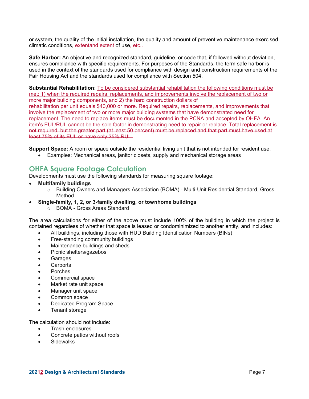or system, the quality of the initial installation, the quality and amount of preventive maintenance exercised, climatic conditions, extentand extent of use, etc..

**Safe Harbor:** An objective and recognized standard, guideline, or code that, if followed without deviation, ensures compliance with specific requirements. For purposes of the Standards, the term safe harbor is used in the context of the standards used for compliance with design and construction requirements of the Fair Housing Act and the standards used for compliance with Section 504.

**Substantial Rehabilitation:** To be considered substantial rehabilitation the following conditions must be met: 1) when the required repairs, replacements, and improvements involve the replacement of two or more major building components, and 2) the hard construction dollars of rehabilitation per unit equals \$40,000 or more. Required repairs, replacements, and improvements that involve the replacement of two or more major building systems that have demonstrated need for replacement. The need to replace items must be documented in the PCNA and accepted by OHFA. An item's EUL/RUL cannot be the sole factor in demonstrating need to repair or replace. Total replacement is not required, but the greater part (at least 50 percent) must be replaced and that part must have used at least 75% of its EUL or have only 25% RUL.

**Support Space:** A room or space outside the residential living unit that is not intended for resident use.

Examples: Mechanical areas, janitor closets, supply and mechanical storage areas

# **OHFA Square Footage Calculation**

Developments must use the following standards for measuring square footage:

- **Multifamily buildings**
	- o Building Owners and Managers Association (BOMA) Multi-Unit Residential Standard, Gross Method
- **Single-family, 1, 2, or 3-family dwelling, or townhome buildings**
	- o BOMA Gross Areas Standard

The area calculations for either of the above must include 100% of the building in which the project is contained regardless of whether that space is leased or condominimized to another entity, and includes:

- All buildings, including those with HUD Building Identification Numbers (BINs)
- Free-standing community buildings
- Maintenance buildings and sheds
- Picnic shelters/gazebos
- Garages
- **Carports**
- Porches
- Commercial space
- Market rate unit space
- Manager unit space
- Common space
- Dedicated Program Space
- Tenant storage

The calculation should not include:

- Trash enclosures
- Concrete patios without roofs
- **Sidewalks**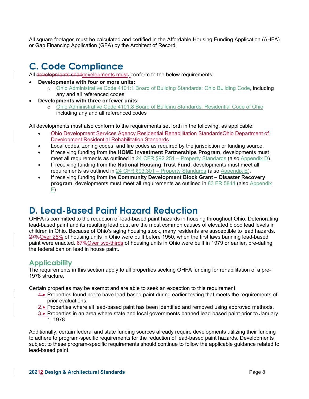All square footages must be calculated and certified in the Affordable Housing Funding Application (AHFA) or Gap Financing Application (GFA) by the Architect of Record.

# **C. Code Compliance**

All developments shalldevelopments must-conform to the below requirements:

- **Developments with four or more units:** 
	- o Ohio Administrative Code 4101:1 Board of Building Standards: Ohio Building Code, including any and all referenced codes
- **Developments with three or fewer units:** 
	- o Ohio Administrative Code 4101:8 Board of Building Standards: Residential Code of Ohio, including any and all referenced codes

All developments must also conform to the requirements set forth in the following, as applicable:

- Ohio Development Services Agency Residential Rehabilitation StandardsOhio Department of Development Residential Rehabilitation Standards
- Local codes, zoning codes, and fire codes as required by the jurisdiction or funding source.
- If receiving funding from the **HOME Investment Partnerships Program**, developments must meet all requirements as outlined in 24 CFR §92.251 – Property Standards (also Appendix D).
- If receiving funding from the **National Housing Trust Fund**, developments must meet all requirements as outlined in 24 CFR §93.301 – Property Standards (also Appendix E).
- If receiving funding from the **Community Development Block Grant Disaster Recovery program**, developments must meet all requirements as outlined in 83 FR 5844 (also Appendix  $E$ ).

# **D. Lead-Based Paint Hazard Reduction**

OHFA is committed to the reduction of lead-based paint hazards in housing throughout Ohio. Deteriorating lead-based paint and its resulting lead dust are the most common causes of elevated blood lead levels in children in Ohio. Because of Ohio's aging housing stock, many residents are susceptible to lead hazards. 27%Over 25% of housing units in Ohio were built before 1950, when the first laws banning lead-based paint were enacted. 67%Over two-thirds of housing units in Ohio were built in 1979 or earlier, pre-dating the federal ban on lead in house paint.

# **Applicability**

The requirements in this section apply to all properties seeking OHFA funding for rehabilitation of a pre-1978 structure.

Certain properties may be exempt and are able to seek an exception to this requirement:

- 1. Properties found not to have lead-based paint during earlier testing that meets the requirements of prior evaluations.
- 2. Properties where all lead-based paint has been identified and removed using approved methods.
- 3. Properties in an area where state and local governments banned lead-based paint prior to January 1, 1978.

Additionally, certain federal and state funding sources already require developments utilizing their funding to adhere to program-specific requirements for the reduction of lead-based paint hazards. Developments subject to these program-specific requirements should continue to follow the applicable guidance related to lead-based paint.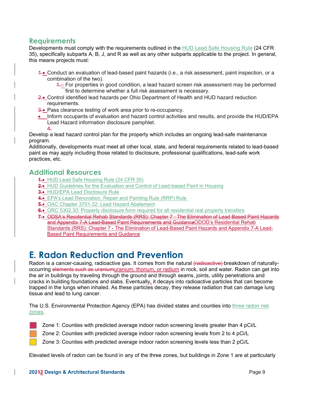# **Requirements**

Developments must comply with the requirements outlined in the HUD Lead Safe Housing Rule (24 CFR 35), specifically subparts A, B, J, and R as well as any other subparts applicable to the project. In general, this means projects must:

- 1. Conduct an evaluation of lead-based paint hazards (i.e., a risk assessment, paint inspection, or a combination of the two).
	- $4_{\odot}$  For properties in good condition, a lead hazard screen risk assessment may be performed first to determine whether a full risk assessment is necessary.
- 2. Control identified lead hazards per Ohio Department of Health and HUD hazard reduction requirements.
- **3.•** Pass clearance testing of work area prior to re-occupancy.
- Inform occupants of evaluation and hazard control activities and results, and provide the HUD/EPA Lead Hazard information disclosure pamphlet. 4.

Develop a lead hazard control plan for the property which includes an ongoing lead-safe maintenance program.

Additionally, developments must meet all other local, state, and federal requirements related to lead-based paint as may apply including those related to disclosure, professional qualifications, lead-safe work practices, etc.

# **Additional Resources**

- **1.** HUD Lead Safe Housing Rule (24 CFR 35)
- 2. HUD Guidelines for the Evaluation and Control of Lead-based Paint in Housing
- **3.** HUD/EPA Lead Disclosure Rule
- **4.** EPA's Lead Renovation, Repair and Painting Rule (RRP) Rule
- **5.** OAC Chapter 3701-32: Lead Hazard Abatement
- **6.** ORC 5302.30: Property disclosure form required for all residential real property transfers
- **7.** ODSA's Residential Rehab Standards (RRS): Chapter 7 The Elimination of Lead-Based Paint Hazards and Appendix 7-A Lead-Based Paint Requirements and GuidanceODOD's Residential Rehab Standards (RRS): Chapter 7 - The Elimination of Lead-Based Paint Hazards and Appendix 7-A Lead-Based Paint Requirements and Guidance

# **E. Radon Reduction and Prevention**

Radon is a cancer-causing, radioactive gas. It comes from the natural (radioactive) breakdown of naturallyoccurring elements such as uraniumuranium, thorium, or radium in rock, soil and water. Radon can get into the air in buildings by traveling through the ground and through seams, joints, utility penetrations and cracks in building foundations and slabs. Eventually, it decays into radioactive particles that can become trapped in the lungs when inhaled. As these particles decay, they release radiation that can damage lung tissue and lead to lung cancer.

The U.S. Environmental Protection Agency (EPA) has divided states and counties into three radon risk zones.

- Zone 1: Counties with predicted average indoor radon screening levels greater than 4 pCi/L
- Zone 2: Counties with predicted average indoor radon screening levels from 2 to 4 pCi/L
- Zone 3: Counties with predicted average indoor radon screening levels less than 2 pCi/L

Elevated levels of radon can be found in any of the three zones, but buildings in Zone 1 are at particularly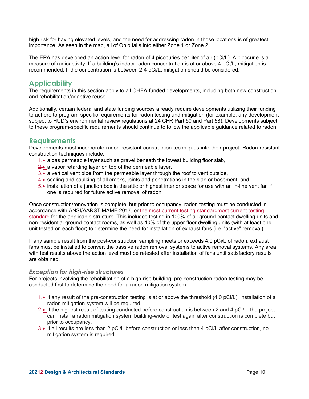high risk for having elevated levels, and the need for addressing radon in those locations is of greatest importance. As seen in the map, all of Ohio falls into either Zone 1 or Zone 2.

The EPA has developed an action level for radon of 4 picocuries per liter of air (pCi/L). A picocurie is a measure of radioactivity. If a building's indoor radon concentration is at or above 4 pCi/L, mitigation is recommended. If the concentration is between 2-4 pCi/L, mitigation should be considered.

# **Applicability**

The requirements in this section apply to all OHFA-funded developments, including both new construction and rehabilitation/adaptive reuse.

Additionally, certain federal and state funding sources already require developments utilizing their funding to adhere to program-specific requirements for radon testing and mitigation (for example, any development subject to HUD's environmental review regulations at 24 CFR Part 50 and Part 58). Developments subject to these program-specific requirements should continue to follow the applicable guidance related to radon.

# **Requirements**

Developments must incorporate radon-resistant construction techniques into their project. Radon-resistant construction techniques include:

- $\uparrow$  a gas permeable layer such as gravel beneath the lowest building floor slab,
- $2.$  a vapor retarding layer on top of the permeable layer,
- $\frac{3}{2}$  a vertical vent pipe from the permeable layer through the roof to vent outside,
- 4. sealing and caulking of all cracks, joints and penetrations in the slab or basement, and
- 5. installation of a junction box in the attic or highest interior space for use with an in-line vent fan if one is required for future active removal of radon.

Once construction/renovation is complete, but prior to occupancy, radon testing must be conducted in accordance with ANSI/AARST MAMF-2017, or the most current testing standardmost current testing standard for the applicable structure. This includes testing in 100% of all ground-contact dwelling units and non-residential ground-contact rooms, as well as 10% of the upper floor dwelling units (with at least one unit tested on each floor) to determine the need for installation of exhaust fans (i.e. "active" removal).

If any sample result from the post-construction sampling meets or exceeds 4.0 pCi/L of radon, exhaust fans must be installed to convert the passive radon removal systems to active removal systems. Any area with test results above the action level must be retested after installation of fans until satisfactory results are obtained.

## *Exception for high-rise structures*

For projects involving the rehabilitation of a high-rise building, pre-construction radon testing may be conducted first to determine the need for a radon mitigation system.

- 1. If any result of the pre-construction testing is at or above the threshold (4.0 pCi/L), installation of a radon mitigation system will be required.
- $2.$  If the highest result of testing conducted before construction is between 2 and 4 pCi/L, the project can install a radon mitigation system building-wide or test again after construction is complete but prior to occupancy.
- 3. If all results are less than 2 pCi/L before construction or less than 4 pCi/L after construction, no mitigation system is required.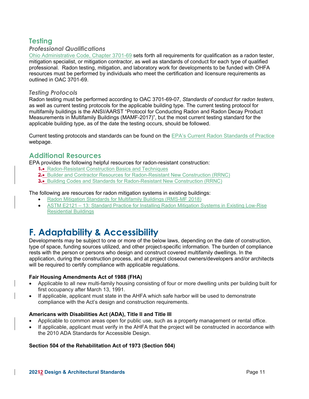# **Testing**

# *Professional Qualifications*

Ohio Administrative Code, Chapter 3701-69 sets forth all requirements for qualification as a radon tester, mitigation specialist, or mitigation contractor, as well as standards of conduct for each type of qualified professional. Radon testing, mitigation, and laboratory work for developments to be funded with OHFA resources must be performed by individuals who meet the certification and licensure requirements as outlined in OAC 3701-69.

## *Testing Protocols*

Radon testing must be performed according to OAC 3701-69-07, *Standards of conduct for radon testers*, as well as current testing protocols for the applicable building type. The current testing protocol for multifamily buildings is the ANSI/AARST "Protocol for Conducting Radon and Radon Decay Product Measurements in Multifamily Buildings (MAMF-2017)", but the most current testing standard for the applicable building type, as of the date the testing occurs, should be followed.

Current testing protocols and standards can be found on the EPA's Current Radon Standards of Practice webpage.

# **Additional Resources**

EPA provides the following helpful resources for radon-resistant construction:

- **1.** Radon-Resistant Construction Basics and Techniques
- **2.** Builder and Contractor Resources for Radon-Resistant New Construction (RRNC)
- **3.** Building Codes and Standards for Radon-Resistant New Construction (RRNC)

The following are resources for radon mitigation systems in existing buildings:

- Radon Mitigation Standards for Multifamily Buildings (RMS-MF 2018)
- ASTM E2121 13: Standard Practice for Installing Radon Mitigation Systems in Existing Low-Rise Residential Buildings

# **F. Adaptability & Accessibility**

Developments may be subject to one or more of the below laws, depending on the date of construction, type of space, funding sources utilized, and other project-specific information. The burden of compliance rests with the person or persons who design and construct covered multifamily dwellings. In the application, during the construction process, and at project closeout owners/developers and/or architects will be required to certify compliance with applicable regulations.

## **Fair Housing Amendments Act of 1988 (FHA)**

- Applicable to all new multi-family housing consisting of four or more dwelling units per building built for first occupancy after March 13, 1991.
- If applicable, applicant must state in the AHFA which safe harbor will be used to demonstrate compliance with the Act's design and construction requirements.

## **Americans with Disabilities Act (ADA), Title II and Title III**

- Applicable to common areas open for public use, such as a property management or rental office.
- If applicable, applicant must verify in the AHFA that the project will be constructed in accordance with the 2010 ADA Standards for Accessible Design.

## **Section 504 of the Rehabilitation Act of 1973 (Section 504)**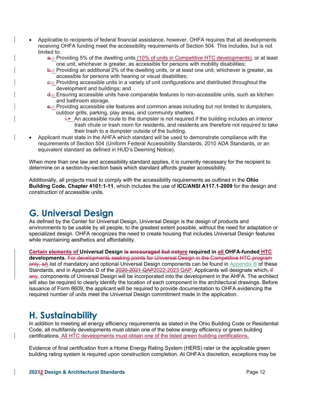- Applicable to recipients of federal financial assistance, however, OHFA requires that all developments receiving OHFA funding meet the accessibility requirements of Section 504. This includes, but is not limited to:
	- a.o Providing 5% of the dwelling units (10% of units in Competitive HTC developments), or at least one unit, whichever is greater, as accessible for persons with mobility disabilities;
	- $\theta_{\Gamma}$  Providing an additional 2% of the dwelling units, or at least one unit, whichever is greater, as accessible for persons with hearing or visual disabilities;
	- $\epsilon$  Providing accessible units in a variety of unit configurations and distributed throughout the development and buildings; and
	- d. Ensuring accessible units have comparable features to non-accessible units, such as kitchen and bathroom storage.
	- $e_{\rm c}$  Providing accessible site features and common areas including but not limited to dumpsters, outdoor grills, parking, play areas, and community shelters.
		- $\frac{1}{1}$ . An accessible route to the dumpster is not required if the building includes an interior trash chute or trash room for residents, and residents are therefore not required to take their trash to a dumpster outside of the building.
- Applicant must state in the AHFA which standard will be used to demonstrate compliance with the requirements of Section 504 (Uniform Federal Accessibility Standards, 2010 ADA Standards, or an equivalent standard as defined in HUD's Deeming Notice).

When more than one law and accessibility standard applies, it is currently necessary for the recipient to determine on a section-by-section basis which standard affords greater accessibility.

Additionally, all projects must to comply with the accessibility requirements as outlined in the **Ohio Building Code, Chapter 4101:1-11**, which includes the use of **ICC/ANSI A117.1-2009** for the design and construction of accessible units.

# **G. Universal Design**

As defined by the Center for Universal Design, Universal Design is the design of products and environments to be usable by all people, to the greatest extent possible, without the need for adaptation or specialized design. OHFA recognizes the need to create housing that includes Universal Design features while maintaining aesthetics and affordability.

**Certain elements of Universal Design is encouraged but notare required in all OHFA-funded HTC developments.** For developments seeking points for Universal Design in the Competitive HTC program only, aA list of mandatory and optional Universal Design components can be found in Appendix B of these Standards, and in Appendix D of the 2020-2021 QAP2022-2023 QAP. Applicants will designate which, if any, components of Universal Design will be incorporated into the development in the AHFA. The architect will also be required to clearly identify the location of each component in the architectural drawings. Before issuance of Form 8609, the applicant will be required to provide documentation to OHFA evidencing the required number of units meet the Universal Design commitment made in the application.

# **H. Sustainability**

In addition to meeting all energy efficiency requirements as stated in the Ohio Building Code or Residential Code, all multifamily developments must obtain one of the below energy efficiency or green building certifications. All HTC developments must obtain one of the listed green building certifications.

Evidence of final certification from a Home Energy Rating System (HERS) rater or the applicable green building rating system is required upon construction completion. At OHFA's discretion, exceptions may be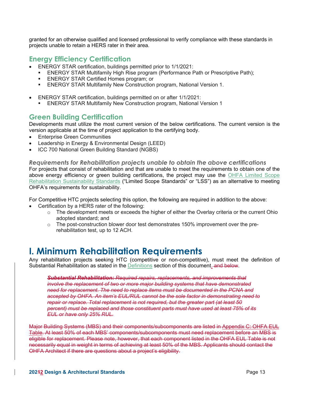granted for an otherwise qualified and licensed professional to verify compliance with these standards in projects unable to retain a HERS rater in their area.

# **Energy Efficiency Certification**

- ENERGY STAR certification, buildings permitted prior to 1/1/2021:
	- ENERGY STAR Multifamily High Rise program (Performance Path or Prescriptive Path);
	- **ENERGY STAR Certified Homes program; or**
	- ENERGY STAR Multifamily New Construction program, National Version 1.
- ENERGY STAR certification, buildings permitted on or after 1/1/2021:
	- ENERGY STAR Multifamily New Construction program, National Version 1

# **Green Building Certification**

Developments must utilize the most current version of the below certifications. The current version is the version applicable at the time of project application to the certifying body.

- Enterprise Green Communities
- Leadership in Energy & Environmental Design (LEED)
- ICC 700 National Green Building Standard (NGBS)

*Requirements for Rehabilitation projects unable to obtain the above certifications*  For projects that consist of rehabilitation and that are unable to meet the requirements to obtain one of the

above energy efficiency or green building certifications, the project may use the OHFA Limited Scope Rehabilitation Sustainability Standards ("Limited Scope Standards" or "LSS") as an alternative to meeting OHFA's requirements for sustainability.

For Competitive HTC projects selecting this option, the following are required in addition to the above:

- Certification by a HERS rater of the following:
	- $\circ$  The development meets or exceeds the higher of either the Overlay criteria or the current Ohio adopted standard; and
	- o The post-construction blower door test demonstrates 150% improvement over the prerehabilitation test, up to 12 ACH.

# **I. Minimum Rehabilitation Requirements**

Any rehabilitation projects seeking HTC (competitive or non-competitive), must meet the definition of Substantial Rehabilitation as stated in the Definitions section of this document. and below.

*Substantial Rehabilitation: Required repairs, replacements, and improvements that involve the replacement of two or more major building systems that have demonstrated need for replacement. The need to replace items must be documented in the PCNA and accepted by OHFA. An item's EUL/RUL cannot be the sole factor in demonstrating need to repair or replace. Total replacement is not required, but the greater part (at least 50 percent) must be replaced and those constituent parts must have used at least 75% of its EUL or have only 25% RUL.* 

Major Building Systems (MBS) and their components/subcomponents are listed in Appendix C: OHFA EUL Table. At least 50% of each MBS' components/subcomponents must need replacement before an MBS is eligible for replacement. Please note, however, that each component listed in the OHFA EUL Table is not necessarily equal in weight in terms of achieving at least 50% of the MBS. Applicants should contact the OHFA Architect if there are questions about a project's eligibility.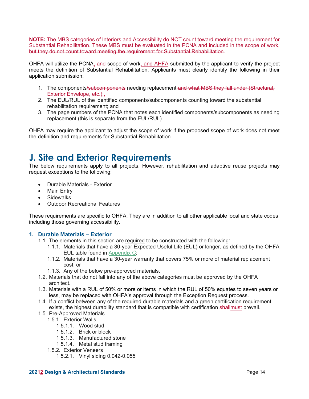**NOTE:** The MBS categories of Interiors and Accessibility do NOT count toward meeting the requirement for Substantial Rehabilitation. These MBS must be evaluated in the PCNA and included in the scope of work, but they do not count toward meeting the requirement for Substantial Rehabilitation.

OHFA will utilize the PCNA<sub>1</sub>-and scope of work, and AHFA submitted by the applicant to verify the project meets the definition of Substantial Rehabilitation. Applicants must clearly identify the following in their application submission:

- 1. The components/subcomponents needing replacement and what MBS they fall under (Structural, Exterior Envelope, etc.);
- 2. The EUL/RUL of the identified components/subcomponents counting toward the substantial rehabilitation requirement; and
- 3. The page numbers of the PCNA that notes each identified components/subcomponents as needing replacement (this is separate from the EUL/RUL).

OHFA may require the applicant to adjust the scope of work if the proposed scope of work does not meet the definition and requirements for Substantial Rehabilitation.

# **J. Site and Exterior Requirements**

The below requirements apply to all projects. However, rehabilitation and adaptive reuse projects may request exceptions to the following:

- Durable Materials Exterior
- Main Entry
- Sidewalks
- Outdoor Recreational Features

These requirements are specific to OHFA. They are in addition to all other applicable local and state codes, including those governing accessibility.

## **1. Durable Materials – Exterior**

- 1.1. The elements in this section are required to be constructed with the following:
	- 1.1.1. Materials that have a 30-year Expected Useful Life (EUL) or longer, as defined by the OHFA EUL table found in Appendix C;
	- 1.1.2. Materials that have a 30-year warranty that covers 75% or more of material replacement cost; or
	- 1.1.3. Any of the below pre-approved materials.
- 1.2. Materials that do not fall into any of the above categories must be approved by the OHFA architect.
- 1.3. Materials with a RUL of 50% or more or items in which the RUL of 50% equates to seven years or less, may be replaced with OHFA's approval through the Exception Request process.
- 1.4. If a conflict between any of the required durable materials and a green certification requirement exists, the highest durability standard that is compatible with certification shallmust prevail.
- 1.5. Pre-Approved Materials
	- 1.5.1. Exterior Walls
		- 1.5.1.1. Wood stud
		- 1.5.1.2. Brick or block
		- 1.5.1.3. Manufactured stone
		- 1.5.1.4. Metal stud framing
	- 1.5.2. Exterior Veneers
		- 1.5.2.1. Vinyl siding 0.042-0.055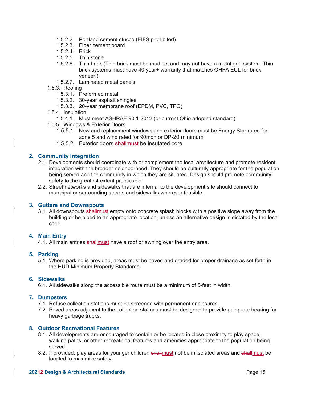- 1.5.2.2. Portland cement stucco (EIFS prohibited)
- 1.5.2.3. Fiber cement board
- 1.5.2.4. Brick
- 1.5.2.5. Thin stone
- 1.5.2.6. Thin brick (Thin brick must be mud set and may not have a metal grid system. Thin brick systems must have 40 year+ warranty that matches OHFA EUL for brick veneer.)
- 1.5.2.7. Laminated metal panels
- 1.5.3. Roofing
	- 1.5.3.1. Preformed metal
	- 1.5.3.2. 30-year asphalt shingles
	- 1.5.3.3. 20-year membrane roof (EPDM, PVC, TPO)
- 1.5.4. Insulation
	- 1.5.4.1. Must meet ASHRAE 90.1-2012 (or current Ohio adopted standard)
- 1.5.5. Windows & Exterior Doors
	- 1.5.5.1. New and replacement windows and exterior doors must be Energy Star rated for zone 5 and wind rated for 90mph or DP-20 minimum
	- 1.5.5.2. Exterior doors shallmust be insulated core

## **2. Community Integration**

- 2.1. Developments should coordinate with or complement the local architecture and promote resident integration with the broader neighborhood. They should be culturally appropriate for the population being served and the community in which they are situated. Design should promote community safety to the greatest extent practicable.
- 2.2. Street networks and sidewalks that are internal to the development site should connect to municipal or surrounding streets and sidewalks wherever feasible.

## **3. Gutters and Downspouts**

3.1. All downspouts shallmust empty onto concrete splash blocks with a positive slope away from the building or be piped to an appropriate location, unless an alternative design is dictated by the local code.

## **4. Main Entry**

4.1. All main entries shallmust have a roof or awning over the entry area.

## **5. Parking**

5.1. Where parking is provided, areas must be paved and graded for proper drainage as set forth in the HUD Minimum Property Standards.

## **6. Sidewalks**

6.1. All sidewalks along the accessible route must be a minimum of 5-feet in width.

## **7. Dumpsters**

- 7.1. Refuse collection stations must be screened with permanent enclosures.
- 7.2. Paved areas adjacent to the collection stations must be designed to provide adequate bearing for heavy garbage trucks.

## **8. Outdoor Recreational Features**

- 8.1. All developments are encouraged to contain or be located in close proximity to play space, walking paths, or other recreational features and amenities appropriate to the population being served.
- 8.2. If provided, play areas for younger children shallmust not be in isolated areas and shallmust be located to maximize safety.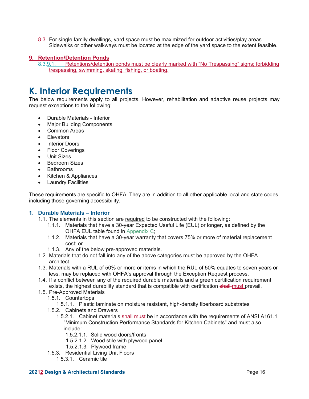8.3. For single family dwellings, yard space must be maximized for outdoor activities/play areas. Sidewalks or other walkways must be located at the edge of the yard space to the extent feasible.

## **9. Retention/Detention Ponds**

8.3.9.1. Retentions/detention ponds must be clearly marked with "No Trespassing" signs; forbidding trespassing, swimming, skating, fishing, or boating.

# **K. Interior Requirements**

The below requirements apply to all projects. However, rehabilitation and adaptive reuse projects may request exceptions to the following:

- Durable Materials Interior
- Major Building Components
- Common Areas
- Elevators
- Interior Doors
- Floor Coverings
- Unit Sizes
- Bedroom Sizes
- Bathrooms
- Kitchen & Appliances
- Laundry Facilities

These requirements are specific to OHFA. They are in addition to all other applicable local and state codes, including those governing accessibility.

## **1. Durable Materials – Interior**

- 1.1. The elements in this section are required to be constructed with the following:
	- 1.1.1. Materials that have a 30-year Expected Useful Life (EUL) or longer, as defined by the OHFA EUL table found in Appendix C;
	- 1.1.2. Materials that have a 30-year warranty that covers 75% or more of material replacement cost; or
	- 1.1.3. Any of the below pre-approved materials.
- 1.2. Materials that do not fall into any of the above categories must be approved by the OHFA architect.
- 1.3. Materials with a RUL of 50% or more or items in which the RUL of 50% equates to seven years or less, may be replaced with OHFA's approval through the Exception Request process.
- 1.4. If a conflict between any of the required durable materials and a green certification requirement exists, the highest durability standard that is compatible with certification shall must prevail.
- 1.5. Pre-Approved Materials
	- 1.5.1. Countertops
		- 1.5.1.1. Plastic laminate on moisture resistant, high-density fiberboard substrates
	- 1.5.2. Cabinets and Drawers
		- 1.5.2.1. Cabinet materials shall must be in accordance with the requirements of ANSI A161.1 "Minimum Construction Performance Standards for Kitchen Cabinets" and must also include:
			- 1.5.2.1.1. Solid wood doors/fronts
			- 1.5.2.1.2. Wood stile with plywood panel
			- 1.5.2.1.3. Plywood frame
	- 1.5.3. Residential Living Unit Floors
		- 1.5.3.1. Ceramic tile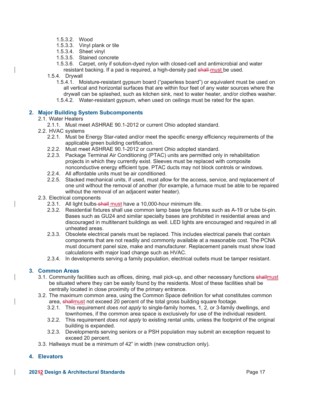- 1.5.3.2. Wood
- 1.5.3.3. Vinyl plank or tile
- 1.5.3.4. Sheet vinyl
- 1.5.3.5. Stained concrete
- 1.5.3.6. Carpet, only if solution-dyed nylon with closed-cell and antimicrobial and water resistant backing. If a pad is required, a high-density pad shall must be used.
- 1.5.4. Drywall
	- 1.5.4.1. Moisture-resistant gypsum board ("paperless board") or equivalent must be used on all vertical and horizontal surfaces that are within four feet of any water sources where the drywall can be splashed, such as kitchen sink, next to water heater, and/or clothes washer.
	- 1.5.4.2. Water-resistant gypsum, when used on ceilings must be rated for the span.

# **2. Major Building System Subcomponents**

#### 2.1. Water Heaters

- 2.1.1. Must meet ASHRAE 90.1-2012 or current Ohio adopted standard.
- 2.2. HVAC systems
	- 2.2.1. Must be Energy Star-rated and/or meet the specific energy efficiency requirements of the applicable green building certification.
	- 2.2.2. Must meet ASHRAE 90.1-2012 or current Ohio adopted standard.
	- 2.2.3. Package Terminal Air Conditioning (PTAC) units are permitted only in rehabilitation projects in which they currently exist. Sleeves must be replaced with composite nonconductive energy efficient type. PTAC ducts may not block controls or windows.
	- 2.2.4. All affordable units must be air conditioned.
	- 2.2.5. Stacked mechanical units, if used, must allow for the access, service, and replacement of one unit without the removal of another (for example, a furnace must be able to be repaired without the removal of an adjacent water heater).
- 2.3. Electrical components
	- 2.3.1. All light bulbs shall must have a 10,000-hour minimum life.
	- 2.3.2. Residential fixtures shall use common lamp base type fixtures such as A-19 or tube bi-pin. Bases such as GU24 and similar specialty bases are prohibited in residential areas and discouraged in multitenant buildings as well. LED lights are encouraged and required in all unheated areas.
	- 2.3.3. Obsolete electrical panels must be replaced. This includes electrical panels that contain components that are not readily and commonly available at a reasonable cost. The PCNA must document panel size, make and manufacturer. Replacement panels must show load calculations with major load change such as HVAC.
	- 2.3.4. In developments serving a family population, electrical outlets must be tamper resistant.

## **3. Common Areas**

- 3.1. Community facilities such as offices, dining, mail pick-up, and other necessary functions shallmust be situated where they can be easily found by the residents. Most of these facilities shall be centrally located in close proximity of the primary entrance.
- 3.2. The maximum common area, using the Common Space definition for what constitutes common area, shallmust not exceed 20 percent of the total gross building square footage.
	- 3.2.1. This requirement *does not apply* to single-family homes, 1, 2, or 3-family dwellings, and townhomes, if the common area space is exclusively for use of the individual resident.
	- 3.2.2. This requirement *does not apply* to existing rental units, unless the footprint of the original building is expanded.
	- 3.2.3. Developments serving seniors or a PSH population may submit an exception request to exceed 20 percent.
- 3.3. Hallways must be a minimum of 42" in width (new construction only).

## **4. Elevators**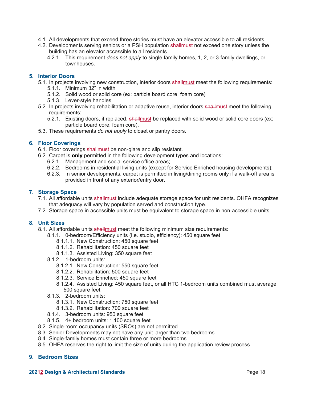- 4.1. All developments that exceed three stories must have an elevator accessible to all residents.
- 4.2. Developments serving seniors or a PSH population shallmust not exceed one story unless the building has an elevator accessible to all residents.
	- 4.2.1. This requirement *does not apply* to single family homes, 1, 2, or 3-family dwellings, or townhouses.

## **5. Interior Doors**

- 5.1. In projects involving new construction, interior doors shallmust meet the following requirements:
	- 5.1.1. Minimum 32" in width
	- 5.1.2. Solid wood or solid core (ex: particle board core, foam core)
	- 5.1.3. Lever-style handles
- 5.2. In projects involving rehabilitation or adaptive reuse, interior doors shallmust meet the following requirements:
	- 5.2.1. Existing doors, if replaced, shallmust be replaced with solid wood or solid core doors (ex: particle board core, foam core).
- 5.3. These requirements *do not apply* to closet or pantry doors.

## **6. Floor Coverings**

- 6.1. Floor coverings shallmust be non-glare and slip resistant.
- 6.2. Carpet is **only** permitted in the following development types and locations:
	- 6.2.1. Management and social service office areas;
	- 6.2.2. Bedrooms in residential living units (except for Service Enriched housing developments);
	- 6.2.3. In senior developments, carpet is permitted in living/dining rooms only if a walk-off area is provided in front of any exterior/entry door.

## **7. Storage Space**

- 7.1. All affordable units shallmust include adequate storage space for unit residents. OHFA recognizes that adequacy will vary by population served and construction type.
- 7.2. Storage space in accessible units must be equivalent to storage space in non-accessible units.

## **8. Unit Sizes**

8.1. All affordable units shallmust meet the following minimum size requirements:

- 8.1.1. 0-bedroom/Efficiency units (i.e. studio, efficiency): 450 square feet
	- 8.1.1.1. New Construction: 450 square feet
	- 8.1.1.2. Rehabilitation: 450 square feet
	- 8.1.1.3. Assisted Living: 350 square feet
- 8.1.2. 1-bedroom units:
	- 8.1.2.1. New Construction: 550 square feet
	- 8.1.2.2. Rehabilitation: 500 square feet
	- 8.1.2.3. Service Enriched: 450 square feet
	- 8.1.2.4. Assisted Living: 450 square feet, or all HTC 1-bedroom units combined must average 500 square feet
- 8.1.3. 2-bedroom units:
	- 8.1.3.1. New Construction: 750 square feet
	- 8.1.3.2. Rehabilitation: 700 square feet
- 8.1.4. 3-bedroom units: 950 square feet
- 8.1.5. 4+ bedroom units: 1,100 square feet
- 8.2. Single-room occupancy units (SROs) are not permitted.
- 8.3. Senior Developments may not have any unit larger than two bedrooms.
- 8.4. Single-family homes must contain three or more bedrooms.
- 8.5. OHFA reserves the right to limit the size of units during the application review process.

## **9. Bedroom Sizes**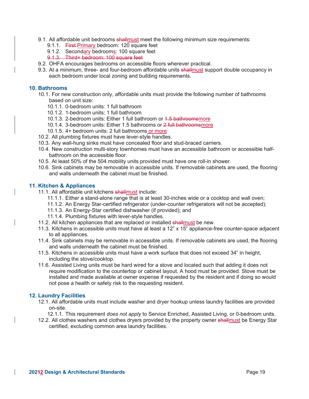- 9.1. All affordable unit bedrooms shallmust meet the following minimum size requirements:
	- 9.1.1. First Primary bedroom: 120 square feet
	- 9.1.2. Secondary bedrooms: 100 square feet
	- 9.1.3. Third+ bedroom: 100 square feet
- 9.2. OHFA encourages bedrooms on accessible floors wherever practical.
- 9.3. At a minimum, three- and four-bedroom affordable units shallmust support double occupancy in each bedroom under local zoning and building requirements.

## **10. Bathrooms**

- 10.1. For new construction only, affordable units must provide the following number of bathrooms based on unit size:
	- 10.1.1. 0-bedroom units: 1 full bathroom
	- 10.1.2. 1-bedroom units: 1 full bathroom
	- 10.1.3. 2-bedroom units: Either 1 full bathroom or 4.5 bathroomsmore
	- 10.1.4. 3-bedroom units: Either 1.5 bathrooms or 2 full bathroomsmore
	- 10.1.5. 4+ bedroom units: 2 full bathrooms or more
- 10.2. All plumbing fixtures must have lever-style handles.
- 10.3. Any wall-hung sinks must have concealed floor and stud-braced carriers.
- 10.4. New construction multi-story townhomes must have an accessible bathroom or accessible halfbathroom on the accessible floor.
- 10.5. At least 50% of the 504 mobility units provided must have one roll-in shower.
- 10.6. Sink cabinets may be removable in accessible units. If removable cabinets are used, the flooring and walls underneath the cabinet must be finished.

#### **11. Kitchen & Appliances**

- 11.1. All affordable unit kitchens shallmust include:
	- 11.1.1. Either a stand-alone range that is at least 30-inches wide or a cooktop and wall oven;
	- 11.1.2. An Energy Star-certified refrigerator (under-counter refrigerators will not be accepted);
	- 11.1.3. An Energy-Star certified dishwasher (if provided); and
	- 11.1.4. Plumbing fixtures with lever-style handles.
- 11.2. All kitchen appliances that are replaced or installed shallmust be new.
- 11.3. Kitchens in accessible units must have at least a 12" x 15" appliance-free counter-space adjacent to all appliances.
- 11.4. Sink cabinets may be removable in accessible units. If removable cabinets are used, the flooring and walls underneath the cabinet must be finished.
- 11.5. Kitchens in accessible units must have a work surface that does not exceed 34" in height, including the stove/cooktop.
- 11.6. Assisted Living units must be hard wired for a stove and located such that adding it does not require modification to the countertop or cabinet layout. A hood must be provided. Stove must be installed and made available at owner expense if requested by the resident and if doing so would not pose a health or safety risk to the requesting resident.

## **12. Laundry Facilities**

12.1. All affordable units must include washer and dryer hookup unless laundry facilities are provided on-site.

12.1.1. This requirement *does not apply* to Service Enriched, Assisted Living, or 0-bedroom units.

12.2. All clothes washers and clothes dryers provided by the property owner shallmust be Energy Star certified, excluding common area laundry facilities.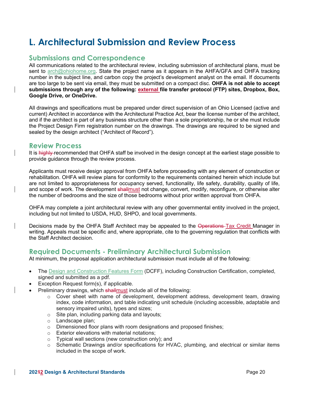# **L. Architectural Submission and Review Process**

# **Submissions and Correspondence**

All communications related to the architectural review, including submission of architectural plans, must be sent to arch@ohiohome.org. State the project name as it appears in the AHFA/GFA and OHFA tracking number in the subject line, and carbon copy the project's development analyst on the email. If documents are too large to be sent via email, they must be submitted on a compact disc. **OHFA is not able to accept submissions through any of the following: external file transfer protocol (FTP) sites, Dropbox, Box, Google Drive, or OneDrive.** 

All drawings and specifications must be prepared under direct supervision of an Ohio Licensed (active and current) Architect in accordance with the Architectural Practice Act, bear the license number of the architect, and if the architect is part of any business structure other than a sole proprietorship, he or she must include the Project Design Firm registration number on the drawings. The drawings are required to be signed and sealed by the design architect ("Architect of Record").

# **Review Process**

It is highly recommended that OHFA staff be involved in the design concept at the earliest stage possible to provide guidance through the review process.

Applicants must receive design approval from OHFA before proceeding with any element of construction or rehabilitation. OHFA will review plans for conformity to the requirements contained herein which include but are not limited to appropriateness for occupancy served, functionality, life safety, durability, quality of life, and scope of work. The development shallmust not change, convert, modify, reconfigure, or otherwise alter the number of bedrooms and the size of those bedrooms without prior written approval from OHFA.

OHFA may complete a joint architectural review with any other governmental entity involved in the project, including but not limited to USDA, HUD, SHPO, and local governments.

Decisions made by the OHFA Staff Architect may be appealed to the Operations–Tax Credit Manager in writing. Appeals must be specific and, where appropriate, cite to the governing regulation that conflicts with the Staff Architect decision.

# **Required Documents - Preliminary Architectural Submission**

At minimum, the proposal application architectural submission must include all of the following:

- The Design and Construction Features Form (DCFF), including Construction Certification, completed, signed and submitted as a pdf.
- Exception Request form(s), if applicable.
- Preliminary drawings, which shallmust include all of the following:
	- $\circ$  Cover sheet with name of development, development address, development team, drawing index, code information, and table indicating unit schedule (including accessible, adaptable and sensory impaired units), types and sizes;
	- o Site plan, including parking data and layouts;
	- o Landscape plan;
	- o Dimensioned floor plans with room designations and proposed finishes;
	- o Exterior elevations with material notations;
	- o Typical wall sections (new construction only); and
	- $\circ$  Schematic Drawings and/or specifications for HVAC, plumbing, and electrical or similar items included in the scope of work.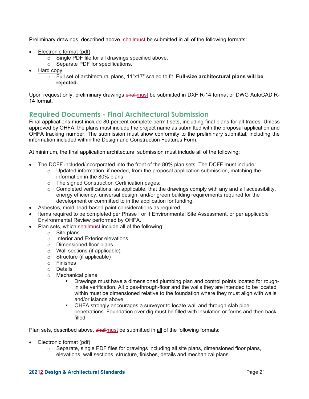Preliminary drawings, described above, shallmust be submitted in all of the following formats:

- Electronic format (pdf)
	- o Single PDF file for all drawings specified above.
	- o Separate PDF for specifications.
- Hard copy
	- o Full set of architectural plans, 11"x17" scaled to fit. **Full-size architectural plans will be rejected.**

Upon request only, preliminary drawings shallmust be submitted in DXF R-14 format or DWG AutoCAD R-14 format.

# **Required Documents - Final Architectural Submission**

Final applications must include 80 percent complete permit sets, including final plans for all trades. Unless approved by OHFA, the plans must include the project name as submitted with the proposal application and OHFA tracking number. The submission must show conformity to the preliminary submittal, including the information included within the Design and Construction Features Form.

At minimum, the final application architectural submission must include all of the following:

- The DCFF included/incorporated into the front of the 80% plan sets. The DCFF must include:
	- $\circ$  Updated information, if needed, from the proposal application submission, matching the information in the 80% plans;
	- o The signed Construction Certification pages;
	- $\circ$  Completed verifications, as applicable, that the drawings comply with any and all accessibility, energy efficiency, universal design, and/or green building requirements required for the development or committed to in the application for funding.
- Asbestos, mold, lead-based paint considerations as required.
- Items required to be completed per Phase I or II Environmental Site Assessment, or per applicable Environmental Review performed by OHFA.
- Plan sets, which shallmust include all of the following:
	- o Site plans
	- $\circ$  Interior and Exterior elevations
	- o Dimensioned floor plans
	- o Wall sections (if applicable)
	- o Structure (if applicable)
	- o Finishes
	- o Details
	- o Mechanical plans
		- Drawings must have a dimensioned plumbing plan and control points located for roughin site verification. All pipes-through-floor and the walls they are intended to be located within must be dimensioned relative to the foundation where they must align with walls and/or islands above.
		- OHFA strongly encourages a surveyor to locate wall and through-slab pipe penetrations. Foundation over dig must be filled with insulation or forms and then back filled.

Plan sets, described above, shallmust be submitted in all of the following formats:

- Electronic format (pdf)
	- $\circ$  Separate, single PDF files for drawings including all site plans, dimensioned floor plans, elevations, wall sections, structure, finishes, details and mechanical plans.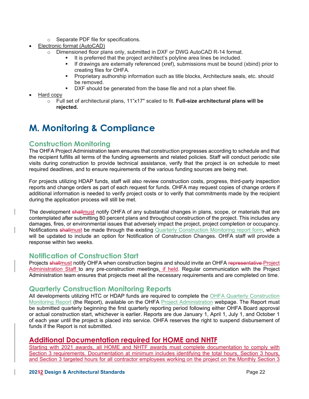- o Separate PDF file for specifications.
- Electronic format (AutoCAD)
	- $\circ$  Dimensioned floor plans only, submitted in DXF or DWG AutoCAD R-14 format.
		- It is preferred that the project architect's polyline area lines be included.
		- If drawings are externally referenced (xref), submissions must be bound (xbind) prior to creating files for OHFA.
		- Proprietary authorship information such as title blocks, Architecture seals, etc. should be removed.
		- DXF should be generated from the base file and not a plan sheet file.
- Hard copv
	- o Full set of architectural plans, 11"x17" scaled to fit. **Full-size architectural plans will be rejected.**

# **M. Monitoring & Compliance**

# **Construction Monitoring**

The OHFA Project Administration team ensures that construction progresses according to schedule and that the recipient fulfills all terms of the funding agreements and related policies. Staff will conduct periodic site visits during construction to provide technical assistance, verify that the project is on schedule to meet required deadlines, and to ensure requirements of the various funding sources are being met.

For projects utilizing HDAP funds, staff will also review construction costs, progress, third-party inspection reports and change orders as part of each request for funds. OHFA may request copies of change orders if additional information is needed to verify project costs or to verify that commitments made by the recipient during the application process will still be met.

The development shallmust notify OHFA of any substantial changes in plans, scope, or materials that are contemplated after submitting 80 percent plans and throughout construction of the project. This includes any damages, fires, or environmental issues that adversely impact the project, project completion or occupancy. Notifications shallmust be made through the existing Quarterly Construction Monitoring report form, which will be updated to include an option for Notification of Construction Changes. OHFA staff will provide a response within two weeks.

# **Notification of Construction Start**

Projects shallmust notify OHFA when construction begins and should invite an OHFA representative Project Administration Staff to any pre-construction meetings, if held. Regular communication with the Project Administration team ensures that projects meet all the necessary requirements and are completed on time.

# **Quarterly Construction Monitoring Reports**

All developments utilizing HTC or HDAP funds are required to complete the OHFA Quarterly Construction Monitoring Report (the Report), available on the OHFA Project Administration webpage. The Report must be submitted quarterly beginning the first quarterly reporting period following either OHFA Board approval or actual construction start, whichever is earlier. Reports are due January 1, April 1, July 1, and October 1 of each year until the project is placed into service. OHFA reserves the right to suspend disbursement of funds if the Report is not submitted.

# **Additional Documentation required for HOME and NHTF**

Starting with 2021 awards, all HOME and NHTF awards must complete documentation to comply with Section 3 requirements. Documentation at minimum includes identifying the total hours, Section 3 hours, and Section 3 targeted hours for all contractor employees working on the project on the Monthly Section 3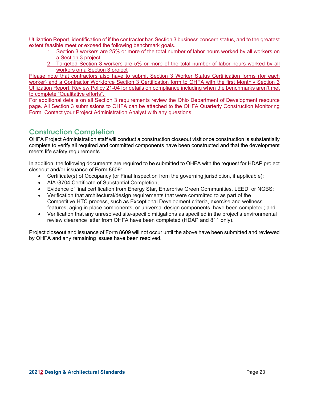Utilization Report, identification of if the contractor has Section 3 business concern status, and to the greatest extent feasible meet or exceed the following benchmark goals.

- 1. Section 3 workers are 25% or more of the total number of labor hours worked by all workers on a Section 3 project.
- 2. Targeted Section 3 workers are 5% or more of the total number of labor hours worked by all workers on a Section 3 project

Please note that contractors also have to submit Section 3 Worker Status Certification forms (for each worker) and a Contractor Workforce Section 3 Certification form to OHFA with the first Monthly Section 3 Utilization Report. Review Policy 21-04 for details on compliance including when the benchmarks aren't met to complete "Qualitative efforts".

For additional details on all Section 3 requirements review the Ohio Department of Development resource page. All Section 3 submissions to OHFA can be attached to the OHFA Quarterly Construction Monitoring Form. Contact your Project Administration Analyst with any questions.

# **Construction Completion**

OHFA Project Administration staff will conduct a construction closeout visit once construction is substantially complete to verify all required and committed components have been constructed and that the development meets life safety requirements.

In addition, the following documents are required to be submitted to OHFA with the request for HDAP project closeout and/or issuance of Form 8609:

- Certificate(s) of Occupancy (or Final Inspection from the governing jurisdiction, if applicable);
- AIA G704 Certificate of Substantial Completion;
- Evidence of final certification from Energy Star, Enterprise Green Communities, LEED, or NGBS;
- Verification that architectural/design requirements that were committed to as part of the Competitive HTC process, such as Exceptional Development criteria, exercise and wellness features, aging in place components, or universal design components, have been completed; and
- Verification that any unresolved site-specific mitigations as specified in the project's environmental review clearance letter from OHFA have been completed (HDAP and 811 only).

Project closeout and issuance of Form 8609 will not occur until the above have been submitted and reviewed by OHFA and any remaining issues have been resolved.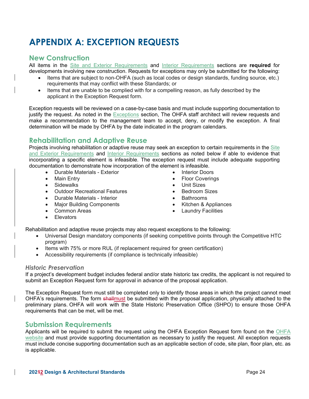# **APPENDIX A: EXCEPTION REQUESTS**

# **New Construction**

All items in the Site and Exterior Requirements and Interior Requirements sections are **required** for developments involving new construction. Requests for exceptions may only be submitted for the following:

- Items that are subject to non-OHFA (such as local codes or design standards, funding source, etc.) requirements that may conflict with these Standards; or
- Items that are unable to be complied with for a compelling reason, as fully described by the applicant in the Exception Request form.

Exception requests will be reviewed on a case-by-case basis and must include supporting documentation to justify the request. As noted in the Exceptions section, The OHFA staff architect will review requests and make a recommendation to the management team to accept, deny, or modify the exception. A final determination will be made by OHFA by the date indicated in the program calendars.

# **Rehabilitation and Adaptive Reuse**

Projects involving rehabilitation or adaptive reuse may seek an exception to certain requirements in the Site and Exterior Requirements and Interior Requirements sections as noted below if able to evidence that incorporating a specific element is infeasible. The exception request must include adequate supporting documentation to demonstrate how incorporation of the element is infeasible.

- Durable Materials Exterior
- Main Entry
- Sidewalks
- Outdoor Recreational Features
- Durable Materials Interior
- Major Building Components
- Common Areas
- **•** Elevators
- Interior Doors
- Floor Coverings
- Unit Sizes
- Bedroom Sizes
- Bathrooms
- Kitchen & Appliances
- Laundry Facilities
- Rehabilitation and adaptive reuse projects may also request exceptions to the following:
	- Universal Design mandatory components (if seeking competitive points through the Competitive HTC program)
	- Items with 75% or more RUL (if replacement required for green certification)
	- Accessibility requirements (if compliance is technically infeasible)

## *Historic Preservation*

If a project's development budget includes federal and/or state historic tax credits, the applicant is not required to submit an Exception Request form for approval in advance of the proposal application.

The Exception Request form must still be completed only to identify those areas in which the project cannot meet OHFA's requirements. The form shallmust be submitted with the proposal application, physically attached to the preliminary plans. OHFA will work with the State Historic Preservation Office (SHPO) to ensure those OHFA requirements that can be met, will be met.

# **Submission Requirements**

Applicants will be required to submit the request using the OHFA Exception Request form found on the OHFA website and must provide supporting documentation as necessary to justify the request. All exception requests must include concise supporting documentation such as an applicable section of code, site plan, floor plan, etc. as is applicable.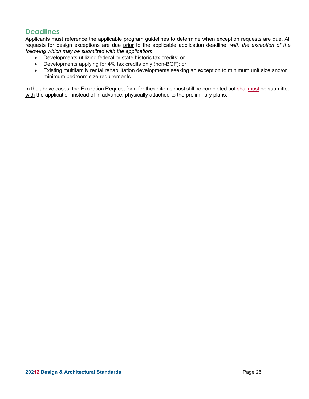# **Deadlines**

Applicants must reference the applicable program guidelines to determine when exception requests are due. All requests for design exceptions are due prior to the applicable application deadline, *with the exception of the following which may be submitted with the application*:

- Developments utilizing federal or state historic tax credits; or
- Developments applying for 4% tax credits only (non-BGF); or
- Existing multifamily rental rehabilitation developments seeking an exception to minimum unit size and/or minimum bedroom size requirements.

In the above cases, the Exception Request form for these items must still be completed but shallmust be submitted with the application instead of in advance, physically attached to the preliminary plans.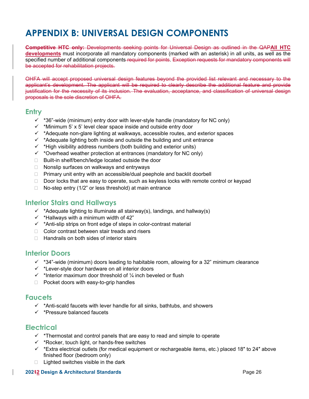# **APPENDIX B: UNIVERSAL DESIGN COMPONENTS**

**Competitive HTC only:** Developments seeking points for Universal Design as outlined in the QAP**All HTC developments** must incorporate all mandatory components (marked with an asterisk) in all units, as well as the specified number of additional components-required for points. Exception requests for mandatory components will be accepted for rehabilitation projects.

OHFA will accept proposed universal design features beyond the provided list relevant and necessary to the applicant's development. The applicant will be required to clearly describe the additional feature and provide justification for the necessity of its inclusion. The evaluation, acceptance, and classification of universal design proposals is the sole discretion of OHFA.

# **Entry**

- $\checkmark$  \*36"-wide (minimum) entry door with lever-style handle (mandatory for NC only)
- $\checkmark$  \*Minimum 5' x 5' level clear space inside and outside entry door
- $\checkmark$  \*Adequate non-glare lighting at walkways, accessible routes, and exterior spaces
- $\checkmark$  \*Adequate lighting both inside and outside the building and unit entrance
- $\checkmark$  \*High visibility address numbers (both building and exterior units)
- $\checkmark$  \*Overhead weather protection at entrances (mandatory for NC only)
- □ Built-in shelf/bench/ledge located outside the door
- □ Nonslip surfaces on walkways and entryways
- □ Primary unit entry with an accessible/dual peephole and backlit doorbell
- $\Box$  Door locks that are easy to operate, such as keyless locks with remote control or keypad
- $\Box$  No-step entry (1/2" or less threshold) at main entrance

# **Interior Stairs and Hallways**

- $\checkmark$  \*Adequate lighting to illuminate all stairway(s), landings, and hallway(s)
- $\checkmark$  \*Hallways with a minimum width of 42"
- $\checkmark$  \*Anti-slip strips on front edge of steps in color-contrast material
- $\Box$  Color contrast between stair treads and risers
- $\Box$  Handrails on both sides of interior stairs

# **Interior Doors**

- $\checkmark$  \*34"-wide (minimum) doors leading to habitable room, allowing for a 32" minimum clearance
- $\checkmark$  \*Lever-style door hardware on all interior doors
- $\checkmark$  \*Interior maximum door threshold of  $\frac{1}{4}$  inch beveled or flush
- D Pocket doors with easy-to-grip handles

# **Faucets**

- $\checkmark$  \*Anti-scald faucets with lever handle for all sinks, bathtubs, and showers
- $\checkmark$  \*Pressure balanced faucets

# **Electrical**

- $\checkmark$  \*Thermostat and control panels that are easy to read and simple to operate
- $\checkmark$  \*Rocker, touch light, or hands-free switches
- $\checkmark$  \*Extra electrical outlets (for medical equipment or rechargeable items, etc.) placed 18" to 24" above finished floor (bedroom only)
- $\Box$  Lighted switches visible in the dark

## **20212 Design & Architectural Standards** Page 26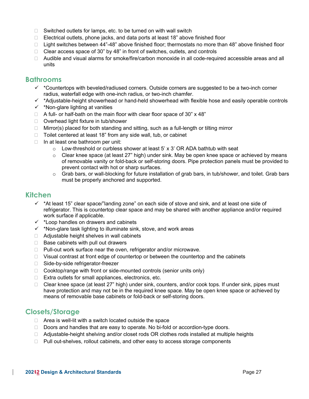- $\Box$  Switched outlets for lamps, etc. to be turned on with wall switch
- $\Box$  Electrical outlets, phone jacks, and data ports at least 18" above finished floor
- □ Light switches between 44"-48" above finished floor; thermostats no more than 48" above finished floor
- $\Box$  Clear access space of 30" by 48" in front of switches, outlets, and controls
- □ Audible and visual alarms for smoke/fire/carbon monoxide in all code-required accessible areas and all units

# **Bathrooms**

- $\checkmark$  \*Countertops with beveled/radiused corners. Outside corners are suggested to be a two-inch corner radius, waterfall edge with one-inch radius, or two-inch chamfer.
- $\checkmark$  \*Adjustable-height showerhead or hand-held showerhead with flexible hose and easily operable controls
- $\checkmark$  \*Non-glare lighting at vanities
- $\Box$  A full- or half-bath on the main floor with clear floor space of 30" x 48"
- □ Overhead light fixture in tub/shower
- $\Box$  Mirror(s) placed for both standing and sitting, such as a full-length or tilting mirror
- □ Toilet centered at least 18" from any side wall, tub, or cabinet
- $\Box$  In at least one bathroom per unit:
	- $\circ$  Low-threshold or curbless shower at least 5' x 3' OR ADA bathtub with seat
	- $\circ$  Clear knee space (at least 27" high) under sink. May be open knee space or achieved by means of removable vanity or fold-back or self-storing doors. Pipe protection panels must be provided to prevent contact with hot or sharp surfaces.
	- $\circ$  Grab bars, or wall-blocking for future installation of grab bars, in tub/shower, and toilet. Grab bars must be properly anchored and supported.

# **Kitchen**

- $\checkmark$  \*At least 15" clear space/"landing zone" on each side of stove and sink, and at least one side of refrigerator. This is countertop clear space and may be shared with another appliance and/or required work surface if applicable.
- $\checkmark$  \*Loop handles on drawers and cabinets
- $\checkmark$  \*Non-glare task lighting to illuminate sink, stove, and work areas
- $\Box$  Adjustable height shelves in wall cabinets
- $\Box$  Base cabinets with pull out drawers
- $\Box$  Pull-out work surface near the oven, refrigerator and/or microwave.
- $\Box$  Visual contrast at front edge of countertop or between the countertop and the cabinets
- □ Side-by-side refrigerator-freezer
- $\Box$  Cooktop/range with front or side-mounted controls (senior units only)
- $\Box$  Extra outlets for small appliances, electronics, etc.
- $\Box$  Clear knee space (at least 27" high) under sink, counters, and/or cook tops. If under sink, pipes must have protection and may not be in the required knee space. May be open knee space or achieved by means of removable base cabinets or fold-back or self-storing doors.

# **Closets/Storage**

- $\Box$  Area is well-lit with a switch located outside the space
- $\Box$  Doors and handles that are easy to operate. No bi-fold or accordion-type doors.
- $\Box$  Adjustable-height shelving and/or closet rods OR clothes rods installed at multiple heights
- $\Box$  Pull out-shelves, rollout cabinets, and other easy to access storage components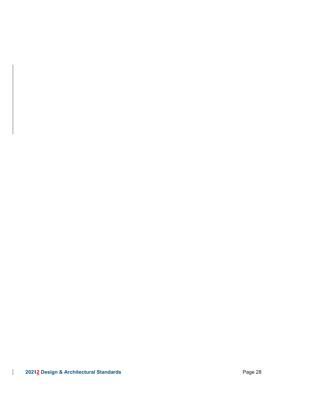$\mathbf{I}$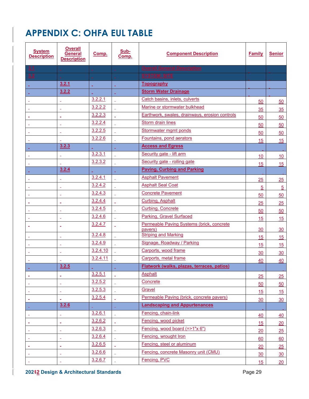# **APPENDIX C: OHFA EUL TABLE**

| ×.<br><b>SYSTEM: SITE</b><br>3.2<br>×,<br>3.2.1<br>Topography<br>÷.<br>×,<br><b>Storm Water Drainage</b><br>3.2.2<br>ä,<br>$\sim$<br>Catch basins, inlets, culverts<br>3.2.2.1<br>$\equiv$<br>$\bar{\phantom{a}}$<br>50<br>50<br>$\overline{\phantom{a}}$<br>3.2.2.2<br>Marine or stormwater bulkhead<br>35<br>35<br>÷<br>3.2.2.3<br>Earthwork, swales, drainways, erosion controls<br>50<br>50<br>$\blacksquare$<br>$\blacksquare$<br>3.2.2.4<br>Storm drain lines<br>50<br>50<br>$\blacksquare$<br>$\blacksquare$<br>3.2.2.5<br>Stormwater mgmt ponds<br>50<br>50<br>$\equiv$<br>$\blacksquare$<br>Fountains, pond aerators<br>3.2.2.6<br>L.<br>15 <sub>15</sub><br>$\equiv$<br>15<br>$\blacksquare$<br>3.2.3<br><b>Access and Egress</b><br>Security gate - lift arm<br>3.2.3.1<br>÷<br>10 <sup>°</sup><br>10 <sup>°</sup><br>Security gate - rolling gate<br>3.2.3.2<br>15<br>15 <sub>1</sub><br>$\overline{\phantom{a}}$<br><b>Paving, Curbing and Parking</b><br>3.2.4<br>÷.<br>÷.<br><b>Asphalt Pavement</b><br>3.2.4.1<br>25<br>25<br>$\blacksquare$<br>$\overline{\phantom{a}}$<br><b>Asphalt Seal Coat</b><br>3.2.4.2<br>L.<br>$\overline{5}$<br>5<br>L,<br>3.2.4.3<br><b>Concrete Pavement</b><br>50<br>50<br>$\blacksquare$<br>$\blacksquare$<br>3.2.4.4<br><b>Curbing, Asphalt</b><br>25<br>25<br>$\blacksquare$<br>$\overline{\phantom{a}}$<br>3.2.4.5<br>Curbing, Concrete<br>50<br>50<br>$\blacksquare$<br>$\blacksquare$<br>Parking, Gravel Surfaced<br>3.2.4.6<br>15<br>15<br>$\equiv$<br>÷<br>Permeable Paving Systems (brick, concrete<br>3.2.4.7<br>÷,<br>$\blacksquare$<br>30<br>30<br>pavers)<br><b>Striping and Marking</b><br>3.2.4.8<br>$\overline{a}$<br>15<br>15<br>$\blacksquare$<br>$\overline{\phantom{a}}$<br>Signage, Roadway / Parking<br>3.2.4.9<br>15<br>15<br>Ē,<br>$\overline{\phantom{a}}$<br>Carports, wood frame<br>3.2.4.10<br>L.<br>$\equiv$<br>$\equiv$<br>30<br>30<br>3.2.4.11<br>Carports, metal frame<br>40<br>40<br>$\blacksquare$<br>3.2.5<br>Flatwork (walks, plazas, terraces, patios)<br>3.2.5.1<br><b>Asphalt</b><br>25<br>25<br>$\equiv$<br>$\blacksquare$<br>3.2.5.2<br>Concrete<br>$\Box$<br>50<br>50<br>$\equiv$<br>$\blacksquare$<br>3.2.5.3<br>Gravel<br>$\overline{a}$<br>15<br>$\equiv$<br>$\blacksquare$<br>15<br>3.2.5.4<br>Permeable Paving (brick, concrete pavers)<br>L.<br>÷,<br>30<br>30 <sub>2</sub><br><b>Landscaping and Appurtenances</b><br>3.2.6<br>٠<br>Fencing, chain-link<br>3.2.6.1<br>40<br>40<br>÷<br>÷<br>Fencing, wood picket<br>3.2.6.2<br>$\blacksquare$<br>$\equiv$<br>15<br>20<br>Fencing, wood board (=>1"x 6")<br>3.2.6.3 | <b>System</b><br><b>Description</b> | <b>Overall</b><br><b>General</b><br><b>Description</b> | Comp. | Sub-<br>Comp. | <b>Component Description</b>       | <b>Family</b> | <b>Senior</b> |
|-------------------------------------------------------------------------------------------------------------------------------------------------------------------------------------------------------------------------------------------------------------------------------------------------------------------------------------------------------------------------------------------------------------------------------------------------------------------------------------------------------------------------------------------------------------------------------------------------------------------------------------------------------------------------------------------------------------------------------------------------------------------------------------------------------------------------------------------------------------------------------------------------------------------------------------------------------------------------------------------------------------------------------------------------------------------------------------------------------------------------------------------------------------------------------------------------------------------------------------------------------------------------------------------------------------------------------------------------------------------------------------------------------------------------------------------------------------------------------------------------------------------------------------------------------------------------------------------------------------------------------------------------------------------------------------------------------------------------------------------------------------------------------------------------------------------------------------------------------------------------------------------------------------------------------------------------------------------------------------------------------------------------------------------------------------------------------------------------------------------------------------------------------------------------------------------------------------------------------------------------------------------------------------------------------------------------------------------------------------------------------------------------------------------------------------------------------------------------------------------------------------------------------------------------------------------------------------------------------------------|-------------------------------------|--------------------------------------------------------|-------|---------------|------------------------------------|---------------|---------------|
|                                                                                                                                                                                                                                                                                                                                                                                                                                                                                                                                                                                                                                                                                                                                                                                                                                                                                                                                                                                                                                                                                                                                                                                                                                                                                                                                                                                                                                                                                                                                                                                                                                                                                                                                                                                                                                                                                                                                                                                                                                                                                                                                                                                                                                                                                                                                                                                                                                                                                                                                                                                                                   | 3.1                                 |                                                        |       |               | <b>Overall General Description</b> |               |               |
|                                                                                                                                                                                                                                                                                                                                                                                                                                                                                                                                                                                                                                                                                                                                                                                                                                                                                                                                                                                                                                                                                                                                                                                                                                                                                                                                                                                                                                                                                                                                                                                                                                                                                                                                                                                                                                                                                                                                                                                                                                                                                                                                                                                                                                                                                                                                                                                                                                                                                                                                                                                                                   |                                     |                                                        |       |               |                                    |               |               |
|                                                                                                                                                                                                                                                                                                                                                                                                                                                                                                                                                                                                                                                                                                                                                                                                                                                                                                                                                                                                                                                                                                                                                                                                                                                                                                                                                                                                                                                                                                                                                                                                                                                                                                                                                                                                                                                                                                                                                                                                                                                                                                                                                                                                                                                                                                                                                                                                                                                                                                                                                                                                                   |                                     |                                                        |       |               |                                    |               |               |
|                                                                                                                                                                                                                                                                                                                                                                                                                                                                                                                                                                                                                                                                                                                                                                                                                                                                                                                                                                                                                                                                                                                                                                                                                                                                                                                                                                                                                                                                                                                                                                                                                                                                                                                                                                                                                                                                                                                                                                                                                                                                                                                                                                                                                                                                                                                                                                                                                                                                                                                                                                                                                   |                                     |                                                        |       |               |                                    |               |               |
|                                                                                                                                                                                                                                                                                                                                                                                                                                                                                                                                                                                                                                                                                                                                                                                                                                                                                                                                                                                                                                                                                                                                                                                                                                                                                                                                                                                                                                                                                                                                                                                                                                                                                                                                                                                                                                                                                                                                                                                                                                                                                                                                                                                                                                                                                                                                                                                                                                                                                                                                                                                                                   |                                     |                                                        |       |               |                                    |               |               |
|                                                                                                                                                                                                                                                                                                                                                                                                                                                                                                                                                                                                                                                                                                                                                                                                                                                                                                                                                                                                                                                                                                                                                                                                                                                                                                                                                                                                                                                                                                                                                                                                                                                                                                                                                                                                                                                                                                                                                                                                                                                                                                                                                                                                                                                                                                                                                                                                                                                                                                                                                                                                                   |                                     |                                                        |       |               |                                    |               |               |
|                                                                                                                                                                                                                                                                                                                                                                                                                                                                                                                                                                                                                                                                                                                                                                                                                                                                                                                                                                                                                                                                                                                                                                                                                                                                                                                                                                                                                                                                                                                                                                                                                                                                                                                                                                                                                                                                                                                                                                                                                                                                                                                                                                                                                                                                                                                                                                                                                                                                                                                                                                                                                   |                                     |                                                        |       |               |                                    |               |               |
|                                                                                                                                                                                                                                                                                                                                                                                                                                                                                                                                                                                                                                                                                                                                                                                                                                                                                                                                                                                                                                                                                                                                                                                                                                                                                                                                                                                                                                                                                                                                                                                                                                                                                                                                                                                                                                                                                                                                                                                                                                                                                                                                                                                                                                                                                                                                                                                                                                                                                                                                                                                                                   |                                     |                                                        |       |               |                                    |               |               |
|                                                                                                                                                                                                                                                                                                                                                                                                                                                                                                                                                                                                                                                                                                                                                                                                                                                                                                                                                                                                                                                                                                                                                                                                                                                                                                                                                                                                                                                                                                                                                                                                                                                                                                                                                                                                                                                                                                                                                                                                                                                                                                                                                                                                                                                                                                                                                                                                                                                                                                                                                                                                                   |                                     |                                                        |       |               |                                    |               |               |
|                                                                                                                                                                                                                                                                                                                                                                                                                                                                                                                                                                                                                                                                                                                                                                                                                                                                                                                                                                                                                                                                                                                                                                                                                                                                                                                                                                                                                                                                                                                                                                                                                                                                                                                                                                                                                                                                                                                                                                                                                                                                                                                                                                                                                                                                                                                                                                                                                                                                                                                                                                                                                   |                                     |                                                        |       |               |                                    |               |               |
|                                                                                                                                                                                                                                                                                                                                                                                                                                                                                                                                                                                                                                                                                                                                                                                                                                                                                                                                                                                                                                                                                                                                                                                                                                                                                                                                                                                                                                                                                                                                                                                                                                                                                                                                                                                                                                                                                                                                                                                                                                                                                                                                                                                                                                                                                                                                                                                                                                                                                                                                                                                                                   |                                     |                                                        |       |               |                                    |               |               |
|                                                                                                                                                                                                                                                                                                                                                                                                                                                                                                                                                                                                                                                                                                                                                                                                                                                                                                                                                                                                                                                                                                                                                                                                                                                                                                                                                                                                                                                                                                                                                                                                                                                                                                                                                                                                                                                                                                                                                                                                                                                                                                                                                                                                                                                                                                                                                                                                                                                                                                                                                                                                                   |                                     |                                                        |       |               |                                    |               |               |
|                                                                                                                                                                                                                                                                                                                                                                                                                                                                                                                                                                                                                                                                                                                                                                                                                                                                                                                                                                                                                                                                                                                                                                                                                                                                                                                                                                                                                                                                                                                                                                                                                                                                                                                                                                                                                                                                                                                                                                                                                                                                                                                                                                                                                                                                                                                                                                                                                                                                                                                                                                                                                   |                                     |                                                        |       |               |                                    |               |               |
|                                                                                                                                                                                                                                                                                                                                                                                                                                                                                                                                                                                                                                                                                                                                                                                                                                                                                                                                                                                                                                                                                                                                                                                                                                                                                                                                                                                                                                                                                                                                                                                                                                                                                                                                                                                                                                                                                                                                                                                                                                                                                                                                                                                                                                                                                                                                                                                                                                                                                                                                                                                                                   |                                     |                                                        |       |               |                                    |               |               |
|                                                                                                                                                                                                                                                                                                                                                                                                                                                                                                                                                                                                                                                                                                                                                                                                                                                                                                                                                                                                                                                                                                                                                                                                                                                                                                                                                                                                                                                                                                                                                                                                                                                                                                                                                                                                                                                                                                                                                                                                                                                                                                                                                                                                                                                                                                                                                                                                                                                                                                                                                                                                                   |                                     |                                                        |       |               |                                    |               |               |
|                                                                                                                                                                                                                                                                                                                                                                                                                                                                                                                                                                                                                                                                                                                                                                                                                                                                                                                                                                                                                                                                                                                                                                                                                                                                                                                                                                                                                                                                                                                                                                                                                                                                                                                                                                                                                                                                                                                                                                                                                                                                                                                                                                                                                                                                                                                                                                                                                                                                                                                                                                                                                   |                                     |                                                        |       |               |                                    |               |               |
|                                                                                                                                                                                                                                                                                                                                                                                                                                                                                                                                                                                                                                                                                                                                                                                                                                                                                                                                                                                                                                                                                                                                                                                                                                                                                                                                                                                                                                                                                                                                                                                                                                                                                                                                                                                                                                                                                                                                                                                                                                                                                                                                                                                                                                                                                                                                                                                                                                                                                                                                                                                                                   |                                     |                                                        |       |               |                                    |               |               |
|                                                                                                                                                                                                                                                                                                                                                                                                                                                                                                                                                                                                                                                                                                                                                                                                                                                                                                                                                                                                                                                                                                                                                                                                                                                                                                                                                                                                                                                                                                                                                                                                                                                                                                                                                                                                                                                                                                                                                                                                                                                                                                                                                                                                                                                                                                                                                                                                                                                                                                                                                                                                                   |                                     |                                                        |       |               |                                    |               |               |
|                                                                                                                                                                                                                                                                                                                                                                                                                                                                                                                                                                                                                                                                                                                                                                                                                                                                                                                                                                                                                                                                                                                                                                                                                                                                                                                                                                                                                                                                                                                                                                                                                                                                                                                                                                                                                                                                                                                                                                                                                                                                                                                                                                                                                                                                                                                                                                                                                                                                                                                                                                                                                   |                                     |                                                        |       |               |                                    |               |               |
|                                                                                                                                                                                                                                                                                                                                                                                                                                                                                                                                                                                                                                                                                                                                                                                                                                                                                                                                                                                                                                                                                                                                                                                                                                                                                                                                                                                                                                                                                                                                                                                                                                                                                                                                                                                                                                                                                                                                                                                                                                                                                                                                                                                                                                                                                                                                                                                                                                                                                                                                                                                                                   |                                     |                                                        |       |               |                                    |               |               |
|                                                                                                                                                                                                                                                                                                                                                                                                                                                                                                                                                                                                                                                                                                                                                                                                                                                                                                                                                                                                                                                                                                                                                                                                                                                                                                                                                                                                                                                                                                                                                                                                                                                                                                                                                                                                                                                                                                                                                                                                                                                                                                                                                                                                                                                                                                                                                                                                                                                                                                                                                                                                                   |                                     |                                                        |       |               |                                    |               |               |
|                                                                                                                                                                                                                                                                                                                                                                                                                                                                                                                                                                                                                                                                                                                                                                                                                                                                                                                                                                                                                                                                                                                                                                                                                                                                                                                                                                                                                                                                                                                                                                                                                                                                                                                                                                                                                                                                                                                                                                                                                                                                                                                                                                                                                                                                                                                                                                                                                                                                                                                                                                                                                   |                                     |                                                        |       |               |                                    |               |               |
|                                                                                                                                                                                                                                                                                                                                                                                                                                                                                                                                                                                                                                                                                                                                                                                                                                                                                                                                                                                                                                                                                                                                                                                                                                                                                                                                                                                                                                                                                                                                                                                                                                                                                                                                                                                                                                                                                                                                                                                                                                                                                                                                                                                                                                                                                                                                                                                                                                                                                                                                                                                                                   |                                     |                                                        |       |               |                                    |               |               |
|                                                                                                                                                                                                                                                                                                                                                                                                                                                                                                                                                                                                                                                                                                                                                                                                                                                                                                                                                                                                                                                                                                                                                                                                                                                                                                                                                                                                                                                                                                                                                                                                                                                                                                                                                                                                                                                                                                                                                                                                                                                                                                                                                                                                                                                                                                                                                                                                                                                                                                                                                                                                                   |                                     |                                                        |       |               |                                    |               |               |
|                                                                                                                                                                                                                                                                                                                                                                                                                                                                                                                                                                                                                                                                                                                                                                                                                                                                                                                                                                                                                                                                                                                                                                                                                                                                                                                                                                                                                                                                                                                                                                                                                                                                                                                                                                                                                                                                                                                                                                                                                                                                                                                                                                                                                                                                                                                                                                                                                                                                                                                                                                                                                   |                                     |                                                        |       |               |                                    |               |               |
|                                                                                                                                                                                                                                                                                                                                                                                                                                                                                                                                                                                                                                                                                                                                                                                                                                                                                                                                                                                                                                                                                                                                                                                                                                                                                                                                                                                                                                                                                                                                                                                                                                                                                                                                                                                                                                                                                                                                                                                                                                                                                                                                                                                                                                                                                                                                                                                                                                                                                                                                                                                                                   |                                     |                                                        |       |               |                                    |               |               |
|                                                                                                                                                                                                                                                                                                                                                                                                                                                                                                                                                                                                                                                                                                                                                                                                                                                                                                                                                                                                                                                                                                                                                                                                                                                                                                                                                                                                                                                                                                                                                                                                                                                                                                                                                                                                                                                                                                                                                                                                                                                                                                                                                                                                                                                                                                                                                                                                                                                                                                                                                                                                                   |                                     |                                                        |       |               |                                    |               |               |
|                                                                                                                                                                                                                                                                                                                                                                                                                                                                                                                                                                                                                                                                                                                                                                                                                                                                                                                                                                                                                                                                                                                                                                                                                                                                                                                                                                                                                                                                                                                                                                                                                                                                                                                                                                                                                                                                                                                                                                                                                                                                                                                                                                                                                                                                                                                                                                                                                                                                                                                                                                                                                   |                                     |                                                        |       |               |                                    |               |               |
|                                                                                                                                                                                                                                                                                                                                                                                                                                                                                                                                                                                                                                                                                                                                                                                                                                                                                                                                                                                                                                                                                                                                                                                                                                                                                                                                                                                                                                                                                                                                                                                                                                                                                                                                                                                                                                                                                                                                                                                                                                                                                                                                                                                                                                                                                                                                                                                                                                                                                                                                                                                                                   |                                     |                                                        |       |               |                                    |               |               |
|                                                                                                                                                                                                                                                                                                                                                                                                                                                                                                                                                                                                                                                                                                                                                                                                                                                                                                                                                                                                                                                                                                                                                                                                                                                                                                                                                                                                                                                                                                                                                                                                                                                                                                                                                                                                                                                                                                                                                                                                                                                                                                                                                                                                                                                                                                                                                                                                                                                                                                                                                                                                                   |                                     |                                                        |       |               |                                    |               |               |
|                                                                                                                                                                                                                                                                                                                                                                                                                                                                                                                                                                                                                                                                                                                                                                                                                                                                                                                                                                                                                                                                                                                                                                                                                                                                                                                                                                                                                                                                                                                                                                                                                                                                                                                                                                                                                                                                                                                                                                                                                                                                                                                                                                                                                                                                                                                                                                                                                                                                                                                                                                                                                   |                                     |                                                        |       |               |                                    |               |               |
|                                                                                                                                                                                                                                                                                                                                                                                                                                                                                                                                                                                                                                                                                                                                                                                                                                                                                                                                                                                                                                                                                                                                                                                                                                                                                                                                                                                                                                                                                                                                                                                                                                                                                                                                                                                                                                                                                                                                                                                                                                                                                                                                                                                                                                                                                                                                                                                                                                                                                                                                                                                                                   |                                     |                                                        |       |               |                                    |               |               |
|                                                                                                                                                                                                                                                                                                                                                                                                                                                                                                                                                                                                                                                                                                                                                                                                                                                                                                                                                                                                                                                                                                                                                                                                                                                                                                                                                                                                                                                                                                                                                                                                                                                                                                                                                                                                                                                                                                                                                                                                                                                                                                                                                                                                                                                                                                                                                                                                                                                                                                                                                                                                                   |                                     |                                                        |       |               |                                    |               |               |
|                                                                                                                                                                                                                                                                                                                                                                                                                                                                                                                                                                                                                                                                                                                                                                                                                                                                                                                                                                                                                                                                                                                                                                                                                                                                                                                                                                                                                                                                                                                                                                                                                                                                                                                                                                                                                                                                                                                                                                                                                                                                                                                                                                                                                                                                                                                                                                                                                                                                                                                                                                                                                   | $\blacksquare$                      | $\blacksquare$                                         |       | $\equiv$      |                                    |               |               |
| 25<br>20<br>Fencing, wrought Iron<br>3.2.6.4<br>L.<br>÷,<br>÷,                                                                                                                                                                                                                                                                                                                                                                                                                                                                                                                                                                                                                                                                                                                                                                                                                                                                                                                                                                                                                                                                                                                                                                                                                                                                                                                                                                                                                                                                                                                                                                                                                                                                                                                                                                                                                                                                                                                                                                                                                                                                                                                                                                                                                                                                                                                                                                                                                                                                                                                                                    |                                     |                                                        |       |               |                                    |               |               |
| 60<br>60<br>Fencing, steel or aluminum<br>3.2.6.5<br>L.<br>$\blacksquare$<br>ä,                                                                                                                                                                                                                                                                                                                                                                                                                                                                                                                                                                                                                                                                                                                                                                                                                                                                                                                                                                                                                                                                                                                                                                                                                                                                                                                                                                                                                                                                                                                                                                                                                                                                                                                                                                                                                                                                                                                                                                                                                                                                                                                                                                                                                                                                                                                                                                                                                                                                                                                                   |                                     |                                                        |       |               |                                    |               |               |
| 20<br>25<br>3.2.6.6<br>Fencing, concrete Masonry unit (CMU)                                                                                                                                                                                                                                                                                                                                                                                                                                                                                                                                                                                                                                                                                                                                                                                                                                                                                                                                                                                                                                                                                                                                                                                                                                                                                                                                                                                                                                                                                                                                                                                                                                                                                                                                                                                                                                                                                                                                                                                                                                                                                                                                                                                                                                                                                                                                                                                                                                                                                                                                                       |                                     |                                                        |       |               |                                    |               |               |
| 30<br>30 <sub>o</sub><br>۰<br>Fencing, PVC<br>3.2.6.7<br>÷,<br>15<br>20 <sub>2</sub><br>$\equiv$                                                                                                                                                                                                                                                                                                                                                                                                                                                                                                                                                                                                                                                                                                                                                                                                                                                                                                                                                                                                                                                                                                                                                                                                                                                                                                                                                                                                                                                                                                                                                                                                                                                                                                                                                                                                                                                                                                                                                                                                                                                                                                                                                                                                                                                                                                                                                                                                                                                                                                                  |                                     |                                                        |       |               |                                    |               |               |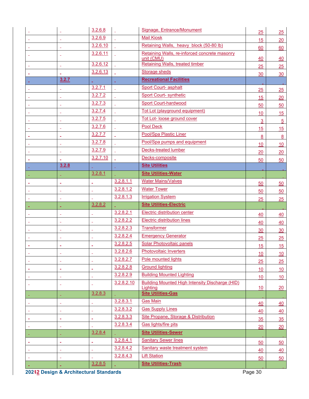|                          |                | 3.2.6.8        |                        | Signage, Entrance/Monument                                         | 25              | 25              |
|--------------------------|----------------|----------------|------------------------|--------------------------------------------------------------------|-----------------|-----------------|
|                          | ÷,             | 3.2.6.9        |                        | <b>Mail Kiosk</b>                                                  | 15              | 20              |
|                          | $\blacksquare$ | 3.2.6.10       |                        | Retaining Walls, heavy block (50-80 lb)                            | 60              | 60              |
|                          | $\equiv$       | 3.2.6.11       | ÷.                     | Retaining Walls, re-inforced concrete masonry<br>unit (CMU)        | 40              | 40              |
|                          | $\blacksquare$ | 3.2.6.12       |                        | Retaining Walls, treated timber                                    | 25              | 25              |
|                          |                | 3.2.6.13       |                        | <b>Storage sheds</b>                                               | 30              | 30              |
|                          | 3.2.7          |                |                        | <b>Recreational Facilities</b>                                     |                 |                 |
|                          | L,             | 3.2.7.1        | ä,                     | <b>Sport Court- asphalt</b>                                        | 25              | 25              |
|                          | ۳              | 3.2.7.2        |                        | <b>Sport Court-synthetic</b>                                       | 15              | 20              |
|                          | ÷              | 3.2.7.3        | $\Box$                 | <b>Sport Court-hardwood</b>                                        | 50              | 50              |
| $\equiv$                 | $\blacksquare$ | 3.2.7.4        | L.                     | Tot Lot (playground equipment)                                     | 10 <sup>°</sup> | 15              |
| $\overline{\phantom{0}}$ | $\blacksquare$ | 3.2.7.5        | ä,                     | Tot Lot- loose ground cover                                        | $\overline{3}$  | $\overline{5}$  |
|                          | ÷              | 3.2.7.6        | ÷,                     | Pool Deck                                                          | 15              | 15              |
|                          | ÷,             | 3.2.7.7        | L.                     | Pool/Spa Plastic Liner                                             | 8               | 8               |
|                          | $\equiv$       | 3.2.7.8        |                        | Pool/Spa pumps and equipment                                       | 10              | 10 <sub>1</sub> |
|                          | $\equiv$       | 3.2.7.9        | L,                     | <b>Decks-treated lumber</b>                                        | 20              | 20              |
|                          | $\blacksquare$ | 3.2.7.10       |                        | Decks-composite                                                    | 50              | 50              |
|                          | 3.2.8          | ä,             | ä,                     | <b>Site Utilities</b>                                              |                 |                 |
|                          |                | 3.2.8.1        |                        | <b>Site Utilities-Water</b>                                        |                 |                 |
|                          |                |                | 3.2.8.1.1              | <b>Water Mains/Valves</b>                                          | 50              | 50              |
|                          | ۳              | ÷              | 3.2.8.1.2              | <b>Water Tower</b>                                                 | 50              | 50              |
|                          | ÷              |                | 3.2.8.1.3              | <b>Irrigation System</b>                                           | 25              | 25              |
|                          | Ξ              | 3.2.8.2        |                        | <b>Site Utilities-Electric</b>                                     |                 |                 |
| $\blacksquare$           | $\blacksquare$ | $\sim$         | 3.2.8.2.1              | <b>Electric distribution center</b>                                | 40              | 40              |
|                          | $\equiv$       | $\blacksquare$ | 3.2.8.2.2              | <b>Electric distribution lines</b>                                 | 40              | 40              |
|                          | ÷,             | L.             | 3.2.8.2.3              | Transformer                                                        | 30              | 30              |
|                          | ÷              | ä,             | 3.2.8.2.4              | <b>Emergency Generator</b>                                         | 25              | 25              |
|                          | $\blacksquare$ | $\equiv$       | 3.2.8.2.5              | Solar Photovoltaic panels                                          | 15              | 15              |
|                          |                |                | $3.2.8.2.\overline{6}$ | <b>Photovoltaic Inverters</b>                                      | 10              | 10              |
|                          | ÷,             | ä,             | 3.2.8.2.7              | Pole mounted lights                                                | 25              | 25              |
| $\equiv$                 | ä,             | ä,             | 3.2.8.2.8              | <b>Ground lighting</b>                                             | 10              | 10              |
|                          |                | L.             | 3.2.8.2.9              | <b>Building Mounted Lighting</b>                                   | 10 <sup>°</sup> | 10 <sup>°</sup> |
| $\blacksquare$           | ÷,             | ÷,             | 3.2.8.2.10             | <b>Building Mounted High Intensity Discharge (HID)</b><br>Lighting | 10 <sup>°</sup> | 20 <sub>2</sub> |
|                          |                | 3.2.8.3        |                        | <b>Site Utilities-Gas</b>                                          |                 |                 |
| $\equiv$                 | $\equiv$       | ÷,             | 3.2.8.3.1              | <b>Gas Main</b>                                                    | 40              | 40              |
| $\blacksquare$           | $\blacksquare$ | ÷,             | 3.2.8.3.2              | <b>Gas Supply Lines</b>                                            | 40              | 40              |
|                          | $\equiv$       | ÷,             | 3.2.8.3.3              | Site Propane, Storage & Distribution                               | 35              | 35              |
| $\blacksquare$           | ÷,             | ÷.             | 3.2.8.3.4              | <b>Gas lights/fire pits</b>                                        | 20              | 20              |
|                          |                | 3.2.8.4        |                        | <b>Site Utilities-Sewer</b>                                        |                 |                 |
|                          | ÷,             | ÷,             | 3.2.8.4.1              | <b>Sanitary Sewer lines</b>                                        | 50              | 50              |
| ۰                        | ÷              |                | 3.2.8.4.2              | <b>Sanitary waste treatment system</b>                             | 40              | 40              |
|                          | ÷              | ä,             | 3.2.8.4.3              | <b>Lift Station</b>                                                | 50              | 50              |
|                          |                | 3.2.8.5        |                        | <b>Site Utilities-Trash</b>                                        |                 |                 |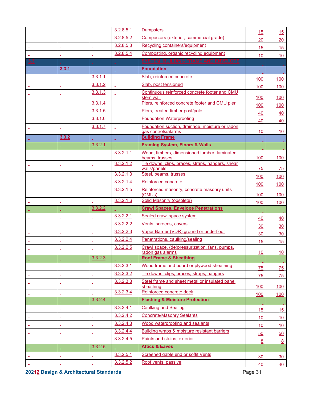|                |                          |                      | 3.2.8.5.1      | <b>Dumpsters</b>                                                  | 15              | 15              |
|----------------|--------------------------|----------------------|----------------|-------------------------------------------------------------------|-----------------|-----------------|
|                | ÷.                       | $\ddot{\phantom{1}}$ | 3.2.8.5.2      | Compactors (exterior, commercial grade)                           | 20              | 20              |
|                |                          |                      | 3.2.8.5.3      | <b>Recycling containers/equipment</b>                             | 15              | 15              |
|                | ÷                        | ÷                    | 3.2.8.5.4      | Composting, organic recycling equipment                           | 10 <sup>°</sup> | 10 <sup>°</sup> |
| 3.3            |                          |                      |                | <b>SYSTEM: BUILDING FRAME AND ENVELOPE</b>                        |                 |                 |
|                | 3.3.1                    |                      | $\sim$         | <b>Foundation</b>                                                 |                 |                 |
|                | ÷                        | 3.3.1.1              | $\overline{a}$ | Slab, reinforced concrete                                         | 100             | 100             |
|                |                          | 3.3.1.2              | L,             | Slab, post tensioned                                              | 100             | 100             |
|                | ÷                        | 3.3.1.3              |                | Continuous reinforced concrete footer and CMU<br>stem wall        | 100             | 100             |
|                | ÷                        | 3.3.1.4              |                | Piers, reinforced concrete footer and CMU pier                    | 100             | 100             |
|                | $\blacksquare$           | 3.3.1.5              |                | Piers, treated timber post/pole                                   | 40              | 40              |
|                | ÷.                       | 3.3.1.6              |                | <b>Foundation Waterproofing</b>                                   | 40              | 40              |
|                | ÷,                       | 3.3.1.7              |                | Foundation suction, drainage, moisture or radon                   |                 |                 |
|                | 3.3.2                    |                      |                | gas controls/alarms<br><b>Building Frame</b>                      | 10              | 10              |
|                |                          | 3.3.2.1              | $\sim$         | <b>Framing System, Floors &amp; Walls</b>                         |                 |                 |
|                |                          |                      | 3.3.2.1.1      | Wood, timbers, dimensioned lumber, laminated                      |                 |                 |
|                | ÷                        |                      |                | beams, trusses                                                    | 100             | 100             |
|                | ÷,                       | L,                   | 3.3.2.1.2      | Tie downs, clips, braces, straps, hangers, shear<br>walls/panels  | 75              | $\overline{75}$ |
|                | $\overline{\phantom{a}}$ | $\equiv$             | 3.3.2.1.3      | Steel, beams, trusses                                             | 100             | 100             |
|                | ÷,                       | $\equiv$             | 3.3.2.1.4      | Reinforced concrete                                               | 100             | 100             |
|                | $\equiv$                 | $\bar{\phantom{a}}$  | 3.3.2.1.5      | Reinforced masonry, concrete masonry units<br>(CMUs)              | 100             | 100             |
|                |                          |                      |                |                                                                   |                 |                 |
|                | $\equiv$                 |                      | 3.3.2.1.6      | <b>Solid Masonry (obsolete)</b>                                   | 100             | 100             |
|                |                          | 3.3.2.2              |                | <b>Crawl Spaces, Envelope Penetrations</b>                        |                 |                 |
|                |                          | ä,                   | 3.3.2.2.1      | Sealed crawl space system                                         | 40              | 40              |
|                | ä,                       | ä,                   | 3.3.2.2.2      | Vents, screens, covers                                            | 30              | 30              |
|                | $\equiv$                 | ÷,                   | 3.3.2.2.3      | Vapor Barrier (VDR) ground or underfloor                          | 30              | 30              |
|                | $\overline{\phantom{a}}$ | ÷                    | 3.3.2.2.4      | Penetrations, caulking/sealing                                    | 15              | 15              |
|                |                          |                      | 3.3.2.2.5      | Crawl space, (de)pressurization, fans, pumps,<br>radon gas alarms | 10 <sup>°</sup> | 10              |
|                |                          | 3.3.2.3              |                | <b>Roof Frame &amp; Sheathing</b>                                 |                 |                 |
| $\blacksquare$ | $\blacksquare$           | ä,                   | 3.3.2.3.1      | Wood frame and board or plywood sheathing                         | 75              | 75              |
|                | ÷,                       | L,                   | 3.3.2.3.2      | Tie downs, clips, braces, straps, hangers                         | 75              | 75              |
| ÷              | ÷,                       | ÷,                   | 3.3.2.3.3      | Steel frame and sheet metal or insulated panel                    |                 |                 |
|                | ۳                        |                      | 3.3.2.3.4      | sheathing<br>Reinforced concrete deck                             | 100             | 100             |
|                | ÷                        | 3.3.2.4              |                | <b>Flashing &amp; Moisture Protection</b>                         | 100             | 100             |
| $\equiv$       | $\blacksquare$           | $\blacksquare$       | 3.3.2.4.1      | <b>Caulking and Sealing</b>                                       | 15              |                 |
| $\blacksquare$ | $\equiv$                 | $\equiv$             | 3.3.2.4.2      | <b>Concrete/Masonry Sealants</b>                                  | 10              | 15<br>10        |
|                |                          |                      | 3.3.2.4.3      | Wood waterproofing and sealants                                   | 10 <sup>°</sup> | 10              |
|                | ÷,                       | ÷,                   | 3.3.2.4.4      | <b>Building wraps &amp; moisture resistant barriers</b>           | 50              | 50              |
|                | ÷                        |                      | 3.3.2.4.5      | Paints and stains, exterior                                       | 8               | 8               |
|                | ÷                        | 3.3.2.5              |                | <b>Attics &amp; Eaves</b>                                         |                 |                 |
| $\blacksquare$ | $\equiv$                 | $\blacksquare$       | 3.3.2.5.1      | Screened gable end or soffit Vents<br>Roof vents, passive         | 30              | 30              |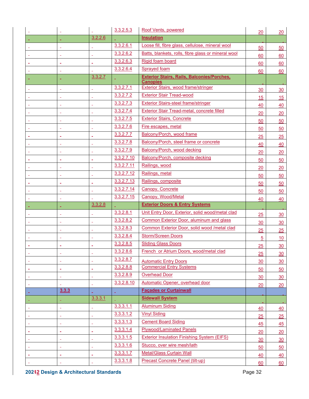|                |                |                          | 3.3.2.5.3              | Roof Vents, powered                                                  | 20                    | 20                   |
|----------------|----------------|--------------------------|------------------------|----------------------------------------------------------------------|-----------------------|----------------------|
|                |                | 3.2.2.6                  |                        | <b>Insulation</b>                                                    |                       |                      |
|                |                |                          | 3.3.2.6.1              | Loose fill, fibre glass, cellulose, mineral wool                     | 50                    | 50                   |
|                | $\blacksquare$ | ÷,                       | 3.3.2.6.2              | Batts, blankets, rolls, fibre glass or mineral wool                  | 60                    | 60                   |
|                | ÷              |                          | 3.3.2.6.3              | <b>Rigid foam board</b>                                              | 60                    | 60                   |
|                | $\equiv$       |                          | 3.3.2.6.4              | <b>Sprayed foam</b>                                                  | 60                    | 60                   |
|                | ÷              | 3.3.2.7                  |                        | <b>Exterior Stairs, Rails, Balconies/Porches,</b><br><b>Canopies</b> |                       |                      |
|                | ÷,             |                          | 3.3.2.7.1              | <b>Exterior Stairs, wood frame/stringer</b>                          | 30                    | 30                   |
|                | ÷              | ÷,                       | 3.3.2.7.2              | <b>Exterior Stair Tread-wood</b>                                     | 15                    | 15                   |
|                | ÷              |                          | 3.3.2.7.3              | <b>Exterior Stairs-steel frame/stringer</b>                          | 40                    | 40                   |
|                | $\blacksquare$ | L,                       | 3.3.2.7.4              | Exterior Stair Tread-metal, concrete filled                          | 20                    | 20                   |
|                | $\blacksquare$ | ÷,                       | 3.3.2.7.5              | <b>Exterior Stairs, Concrete</b>                                     | 50                    | 50                   |
|                | $\equiv$       |                          | 3.3.2.7.6              | Fire escapes, metal                                                  | 50                    | 50                   |
|                | ÷,             | L.                       | 3.3.2.7.7              | Balcony/Porch, wood frame                                            | 25                    | 25                   |
|                | $\blacksquare$ | ä,                       | 3.3.2.7.8              | Balcony/Porch, steel frame or concrete                               | 40                    | 40                   |
|                | $\blacksquare$ | $\equiv$                 | 3.3.2.7.9              | Balcony/Porch, wood decking                                          | 20                    | 20                   |
|                | ÷              | $\overline{\phantom{a}}$ | 3.3.2.7.10             | Balcony/Porch, composite decking                                     | 50                    | 50                   |
|                | $\blacksquare$ | ä,                       | 3.3.2.7.11             | Railings, wood                                                       | 20                    | 20                   |
|                | $\blacksquare$ | $\bar{\phantom{a}}$      | 3.3.2.7.12             | Railings, metal                                                      | 50                    | 50                   |
|                |                |                          | 3.3.2.7.13             | Railings, composite                                                  | 50                    | 50                   |
|                | ÷              | ÷,                       | 3.3.2.7.14             | Canopy, Concrete                                                     | 50                    | 50                   |
|                |                |                          |                        |                                                                      |                       |                      |
|                | ÷              |                          | 3.3.2.7.15             | Canopy, Wood/Metal                                                   | 40                    |                      |
|                | ÷,             | 3.3.2.8                  |                        | <b>Exterior Doors &amp; Entry Systems</b>                            |                       | 40                   |
| $\blacksquare$ | $\blacksquare$ |                          | 3.3.2.8.1              | Unit Entry Door, Exterior, solid wood/metal clad                     |                       |                      |
|                | $\equiv$       |                          | 3.3.2.8.2              | Common Exterior Door, aluminum and glass                             | 25<br>30              | 30<br>30             |
|                | ÷,             | L.                       | 3.3.2.8.3              | Common Exterior Door, solid wood /metal clad                         | 25                    | 25                   |
|                | ÷              |                          | 3.3.2.8.4              | <b>Storm/Screen Doors</b>                                            | 5                     | 10 <sup>°</sup>      |
|                | $\blacksquare$ | $\equiv$                 | 3.3.2.8.5              | <b>Sliding Glass Doors</b>                                           | 25                    | 30                   |
|                |                |                          | 3.3.2.8.6              | French or Atrium Doors, wood/metal clad                              |                       |                      |
|                | $\equiv$       | ä,                       | 3.3.2.8.7              | <b>Automatic Entry Doors</b>                                         | $\overline{25}$<br>30 | $\frac{30}{5}$<br>30 |
| $\equiv$       | ÷,             | ä,                       | 3.3.2.8.8              | <b>Commercial Entry Systems</b>                                      | 50                    |                      |
|                |                |                          | 3.3.2.8.9              | <b>Overhead Door</b>                                                 | 30                    | 50                   |
| $\blacksquare$ | ÷              | ÷,                       | 3.3.2.8.10             | Automatic Opener, overhead door                                      |                       | 30 <sub>2</sub>      |
|                | 3.3.3          |                          |                        | <b>Façades or Curtainwall</b>                                        | 20                    | 20                   |
|                |                | 3.3.3.1                  |                        | <b>Sidewall System</b>                                               |                       |                      |
| $\blacksquare$ | $\blacksquare$ | ÷,                       | 3.3.3.1.1              | <b>Aluminum Siding</b>                                               | 40                    | 40                   |
|                | $\equiv$       |                          | 3.3.3.1.2              | <b>Vinyl Siding</b>                                                  | 25                    | 25                   |
| $\blacksquare$ | ÷,             | L.                       | 3.3.3.1.3              | <b>Cement Board Siding</b>                                           | 45                    | 45                   |
|                |                |                          | 3.3.3.1.4              | <b>Plywood/Laminated Panels</b>                                      | 20                    | 20                   |
| $\equiv$       | $\equiv$       | $\equiv$                 | 3.3.3.1.5              | <b>Exterior Insulation Finishing System (EIFS)</b>                   | 30                    | 30 <sub>2</sub>      |
| ۰              | ÷              | ÷,                       | 3.3.3.1.6              | Stucco, over wire mesh/lath                                          | 50                    | 50                   |
|                | $\blacksquare$ | ÷,                       | 3.3.3.1.7<br>3.3.3.1.8 | <b>Metal/Glass Curtain Wall</b><br>Precast Concrete Panel (tilt-up)  | 40                    | 40                   |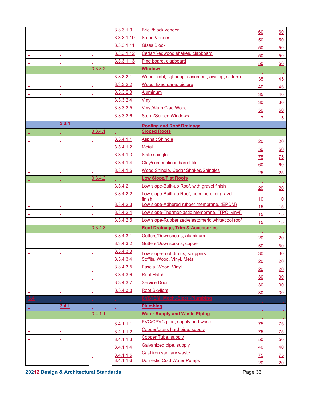|                | $\equiv$       |                          | 3.3.3.1.9  | <b>Brick/block veneer</b>                        | 60              | 60              |
|----------------|----------------|--------------------------|------------|--------------------------------------------------|-----------------|-----------------|
|                | $\equiv$       | $\bar{\phantom{a}}$      | 3.3.3.1.10 | <b>Stone Veneer</b>                              | 50              | 50              |
|                | ÷              |                          | 3.3.3.1.11 | <b>Glass Block</b>                               | 50              | 50              |
|                | ۳              | ÷,                       | 3.3.3.1.12 | Cedar/Redwood shakes, clapboard                  | 50              | 50              |
|                | ÷              |                          | 3.3.3.1.13 | Pine board, clapboard                            | 50              | 50              |
|                | ÷              | 3.3.3.2                  |            | <b>Windows</b>                                   |                 |                 |
|                | ÷              | $\blacksquare$           | 3.3.3.2.1  | Wood, (dbl, sgl hung, casement, awning, sliders) | 35              | 45              |
|                | ÷              | $\blacksquare$           | 3.3.3.2.2  | Wood, fixed pane, picture                        | 40              | 45              |
|                | ÷,             | L.                       | 3.3.3.2.3  | <b>Aluminum</b>                                  | 35              | 40              |
|                | $\blacksquare$ | ä,                       | 3.3.3.2.4  | Vinyl                                            | 30              | 30              |
|                | ÷              | $\equiv$                 | 3.3.3.2.5  | <b>Vinyl/Alum Clad Wood</b>                      | 50              | 50              |
|                |                |                          | 3.3.3.2.6  | <b>Storm/Screen Windows</b>                      | 7               | 15 <sub>1</sub> |
|                | 3.3.4          | ä,                       |            | <b>Roofing and Roof Drainage</b>                 |                 |                 |
|                |                | 3.3.4.1                  |            | <b>Sloped Roofs</b>                              |                 |                 |
|                |                |                          | 3.3.4.1.1  | <b>Asphalt Shingle</b>                           | 20              | 20              |
|                | ۳              | ÷,                       | 3.3.4.1.2  | Metal                                            | 50              | 50              |
|                | ÷              | $\overline{\phantom{a}}$ | 3.3.4.1.3  | <b>Slate shingle</b>                             | 75              | 75              |
|                | $\blacksquare$ | ä,                       | 3.3.4.1.4  | Clay/cementitious barrel tile                    |                 |                 |
|                | ÷              |                          | 3.3.4.1.5  | Wood Shingle, Cedar Shakes/Shingles              | 60              | 60              |
|                |                | 3.3.4.2                  |            | <b>Low Slope/Flat Roofs</b>                      | 25              | 25              |
|                | ٠<br>÷,        | L.                       | 3.3.4.2.1  | Low slope-Built-up Roof, with gravel finish      |                 |                 |
|                | ÷,             | ä,                       | 3.3.4.2.2  | Low slope-Built-up Roof, no mineral or gravel    | 20              | 20              |
|                |                |                          |            | finish                                           | 10 <sup>1</sup> | 10 <sup>°</sup> |
|                | ÷              | $\equiv$                 | 3.3.4.2.3  | Low slope-Adhered rubber membrane, (EPDM)        | 15              | 15 <sub>1</sub> |
|                | $\blacksquare$ |                          | 3.3.4.2.4  | Low slope-Thermoplastic membrane, (TPO, vinyl)   | 15              | 15 <sub>1</sub> |
|                | $\blacksquare$ |                          | 3.3.4.2.5  | Low slope-Rubberized/elastomeric white/cool roof | 15              | 15              |
|                | ٠              | 3.3.4.3                  |            | Roof Drainage, Trim & Accessories                |                 |                 |
|                |                |                          | 3.3.4.3.1  | Gutters/Downspouts, aluminum                     | 20              | 20              |
|                | ÷              | ä,                       | 3.3.4.3.2  | Gutters/Downspouts, copper                       | 50              | 50              |
|                |                |                          | 3.3.4.3.3  | Low slope-roof drains, scuppers                  | 30              | $\frac{30}{2}$  |
| $\blacksquare$ | $\blacksquare$ |                          | 3.3.4.3.4  | Soffits, Wood, Vinyl, Metal                      | 20              | 20              |
| $\blacksquare$ | $\blacksquare$ |                          | 3.3.4.3.5  | Fascia, Wood, Vinyl                              | 20              | 20              |
|                | ÷              |                          | 3.3.4.3.6  | <b>Roof Hatch</b>                                | 30              | 30              |
| $\blacksquare$ | ÷,             |                          | 3.3.4.3.7  | <b>Service Door</b>                              | 30              | 30              |
| $\Box$         | ÷              | ÷,                       | 3.3.4.3.8  | <b>Roof Skylight</b>                             | 30              | 30              |
| <u>3.4</u>     |                |                          |            | <b>SYSTEM: Mech.-Elect.-Plumbing</b>             |                 |                 |
|                | 3.4.1          |                          | ä,         | <b>Plumbing</b>                                  |                 |                 |
|                |                | 3.4.1.1                  |            | <b>Water Supply and Waste Piping</b>             |                 |                 |
| $\equiv$       | ÷,             | ä,                       | 3.4.1.1.1  | PVC/CPVC pipe, supply and waste                  | 75              | 75              |
|                |                |                          | 3.4.1.1.2  | Copper/brass hard pipe, supply                   | 75              | 75              |
| $\equiv$       | ÷              |                          | 3.4.1.1.3  | Copper Tube, supply                              | 50              | 50              |
|                | ۳              |                          | 3.4.1.1.4  | <b>Galvanized pipe, supply</b>                   | 40              | 40              |
| $\blacksquare$ | ÷.             |                          | 3.4.1.1.5  | Cast iron sanitary waste                         | $\overline{75}$ | $\frac{75}{2}$  |
|                | ÷,             |                          | 3.4.1.1.6  | <b>Domestic Cold Water Pumps</b>                 | 20              | 20              |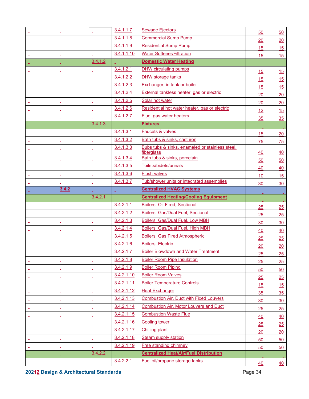|                          |                          |                          | 3.4.1.1.7  | <b>Sewage Ejectors</b>                                                          | 50              | 50              |
|--------------------------|--------------------------|--------------------------|------------|---------------------------------------------------------------------------------|-----------------|-----------------|
| $\equiv$                 | ÷,                       |                          | 3.4.1.1.8  | <b>Commercial Sump Pump</b>                                                     | 20              | 20              |
| $\blacksquare$           | $\overline{\phantom{a}}$ |                          | 3.4.1.1.9  | <b>Residential Sump Pump</b>                                                    | 15              | 15              |
| $\blacksquare$           | ÷,                       | ÷.                       | 3.4.1.1.10 | <b>Water Softener/Filtration</b>                                                | 15 <sub>1</sub> | 15              |
|                          | Ξ                        | 3.4.1.2                  |            | <b>Domestic Water Heating</b>                                                   |                 |                 |
|                          | $\blacksquare$           |                          | 3.4.1.2.1  | <b>DHW</b> circulating pumps                                                    | 15              | 15              |
| $\overline{\phantom{0}}$ | ä,                       |                          | 3.4.1.2.2  | <b>DHW</b> storage tanks                                                        | 15              | 15              |
| $\equiv$                 |                          |                          | 3.4.1.2.3  | Exchanger, in tank or boiler                                                    | 15              | 15              |
|                          | $\blacksquare$           | $\equiv$                 | 3.4.1.2.4  | External tankless heater, gas or electric                                       | 20              | 20              |
| $\equiv$                 | ÷,                       |                          | 3.4.1.2.5  | Solar hot water                                                                 | 20              | 20              |
| $\equiv$                 | $\equiv$                 | ÷,                       | 3.4.1.2.6  | Residential hot water heater, gas or electric                                   | 12              | 15              |
|                          |                          |                          | 3.4.1.2.7  | Flue, gas water heaters                                                         | 35              | 35              |
|                          |                          | 3.4.1.3                  |            | <b>Fixtures</b>                                                                 |                 |                 |
| $\equiv$                 | ÷.                       |                          | 3.4.1.3.1  | <b>Faucets &amp; valves</b>                                                     | 15              | 20              |
| $\blacksquare$           | $\blacksquare$           | $\overline{\phantom{a}}$ | 3.4.1.3.2  | Bath tubs & sinks, cast iron                                                    | 75              | 75              |
| $\equiv$                 | ÷,                       | L,                       | 3.4.1.3.3  | Bubs tubs & sinks, enameled or stainless steel,                                 |                 |                 |
|                          |                          |                          | 3.4.1.3.4  | fiberglass<br>Bath tubs & sinks, porcelain                                      | 40              | 40              |
| $\blacksquare$           | $\blacksquare$           | ÷.                       | 3.4.1.3.5  | Toilets/bidets/urinals                                                          | 50              | 50              |
|                          | $\blacksquare$           | $\blacksquare$           | 3.4.1.3.6  | <b>Flush valves</b>                                                             | 40              | 40              |
| $\blacksquare$           | $\blacksquare$           | Ē,                       | 3.4.1.3.7  | Tub/shower units or integrated assemblies                                       | 10 <sup>°</sup> | 15              |
|                          | 3.4.2                    |                          |            | <b>Centralized HVAC Systems</b>                                                 | 30              | 30              |
|                          |                          | 3.4.2.1                  |            | <b>Centralized Heating/Cooling Equipment</b>                                    |                 |                 |
|                          |                          |                          |            |                                                                                 |                 |                 |
|                          |                          |                          |            |                                                                                 |                 |                 |
| $\blacksquare$           | $\blacksquare$           | ÷,                       | 3.4.2.1.1  | Boilers, Oil Fired, Sectional                                                   | 25              | 25              |
| $\equiv$                 | $\blacksquare$           | $\equiv$                 | 3.4.2.1.2  | Boilers, Gas/Dual Fuel, Sectional                                               | 25              | 25              |
|                          | $\equiv$                 | $\blacksquare$           | 3.4.2.1.3  | Boilers, Gas/Dual Fuel, Low MBH                                                 | 30              | 30              |
| $\equiv$                 | ÷,                       | L,                       | 3.4.2.1.4  | Boilers, Gas/Dual Fuel, High MBH                                                | 40              | 40              |
| $\blacksquare$           | $\blacksquare$           |                          | 3.4.2.1.5  | <b>Boilers, Gas Fired Atmospheric</b>                                           | 25              | 25              |
| $\blacksquare$           | $\blacksquare$           | $\blacksquare$           | 3.4.2.1.6  | <b>Boilers, Electric</b>                                                        | 20              | 20              |
| $\overline{\phantom{a}}$ | $\overline{\phantom{0}}$ |                          | 3.4.2.1.7  | <b>Boiler Blowdown and Water Treatment</b>                                      | 25              | $\overline{25}$ |
| $\overline{\phantom{a}}$ | $\equiv$                 | L,                       | 3.4.2.1.8  | <b>Boiler Room Pipe Insulation</b>                                              | 25              | 25              |
| $\blacksquare$           | ÷,                       | L,                       | 3.4.2.1.9  | <b>Boiler Room Piping</b>                                                       | 50              | 50              |
| $\blacksquare$           |                          |                          | 3.4.2.1.10 | <b>Boiler Room Valves</b>                                                       | 25              | 25              |
| $\equiv$                 | $\blacksquare$           | $\equiv$                 | 3.4.2.1.11 | <b>Boiler Temperature Controls</b>                                              | 15              | 15              |
| $\equiv$                 | $\blacksquare$           |                          | 3.4.2.1.12 | <b>Heat Exchanger</b>                                                           | 35              | 35              |
| $\overline{\phantom{a}}$ | $\equiv$                 | $\blacksquare$           | 3.4.2.1.13 | <b>Combustion Air, Duct with Fixed Louvers</b>                                  | 30              | 30              |
| $\overline{\phantom{a}}$ | ÷,                       | ÷                        | 3.4.2.1.14 | <b>Combustion Air, Motor Louvers and Duct</b>                                   | 25              | 25              |
| $\blacksquare$           | $\blacksquare$           | L,                       | 3.4.2.1.15 | <b>Combustion Waste Flue</b>                                                    | 40              | 40              |
| $\blacksquare$           | ÷,                       | L,                       | 3.4.2.1.16 | <b>Cooling tower</b>                                                            | 25              | 25              |
| $\overline{\phantom{a}}$ | ÷                        |                          | 3.4.2.1.17 | Chilling plant                                                                  | 20              | 20              |
| $\equiv$                 | ÷                        | ÷                        | 3.4.2.1.18 | <b>Steam supply station</b>                                                     | 50              | 50              |
| $\overline{\phantom{a}}$ | $\blacksquare$           |                          | 3.4.2.1.19 | Free standing chimney                                                           | 50              | 50              |
|                          | $\equiv$                 | 3.4.2.2<br>÷,            | 3.4.2.2.1  | <b>Centralized Heat/Air/Fuel Distribution</b><br>Fuel oil/propane storage tanks | 40              | 40              |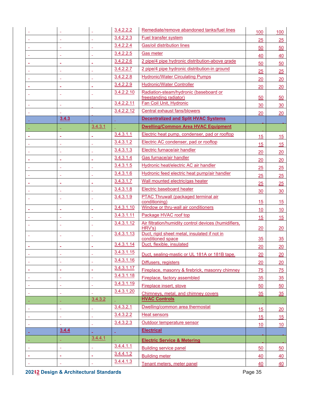|                          |                          |                          | 3.4.2.2.2  | Remediate/remove abandoned tanks/fuel lines                       | 100                   | 100                   |
|--------------------------|--------------------------|--------------------------|------------|-------------------------------------------------------------------|-----------------------|-----------------------|
|                          | $\ddot{\phantom{1}}$     | $\overline{\phantom{a}}$ | 3.4.2.2.3  | Fuel transfer system                                              | 25                    | 25                    |
|                          | $\bar{\phantom{a}}$      | $\overline{\phantom{a}}$ | 3.4.2.2.4  | <b>Gas/oil distribution lines</b>                                 | 50                    | 50                    |
|                          | $\blacksquare$           | $\blacksquare$           | 3.4.2.2.5  | <b>Gas meter</b>                                                  | 40                    | 40                    |
| $\overline{\phantom{0}}$ | $\blacksquare$           | $\overline{\phantom{0}}$ | 3.4.2.2.6  | 2 pipe/4 pipe hydronic distribution-above grade                   | 50                    | 50                    |
| ÷                        | $\equiv$                 | $\bar{\phantom{a}}$      | 3.4.2.2.7  | 2 pipe/4 pipe hydronic distribution-in ground                     | 25                    | 25                    |
| $\blacksquare$           | $\sim$                   | $\sim$                   | 3.4.2.2.8  | <b>Hydronic/Water Circulating Pumps</b>                           | 20                    | 20                    |
|                          |                          |                          | 3.4.2.2.9  | <b>Hydronic/Water Controller</b>                                  | 20                    | 20                    |
|                          | $\blacksquare$           | $\bar{\phantom{a}}$      | 3.4.2.2.10 | Radiation-steam/hydronic (baseboard or<br>freestanding radiator)  | 50                    | 50                    |
|                          | $\blacksquare$           |                          | 3.4.2.2.11 | Fan Coil Unit, Hydronic                                           | 30                    | 30 <sub>2</sub>       |
|                          | $\blacksquare$           |                          | 3.4.2.2.12 | Central exhaust fans/blowers                                      | 20                    | 20                    |
|                          | 3.4.3                    |                          |            | <b>Decentralized and Split HVAC Systems</b>                       |                       |                       |
|                          |                          | 3.4.3.1                  |            | <b>Dwelling/Common Area HVAC Equipment</b>                        |                       |                       |
|                          | $\equiv$                 |                          | 3.4.3.1.1  | Electric heat pump, condenser, pad or rooftop                     | 15                    | 15 <sub>15</sub>      |
|                          | $\overline{\phantom{0}}$ |                          | 3.4.3.1.2  | Electric AC condenser, pad or rooftop                             | 15                    | 15 <sub>1</sub>       |
|                          | ÷,                       | ÷                        | 3.4.3.1.3  | Electric furnace/air handler                                      | 20                    | 20                    |
|                          | $\blacksquare$           | $\blacksquare$           | 3.4.3.1.4  | Gas furnace/air handler                                           | 20                    | 20                    |
| $\blacksquare$           | $\blacksquare$           | $\bar{\phantom{a}}$      | 3.4.3.1.5  | Hydronic heat/electric AC air handler                             | 25                    | 25                    |
|                          | $\blacksquare$           | $\equiv$                 | 3.4.3.1.6  | Hydronic feed electric heat pump/air handler                      | 25                    | 25                    |
|                          | $\blacksquare$           | $\blacksquare$           | 3.4.3.1.7  | Wall mounted electric/gas heater                                  | 25                    | 25                    |
|                          | $\blacksquare$           | $\bar{\phantom{a}}$      | 3.4.3.1.8  | Electric baseboard heater                                         | 30                    | 30                    |
|                          | $\equiv$                 |                          | 3.4.3.1.9  | PTAC Thruwall (packaged terminal air                              |                       |                       |
|                          | ÷,                       | $\blacksquare$           | 3.4.3.1.10 | conditioning)<br>Window or thru-wall air conditioners             | 15<br>10 <sup>°</sup> | 15<br>10 <sup>°</sup> |
| $\overline{\phantom{0}}$ | $\blacksquare$           | $\equiv$                 | 3.4.3.1.11 | Package HVAC roof top                                             | 15                    | 15                    |
|                          | $\equiv$                 | $\equiv$                 | 3.4.3.1.12 | Air filtration/humidity control devices (humidifiers,             |                       |                       |
|                          |                          |                          |            | HRV's)                                                            | 20                    | 20                    |
|                          | $\overline{\phantom{a}}$ |                          | 3.4.3.1.13 | Duct, rigid sheet metal, insulated if not in<br>conditioned space | 35                    | 35                    |
|                          | ÷,                       | $\blacksquare$           | 3.4.3.1.14 | Duct, flexible, insulated                                         | 20                    | 20                    |
|                          |                          |                          | 3.4.3.1.15 | Duct, sealing-mastic or UL 181A or 181B tape.                     | 20                    | 20                    |
|                          |                          |                          | 3.4.3.1.16 | Diffusers, registers                                              | 20                    | 20                    |
| ۰                        | ÷                        | $\blacksquare$           | 3.4.3.1.17 | Fireplace, masonry & firebrick, masonry chimney                   | 75                    | 75                    |
| ٠                        |                          |                          | 3.4.3.1.18 | Fireplace, factory assembled                                      | 35                    | 35                    |
| $\blacksquare$           | $\blacksquare$           | $\blacksquare$           | 3.4.3.1.19 | Fireplace insert, stove                                           | 50                    | 50                    |
| $\blacksquare$           | $\blacksquare$           |                          | 3.4.3.1.20 | Chimneys, metal, and chimney covers                               | 35                    | 35                    |
|                          |                          | 3.4.3.2                  |            | <b>HVAC Controls</b>                                              |                       |                       |
|                          | ÷                        | $\blacksquare$           | 3.4.3.2.1  | Dwelling/common area thermostat                                   | 15                    | 20 <sub>2</sub>       |
|                          | ÷                        |                          | 3.4.3.2.2  | <b>Heat sensors</b>                                               | 15 <sub>15</sub>      | 15 <sub>15</sub>      |
| ÷                        | $\Box$                   | $\equiv$                 | 3.4.3.2.3  | Outdoor temperature sensor                                        | 10 <sub>1</sub>       | 10                    |
|                          | 3.4.4                    |                          | ÷.         | <b>Electrical</b>                                                 |                       |                       |
|                          | Ξ                        | 3.4.4.1                  |            | <b>Electric Service &amp; Metering</b>                            |                       |                       |
|                          | $\blacksquare$           | $\equiv$                 | 3.4.4.1.1  | <b>Building service panel</b>                                     | 50                    | 50                    |
|                          |                          |                          | 3.4.4.1.2  | <b>Building meter</b>                                             | 40                    | 40                    |
|                          | ÷                        | $\equiv$                 | 3.4.4.1.3  | Tenant meters, meter panel                                        | 40                    | 40                    |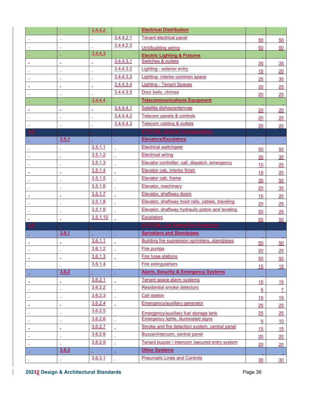|                          |                | 3.4.4.2              |                | <b>Electrical Distribution</b>                    |                  |                  |
|--------------------------|----------------|----------------------|----------------|---------------------------------------------------|------------------|------------------|
| $\blacksquare$           | $\blacksquare$ | ÷                    | 3.4.4.2.1      | <b>Tenant electrical panel</b>                    | 50               | 50               |
| $\overline{\phantom{a}}$ | ÷.             | ÷.                   | 3.4.4.2.2      | <b>Unit/building wiring</b>                       | 50               | 50               |
|                          | ٠              | 3.4.4.3              |                | <b>Electric Lighting &amp; Fixtures</b>           |                  |                  |
|                          | $\equiv$       | $\blacksquare$       | 3.4.4.3.1      | Switches & outlets                                | 35               | 35               |
|                          | ÷,             | ä,                   | 3.4.4.3.2      | <b>Lighting - exterior entry</b>                  | 15               | 20               |
|                          | ÷              | ÷,                   | 3.4.4.3.3      | Lighting- interior common space                   | 25               | 30               |
|                          | $\blacksquare$ | $\blacksquare$       | 3.4.4.3.4      | <b>Lighting - Tenant Spaces</b>                   | 20               | 25               |
| $\blacksquare$           | $\equiv$       | ä,                   | 3.4.4.3.5      | Door bells, chimes                                | 20               | 25               |
|                          | Ξ              | 3.4.4.4              |                | <b>Telecommunications Equipment</b>               |                  |                  |
| $\equiv$                 | $\blacksquare$ | $\ddot{\phantom{1}}$ | 3.4.4.4.1      | Satellite dishes/antennae                         | 20               | 20               |
|                          | ÷,             | $\bar{\phantom{a}}$  | 3.4.4.4.2      | Telecom panels & controls                         | 20               | 20               |
|                          | ÷              | ÷,                   | 3.4.4.4.3      | Telecom cabling & outlets                         | 20               | 20               |
| 5.5                      |                |                      |                | <b>SYSTEM: Vertical Transportation</b>            |                  |                  |
|                          | 3.5.1          |                      | ÷.             | <b>Elevators/Escalators</b>                       |                  |                  |
| $\overline{\phantom{a}}$ | ÷,             | 3.5.1.1              | L,             | <b>Electrical switchgear</b>                      | 50               | 50               |
|                          | $\equiv$       | 3.5.1.2              | $\overline{a}$ | <b>Electrical wiring</b>                          | 30               | 30               |
|                          | $\equiv$       | 3.5.1.3              | L.             | Elevator controller, call, dispatch, emergency    | 10 <sup>°</sup>  | 20               |
|                          | ÷              | 3.5.1.4              |                | Elevator cab, interior finish                     | 10 <sup>°</sup>  | 20               |
|                          | $\blacksquare$ | 3.5.1.5              | ä,             | Elevator cab, frame                               | 35               | 50               |
| $\blacksquare$           | $\blacksquare$ | 3.5.1.6              | L.             | Elevator, machinery                               | 20               | 30               |
| $\blacksquare$           | ÷              | 3.5.1.7              | L.             | Elevator, shaftway doors                          | 10 <sup>°</sup>  | 20               |
| $\equiv$                 | $\blacksquare$ | 3.5.1.8              | L.             | Elevator, shaftway hoist rails, cables, traveling | 20               | 25               |
| $\bar{\phantom{a}}$      | ÷,             | 3.5.1.9              | $\overline{a}$ | Elevator, shaftway hydraulic piston and leveling  | 20               | 25               |
|                          | ÷              | 3.5.1.10             |                | <b>Escalators</b>                                 | 50               | 50               |
|                          |                |                      |                | <b>SYSTEM: Life Safety/Fire Protection</b>        |                  |                  |
|                          | 3.6.1          |                      | $\blacksquare$ | <b>Sprinklers and Standpipes</b>                  |                  |                  |
|                          |                | 3.6.1.1              |                | Building fire supression sprinklers, standpipes   | 50               | 50               |
|                          | $\equiv$       | 3.6.1.2              |                | <b>Fire pumps</b>                                 | 20               | 20               |
|                          | ÷              | 3.6.1.3              |                | <b>Fire hose stations</b>                         | 50               | 50               |
| $\blacksquare$           | ÷              | 3.6.1.4              |                | Fire extinguishers                                | 10 <sup>°</sup>  | 15               |
|                          | 3.6.2          |                      | ä,             | <b>Alarm, Security &amp; Emergency Systems</b>    |                  |                  |
| $\blacksquare$           | ÷,             | 3.6.2.1              | ä,             | Tenant space alarm systems                        | 10 <sup>°</sup>  | 15               |
| $\blacksquare$           | $\blacksquare$ | 3.6.2.2              | $\Box$         | Residential smoke detectors                       | $\overline{5}$   | $\mathcal{I}$    |
|                          | $\blacksquare$ | 3.6.2.3              | $\equiv$       | <b>Call station</b>                               | 10               | 15               |
| $\blacksquare$           | ä,             | 3.6.2.4              | L.             | <b>Emergency/auxillary generator</b>              | 25               | 25               |
|                          | ÷              | 3.6.2.5              |                | Emergency/auxillary fuel storage tank             | 25               | 25               |
| $\overline{\phantom{a}}$ | ÷              | 3.6.2.6              | ÷,             | <b>Emergency lights, illuminated signs</b>        | $\overline{5}$   | 10               |
| $\blacksquare$           | ÷,             | 3.6.2.7              | $\equiv$       | Smoke and fire detection system, central panel    | 15 <sub>15</sub> | 15 <sub>15</sub> |
| $\equiv$                 | $\equiv$       | 3.6.2.8              |                | Buzzer/intercom, central panel                    | 20               | 20 <sub>2</sub>  |
|                          | $\blacksquare$ | 3.6.2.9              | L.             | Tenant buzzer / intercom /secured entry system    | 20               | 20 <sub>2</sub>  |
|                          | 3.6.3          |                      |                | <b>Other Systems</b>                              |                  |                  |
|                          | ÷              | 3.6.3.1              |                | <b>Pneumatic Lines and Controls</b>               | 30 <sub>2</sub>  | 30 <sub>2</sub>  |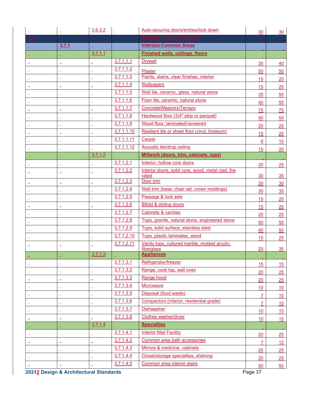|                          |                      | 3.6.3.2        |            | Auto-securing doors/entries/lock down                       | 30              | 30              |
|--------------------------|----------------------|----------------|------------|-------------------------------------------------------------|-----------------|-----------------|
|                          |                      |                |            | <b>SYSTEM: Interior Eleme</b>                               |                 |                 |
|                          | 3.7.1                |                |            | <b>Interiors-Common Areas</b>                               |                 |                 |
|                          |                      | 3.7.1.1        |            | <b>Finished walls, ceilings, floors</b>                     |                 |                 |
|                          | $\blacksquare$       | ä,             | 3.7.1.1.1  | <b>Drywall</b>                                              | 35              | 40              |
|                          | $\blacksquare$       | ÷,             | 3.7.1.1.2  | Plaster                                                     | 50              | 50              |
|                          | $\blacksquare$       | ÷,             | 3.7.1.1.3  | Paints, stains, clear finishes, interior                    | 15              | 20              |
|                          |                      | ÷,             | 3.7.1.1.4  | <b>Wallpapers</b>                                           | 15              | 20              |
|                          | ÷,                   | ÷,             | 3.7.1.1.5  | Wall tile, ceramic, glass, natural stone                    | 35              | 50              |
|                          | $\blacksquare$       | $\blacksquare$ | 3.7.1.1.6  | Floor tile, ceramic, natural stone                          | 40              | 50              |
|                          | $\equiv$             | $\blacksquare$ | 3.7.1.1.7  | Concrete/Masonry/Terrazo                                    | $\overline{75}$ | 75              |
| $\blacksquare$           | $\equiv$             | ÷,             | 3.7.1.1.8  | Hardwood floor (3/4" strip or parquet)                      | 50              | 50              |
|                          | $\equiv$             | ä,             | 3.7.1.1.9  | Wood floor, laminated/veneered                              | 20              | 25              |
|                          | $\blacksquare$       | ÷,             | 3.7.1.1.10 | Resilient tile or sheet floor (vinyl, linoleum)             | 15              | 20              |
|                          | ÷                    | ÷              | 3.7.1.1.11 | Carpet                                                      | 6               | 10 <sup>°</sup> |
|                          | $\blacksquare$       | ÷.             | 3.7.1.1.12 | Acoustic tile/drop ceiling                                  | 15              | 20              |
|                          | Ξ                    | 3.7.1.2        |            | Millwork (doors, trim, cabinets, tops)                      |                 |                 |
|                          | $\equiv$             | ä,             | 3.7.1.2.1  | Interior, hollow core doors                                 | 20              | 25              |
|                          | L,                   | L,             | 3.7.1.2.2  | Interior doors, solid core, wood, metal clad, fire<br>rated | 30              | 35              |
|                          | $\equiv$             | L,             | 3.7.1.2.3  | Door trim                                                   | 20              | 30              |
|                          | ÷,                   | ä,             | 3.7.1.2.4  | Wall trim (base, chair rail, crown moldings)                | 30              | 35              |
|                          | $\blacksquare$       | ÷              | 3.7.1.2.5  | Passage & lock sets                                         | 15              | 20 <sub>2</sub> |
|                          | $\blacksquare$       | ÷,             | 3.7.1.2.6  | <b>Bifold &amp; sliding doors</b>                           | 15              | 20              |
| $\sim$                   | $\blacksquare$       | $\blacksquare$ | 3.7.1.2.7  | <b>Cabinets &amp; vanities</b>                              | 20              | 25              |
|                          | $\blacksquare$       | ÷,             | 3.7.1.2.8  | Tops, granite, natural stone, engineered stone              | 50              | 50              |
|                          | ä,                   | ÷,             | 3.7.1.2.9  | Tops, solid surface, stainless steel                        | 40              | 50              |
|                          | $\blacksquare$       | ÷,             | 3.7.1.2.10 | Tops, plastic laminates, wood                               | 15              | 25              |
|                          | $\blacksquare$       | ÷,             | 3.7.1.2.11 | Vanity tops, cultured marble, molded arcylic,               |                 |                 |
|                          |                      | <u>3.7.1.3</u> |            | fiberglass<br><b>Appliances</b>                             | 25              | 35              |
|                          |                      |                | 3.7.1.3.1  | Refrigerator/freezer                                        |                 |                 |
| $\blacksquare$<br>$\Box$ | $\equiv$<br>$\equiv$ | $\equiv$<br>÷, | 3.7.1.3.2  | Range, cook top, wall oven                                  | 15              | 15              |
| $\blacksquare$           | $\bar{\phantom{a}}$  | $\blacksquare$ | 3.7.1.3.3  | Range hood                                                  | 20<br>20        | 25<br>25        |
| $\blacksquare$           | $\blacksquare$       | ÷,             | 3.7.1.3.4  | Microwave                                                   |                 | 10              |
| ÷,                       | $\blacksquare$       | ÷,             | 3.7.1.3.5  | Disposal (food waste)                                       | 10<br>7         | 10              |
| $\equiv$                 | $\equiv$             | $\equiv$       | 3.7.1.3.6  | Compactors (interior, residential grade)                    | $\overline{7}$  | 10 <sup>°</sup> |
| $\blacksquare$           | $\equiv$             | $\blacksquare$ | 3.7.1.3.7  | <b>Dishwasher</b>                                           | 10              |                 |
| ÷,                       | $\blacksquare$       | $\equiv$       | 3.7.1.3.8  | <b>Clothes washer/dryer</b>                                 |                 | 15              |
|                          |                      | 3.7.1.4        |            | <b>Specialties</b>                                          | 10              | 15              |
|                          | $\blacksquare$       | L,             | 3.7.1.4.1  | <b>Interior Mail Facility</b>                               | 20              | 25              |
| ÷                        | $\blacksquare$       | ۳              | 3.7.1.4.2  | Common area bath accessories                                | 7               | 12              |
| $\equiv$                 | $\equiv$             | $\equiv$       | 3.7.1.4.3  | Mirrors & medicine cabinets                                 | 20              | 25              |
| $\equiv$                 | $\blacksquare$       | ÷,             | 3.7.1.4.4  | Closet/storage specialties, shelving                        | 20              | 25              |
|                          | $\Box$               | ä,             | 3.7.1.4.5  | Common area interior stairs                                 | 50              | 50              |
|                          |                      |                |            |                                                             |                 |                 |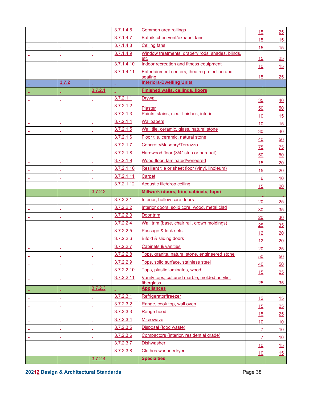|                          |                          |                      | 3.7.1.4.6        | Common area railings                                  | 15               | 25               |
|--------------------------|--------------------------|----------------------|------------------|-------------------------------------------------------|------------------|------------------|
|                          |                          | $\ddot{\phantom{1}}$ | 3.7.1.4.7        | <b>Bath/kitchen vent/exhaust fans</b>                 | 15               | 15               |
|                          |                          | Ĭ.                   | 3.7.1.4.8        | <b>Ceiling fans</b>                                   | 15               | 15 <sub>1</sub>  |
| $\blacksquare$           | ÷,                       | ÷,                   | 3.7.1.4.9        | Window treatments, drapery rods, shades, blinds,      |                  |                  |
|                          |                          |                      | 3.7.1.4.10       | etc<br>Indoor recreation and fitness equipment        | 15               | 25               |
| $\overline{\phantom{0}}$ | ÷,                       | $\equiv$             | 3.7.1.4.11       | Entertainment centers, theatre projection and         | 10 <sup>1</sup>  | 15 <sub>1</sub>  |
|                          | ÷,                       | $\blacksquare$       |                  | seating                                               | 15               | 25               |
|                          | 3.7.2                    |                      | ÷.               | <b>Interiors-Dwelling Units</b>                       |                  |                  |
|                          |                          | 3.7.2.1              |                  | <b>Finished walls, ceilings, floors</b>               |                  |                  |
|                          |                          |                      | 3.7.2.1.1        | <b>Drywall</b>                                        | 35               | 40               |
|                          | $\overline{\phantom{0}}$ | ÷,                   | 3.7.2.1.2        | Plaster                                               | 50               | 50               |
| $\overline{\phantom{a}}$ | $\blacksquare$           | ÷,                   | 3.7.2.1.3        | Paints, stains, clear finishes, interior              | 10 <sup>°</sup>  | 15 <sub>15</sub> |
| $\equiv$                 | $\overline{\phantom{a}}$ | $\blacksquare$       | 3.7.2.1.4        | <b>Wallpapers</b>                                     | 10               | 15               |
| $\equiv$                 | ÷.                       | $\overline{a}$       | 3.7.2.1.5        | Wall tile, ceramic, glass, natural stone              | 30               | 40               |
| $\equiv$                 | Ĭ.                       | ÷,                   | 3.7.2.1.6        | Floor tile, ceramic, natural stone                    | 40               | 50               |
|                          |                          |                      | 3.7.2.1.7        | Concrete/Masonry/Terrazzo                             | 75               | 75               |
|                          | ÷                        | $\blacksquare$       | 3.7.2.1.8        | Hardwood floor (3/4" strip or parquet)                | 50               | 50               |
|                          | $\overline{\phantom{a}}$ | ÷,                   | 3.7.2.1.9        | Wood floor, laminated/veneered                        | 15               | 20               |
| $\equiv$                 | ÷.                       | $\Box$               | 3.7.2.1.10       | Resilient tile or sheet floor (vinyl, linoleum)       | 15               | 20               |
| $\overline{\phantom{a}}$ | $\blacksquare$           | $\blacksquare$       | 3.7.2.1.11       | Carpet                                                | 6                | 10               |
|                          |                          |                      | 3.7.2.1.12       | Acoustic tile/drop ceiling                            | 15               | 20               |
|                          | ÷                        | 3.7.2.2              |                  | Millwork (doors, trim, cabinets, tops)                |                  |                  |
| $\blacksquare$           | Ĭ.                       |                      | 3.7.2.2.1        | Interior, hollow core doors                           | 20               | 25               |
|                          | $\equiv$                 | $\Box$               | 3.7.2.2.2        | Interior doors, solid core, wood, metal clad          | 30               | 35               |
| $\overline{\phantom{0}}$ | $\overline{\phantom{a}}$ | $\blacksquare$       | 3.7.2.2.3        | Door trim                                             | 20               | 30               |
|                          | $\blacksquare$           | ÷,                   | 3.7.2.2.4        | Wall trim (base, chair rail, crown moldings)          | 25               | 35               |
|                          | Ĭ.                       | ÷,                   | 3.7.2.2.5        | Passage & lock sets                                   | 12               | 20               |
|                          |                          |                      | 3.7.2.2.6        | <b>Bifold &amp; sliding doors</b>                     | 12               | 20               |
|                          | $\equiv$                 | ÷,                   | 3.7.2.2.7        | <b>Cabinets &amp; vanities</b>                        | 20               | 25               |
| $\blacksquare$           | $\blacksquare$           | $\equiv$             | <u>3.7.2.2.8</u> | <u>Tops, granite, natural stone, engineered stone</u> | 50               | 50               |
| $\blacksquare$           | $\blacksquare$           | $\equiv$             | 3.7.2.2.9        | Tops, solid surface, stainless steel                  | 40               | 50               |
| $\blacksquare$           | $\equiv$                 | $\Box$               | 3.7.2.2.10       | Tops, plastic laminates, wood                         | 15               | 25               |
| $\blacksquare$           | ä,                       | ä,                   | 3.7.2.2.11       | Vanity tops, cultured marble, molded acrylic,         |                  |                  |
|                          |                          | 3.7.2.3              |                  | fiberglass<br><b>Appliances</b>                       | 25               | 35 <sub>2</sub>  |
|                          |                          |                      | 3.7.2.3.1        | Refrigerator/freezer                                  |                  |                  |
| $\overline{\phantom{a}}$ |                          |                      | 3.7.2.3.2        | Range, cook top, wall oven                            | 12 <sub>2</sub>  | 15               |
| $\blacksquare$           | ÷                        | $\blacksquare$       | 3.7.2.3.3        | Range hood                                            | 15 <sub>15</sub> | 25               |
| $\equiv$                 |                          | ÷,                   | 3.7.2.3.4        | <b>Microwave</b>                                      | 15               | 25               |
| $\equiv$                 | $\blacksquare$           | $\equiv$             | 3.7.2.3.5        | Disposal (food waste)                                 | 10 <sup>°</sup>  | 10               |
| $\blacksquare$           | $\overline{\phantom{a}}$ | $\blacksquare$       |                  |                                                       | $\overline{7}$   | 10               |
| $\equiv$                 |                          |                      | 3.7.2.3.6        | Compactors (interior, residential grade)              | $\overline{7}$   | 10               |
| $\equiv$                 |                          | $\blacksquare$       | 3.7.2.3.7        | <b>Dishwasher</b>                                     | 10 <sub>1</sub>  | 15               |
| $\overline{\phantom{a}}$ |                          |                      | 3.7.2.3.8        | Clothes washer/dryer                                  | 10 <sup>°</sup>  | 15               |
|                          |                          | 3.7.2.4              |                  | <b>Specialties</b>                                    |                  |                  |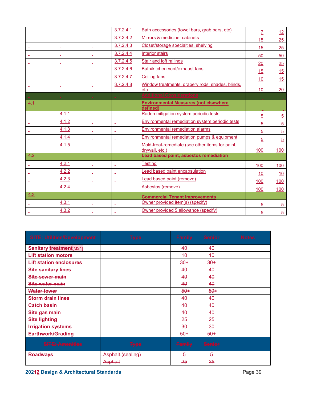|     |                     |                     | 3.7.2.4.1           | Bath accessories (towel bars, grab bars, etc)                      | $\overline{7}$   | 12              |
|-----|---------------------|---------------------|---------------------|--------------------------------------------------------------------|------------------|-----------------|
|     | $\bar{a}$           | $\equiv$            | 3.7.2.4.2           | Mirrors & medicine cabinets                                        | 15 <sub>15</sub> | 25              |
|     | $\bar{\phantom{a}}$ | $\bar{\phantom{a}}$ | 3.7.2.4.3           | Closet/storage specialties, shelving                               | 15 <sub>15</sub> | 25              |
|     | $\blacksquare$      | $\blacksquare$      | 3.7.2.4.4           | <b>Interior stairs</b>                                             | 50               | 50              |
|     | $\bar{\phantom{a}}$ | $\bar{\phantom{a}}$ | 3.7.2.4.5           | <b>Stair and loft railings</b>                                     | 20               | 25              |
|     | $\blacksquare$      | $\blacksquare$      | 3.7.2.4.6           | Bath/kitchen vent/exhaust fans                                     | 15 <sub>1</sub>  | 15 <sub>1</sub> |
|     | $\Box$              | ÷,                  | 3.7.2.4.7           | <b>Ceiling fans</b>                                                | 10               | 15              |
|     | $\bar{\phantom{a}}$ | $\blacksquare$      | 3.7.2.4.8           | Window treatments, drapery rods, shades, blinds,<br>etc            |                  | 20              |
|     |                     |                     |                     |                                                                    | 10 <sup>°</sup>  |                 |
| 4.1 |                     |                     |                     | <b>Environmental Measures (not elsewhere</b>                       |                  |                 |
|     |                     |                     |                     | defined)                                                           |                  |                 |
|     | 4.1.1               | ä,                  | $\sim$              | Radon mitigation system periodic tests                             | 5                | $\overline{5}$  |
|     | 4.1.2               | $\bar{\phantom{a}}$ | $\sim$              | Environmental remediation system periodic tests                    | 5                | $\overline{5}$  |
|     | 4.1.3               | $\Box$              | $\blacksquare$      | <b>Environmental remediation alarms</b>                            | $\overline{5}$   | $\overline{5}$  |
|     | 4.1.4               | ä,                  | $\blacksquare$      | Environmental remediation pumps & equipment                        | 5                | $\overline{5}$  |
|     | 4.1.5               | $\blacksquare$      | $\blacksquare$      | Mold-treat-remediate (see other items for paint,<br>drywall, etc.) | 100              | 100             |
| 4.2 |                     | Ξ                   | ÷,                  | <b>Lead based paint, asbestos remediation</b>                      |                  |                 |
|     | 4.2.1               | $\equiv$            | $\bar{\phantom{a}}$ | <b>Testing</b>                                                     | 100              | 100             |
|     | 4.2.2               | $\bar{a}$           | $\bar{\phantom{a}}$ | Lead based paint encapsulation                                     | 10               | 10 <sup>°</sup> |
|     | 4.2.3               | ÷.                  | $\bar{\phantom{a}}$ | <b>Lead based paint (remove)</b>                                   | 100              | 100             |
|     | 4.2.4               | $\blacksquare$      | $\bar{\phantom{a}}$ | Asbestos (remove)                                                  | 100              | 100             |
| 4.3 |                     |                     |                     | <b>Commercial Tenant Improvements</b>                              |                  |                 |
|     | 4.3.1               | $\Box$              | $\blacksquare$      | Owner provided item(s) (specify)                                   | 5                | $\overline{5}$  |
|     | 4.3.2               | ä,                  | $\bar{a}$           | Owner provided \$ allowance (specify)                              | 5                | $\overline{5}$  |

| <b>SITE: Utilities/Development</b> | <b>Type</b>              | Family        | <b>Senior</b> | <b>Notes</b> |
|------------------------------------|--------------------------|---------------|---------------|--------------|
| <b>Sanitary treatment</b> [MS1]    |                          | 40            | 40            |              |
| <b>Lift station motors</b>         |                          | 40            | 40            |              |
| <b>Lift station enclosures</b>     |                          | $30+$         | $30+$         |              |
| <b>Site sanitary lines</b>         |                          | 40            | 40            |              |
| Site sewer main                    |                          | 40            | 40            |              |
| Site water main                    |                          | 40            | 40            |              |
| Water tower                        |                          | $50+$         | $50+$         |              |
| <b>Storm drain lines</b>           |                          | 40            | 40            |              |
| <b>Catch basin</b>                 |                          | 40            | 40            |              |
| Site gas main                      |                          | 40            | 40            |              |
| <b>Site lighting</b>               |                          | 25            | 25            |              |
| <b>Irrigation systems</b>          |                          | 30            | 30            |              |
| Earthwork/Grading                  |                          | $50+$         | $50+$         |              |
| <b>SITE: Amenities</b>             | <b>Type</b>              | <b>Family</b> | <b>Senior</b> |              |
| <b>Roadways</b>                    | <b>Asphalt (sealing)</b> | 5             | 5             |              |
|                                    | Asphalt                  | 25            | 25            |              |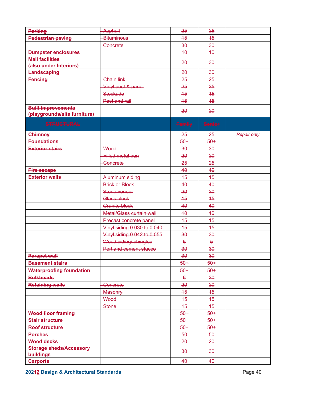| <b>Parking</b>                                   | <b>Asphalt</b>              | 25             | 25              |             |
|--------------------------------------------------|-----------------------------|----------------|-----------------|-------------|
| <b>Pedestrian paving</b>                         | <b>Bituminous</b>           | 45             | 45              |             |
|                                                  | <b>Concrete</b>             | 30             | 30 <sub>o</sub> |             |
| <b>Dumpster enclosures</b>                       |                             | 40             | 40              |             |
| <b>Mail facilities</b><br>(also under Interiors) |                             | 20             | 30              |             |
| Landscaping                                      |                             | 20             | 30              |             |
| <b>Fencing</b>                                   | <b>Chain link</b>           | 25             | 25              |             |
|                                                  | Vinyl post & panel          | 25             | 25              |             |
|                                                  | <b>Stockade</b>             | 45             | 45              |             |
|                                                  | Post and rail               | 45             | 45              |             |
| <b>Built improvements</b>                        |                             |                |                 |             |
| (playgrounds/site furniture)                     |                             | 20             | 20              |             |
| <b>STRUCTURAL</b>                                |                             | <b>Family</b>  | <b>Senior</b>   |             |
| <b>Chimney</b>                                   |                             | 25             | 25              | Repair only |
| <b>Foundations</b>                               |                             | $50+$          | $50+$           |             |
| <b>Exterior stairs</b>                           | Wood                        | 30             | 30              |             |
|                                                  | Filled metal pan            | 20             | 20              |             |
|                                                  | Concrete                    | 25             | 25              |             |
| <b>Fire escape</b>                               |                             | 40             | 40              |             |
| <b>Exterior walls</b>                            | Aluminum siding             | 45             | 45              |             |
|                                                  | <b>Brick or Block</b>       | 40             | 40              |             |
|                                                  | Stone veneer                | 20             | 20              |             |
|                                                  | Glass block                 | 45             | 45              |             |
|                                                  | Granite block               | 40             | 40              |             |
|                                                  | Metal/Glass curtain wall    | 40             | 40              |             |
|                                                  | Precast concrete panel      | 45             | 45              |             |
|                                                  | Vinyl siding 0.030 to 0.040 | 45             | 45              |             |
|                                                  | Vinyl siding 0.042 to 0.055 | 30             | 30              |             |
|                                                  | Wood siding/ shingles       | $\overline{5}$ | $\overline{5}$  |             |
|                                                  | Portland cement stucco      | 30             | 30              |             |
| <b>Parapet wall</b>                              |                             | 30             | 30 <sub>2</sub> |             |
| <b>Basement stairs</b>                           |                             | $50+$          | $50+$           |             |
| <b>Waterproofing foundation</b>                  |                             | $50+$          | $50+$           |             |
| <b>Bulkheads</b>                                 |                             | 6              | 20              |             |
| <b>Retaining walls</b>                           | Concrete                    | 20             | 20              |             |
|                                                  | <b>Masonry</b>              | 45             | 45              |             |
|                                                  | Wood                        | 45             | 45              |             |
|                                                  | <b>Stone</b>                | 45             | 45              |             |
| <b>Wood floor framing</b>                        |                             | $50+$          | $50+$           |             |
| <b>Stair structure</b>                           |                             | $50+$          | $50+$           |             |
| <b>Roof structure</b>                            |                             | $50+$          | $50+$           |             |
| <b>Porches</b>                                   |                             | 50             | 50              |             |
| <b>Wood decks</b>                                |                             | 20             | 20              |             |
| <b>Storage sheds/Accessory</b><br>buildings      |                             | $30^{\circ}$   | 30 <sub>1</sub> |             |
| <b>Carports</b>                                  |                             | 40             | 40              |             |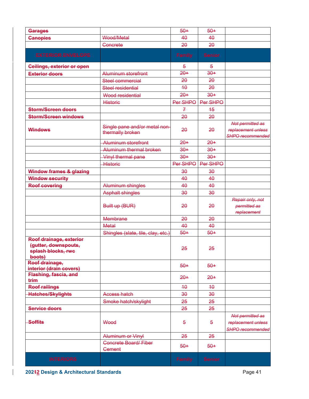| <b>Garages</b>                                                                  |                                                   | $50+$         | $50+$           |                                                                          |
|---------------------------------------------------------------------------------|---------------------------------------------------|---------------|-----------------|--------------------------------------------------------------------------|
| <b>Canopies</b>                                                                 | Wood/Metal                                        | 40            | 40              |                                                                          |
|                                                                                 | <b>Concrete</b>                                   | 20            | 20              |                                                                          |
| <b>EXTERIOR ENVELOPE</b>                                                        |                                                   | <b>Family</b> | <b>Senior</b>   |                                                                          |
| <b>Ceilings, exterior or open</b>                                               |                                                   | 5             | 5               |                                                                          |
| <b>Exterior doors</b>                                                           | Aluminum storefront                               | $20+$         | $30+$           |                                                                          |
|                                                                                 | Steel commercial                                  | 20            | 20              |                                                                          |
|                                                                                 | <b>Steel residential</b>                          | 40            | 20              |                                                                          |
|                                                                                 | <b>Wood residential</b>                           | $20+$         | $30+$           |                                                                          |
|                                                                                 | <b>Historic</b>                                   | Per SHPO      | Per SHPO        |                                                                          |
| <b>Storm/Screen doors</b>                                                       |                                                   | Ŧ.            | 45              |                                                                          |
| <b>Storm/Screen windows</b>                                                     |                                                   | 20            | 20              |                                                                          |
| <b>Windows</b>                                                                  | Single pane and/or metal non-<br>thermally broken | 20            | 20              | <b>Not permitted as</b><br>replacement unless<br><b>SHPO</b> recommended |
|                                                                                 | Aluminum storefront                               | $20+$         | $20+$           |                                                                          |
|                                                                                 | Aluminum thermal broken                           | $30+$         | $30+$           |                                                                          |
|                                                                                 | Vinyl thermal pane                                | $30+$         | $30+$           |                                                                          |
|                                                                                 | <b>Historic</b>                                   | Per SHPO      | Per SHPO        |                                                                          |
| Window frames & glazing                                                         |                                                   | 30            | 30              |                                                                          |
| <b>Window security</b>                                                          |                                                   | 40            | 40              |                                                                          |
| <b>Roof covering</b>                                                            | Aluminum shingles                                 | 40            | 40              |                                                                          |
|                                                                                 | <b>Asphalt shingles</b>                           | 30            | 30              |                                                                          |
|                                                                                 |                                                   |               |                 | Repair only, not                                                         |
|                                                                                 | Built up (BUR)                                    | 20            | 20              | permitted as<br>replacement                                              |
|                                                                                 | <b>Membrane</b>                                   | 20            | 20              |                                                                          |
|                                                                                 | <b>Metal</b>                                      | 40            | 40              |                                                                          |
|                                                                                 | Shingles (slate, tile, clay, etc.)                | $50+$         | $50+$           |                                                                          |
| Roof drainage, exterior<br>(gutter, downspouts,<br>splash blocks, rwc<br>boots) |                                                   | 25            | 25              |                                                                          |
| Roof drainage,<br>interior (drain covers)                                       |                                                   | $50+$         | $50+$           |                                                                          |
| Flashing, fascia, and<br>trim                                                   |                                                   | $20+$         | $20+$           |                                                                          |
| <b>Roof railings</b>                                                            |                                                   | 40            | 40              |                                                                          |
| <b>Hatches/Skylights</b>                                                        | <b>Access hatch</b>                               | $30^{\circ}$  | 30 <sub>°</sub> |                                                                          |
|                                                                                 | Smoke hatch/skylight                              | 25            | 25              |                                                                          |
| <b>Service doors</b>                                                            |                                                   | 25            | 25              |                                                                          |
| Seffits                                                                         | Wood                                              | 5             | $\overline{6}$  | Not permitted as<br>replacement unless<br><b>SHPO</b> recommended        |
|                                                                                 | Aluminum or Vinyl                                 | 25            | 25              |                                                                          |
|                                                                                 | <b>Concrete Board/Fiber</b><br><b>Cement</b>      | $50+$         | $50+$           |                                                                          |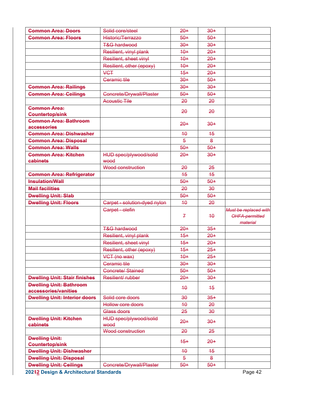| <b>Common Area: Doors</b>                                        | Solid core/steel                    | $20+$                   | $30+$                 |                       |
|------------------------------------------------------------------|-------------------------------------|-------------------------|-----------------------|-----------------------|
| <b>Common Area: Floors</b>                                       | Historic/Terrazzo                   | $50+$                   | $50+$                 |                       |
|                                                                  | <b>T&amp;G hardwood</b>             | $30+$                   | $30+$                 |                       |
|                                                                  | Resilient, vinyl plank              | $+0+$                   | $20+$                 |                       |
|                                                                  | Resilient, sheet vinyl              | $+0+$                   | $20+$                 |                       |
|                                                                  | Resilient, other (epoxy)            | $40+$                   | $20+$                 |                       |
|                                                                  | <b>VCT</b>                          | $45+$                   | $20+$                 |                       |
|                                                                  | Ceramic tile                        | $30+$                   | $50+$                 |                       |
| <b>Common Area: Railings</b>                                     |                                     | $30+$                   | $30+$                 |                       |
| <b>Common Area: Ceilings</b>                                     | Concrete/Drywall/Plaster            | $50+$                   | $50+$                 |                       |
|                                                                  | <b>Acoustic Tile</b>                | 20                      | 20                    |                       |
| <b>Common Area:</b>                                              |                                     |                         |                       |                       |
| <b>Countertop/sink</b>                                           |                                     | 20                      | 20                    |                       |
| <b>Common Area: Bathroom</b>                                     |                                     | $20+$                   | $30+$                 |                       |
| accessories                                                      |                                     |                         |                       |                       |
| <b>Common Area: Dishwasher</b>                                   |                                     | 40                      | 45                    |                       |
| <b>Common Area: Disposal</b>                                     |                                     | $\overline{5}$          | 8                     |                       |
| <b>Common Area: Walls</b>                                        |                                     | $50+$                   | $50+$                 |                       |
| <b>Common Area: Kitchen</b>                                      | <b>HUD spec/plywood/solid</b>       | $20+$                   | $30+$                 |                       |
| cabinets                                                         | wood<br>Wood construction           |                         |                       |                       |
|                                                                  |                                     | 20<br>45                | 25<br>45              |                       |
| <b>Common Area: Refrigerator</b><br><b>Insulation/Wall</b>       |                                     | $50+$                   | $50+$                 |                       |
| <b>Mail facilities</b>                                           |                                     |                         |                       |                       |
|                                                                  |                                     | 20<br>$50+$             | 30<br>$50+$           |                       |
| <b>Dwelling Unit: Slab</b>                                       |                                     |                         |                       |                       |
|                                                                  |                                     |                         |                       |                       |
| <b>Dwelling Unit: Floors</b>                                     | <b>Carpet - solution-dyed nylon</b> | 40                      | 20                    |                       |
|                                                                  | Garpet - olefin                     |                         |                       | Must be replaced with |
|                                                                  |                                     | $\overline{f}$          | 40                    | OHFA-permitted        |
|                                                                  |                                     |                         | $35+$                 | material              |
|                                                                  | <b>T&amp;G hardwood</b>             | $20+$<br>$15+$          | $20+$                 |                       |
|                                                                  | Resilient, vinyl plank              | $15+$                   | $20+$                 |                       |
|                                                                  | Resilient, sheet vinyl              | $45+$                   | $25+$                 |                       |
|                                                                  | Resilient, other (epoxy)            | $40+$                   | $25+$                 |                       |
|                                                                  | VCT (no wax)<br>Ceramic tile        | $30+$                   | $30+$                 |                       |
|                                                                  | <b>Concrete/ Stained</b>            | $50+$                   | $50+$                 |                       |
| <b>Dwelling Unit: Stair finishes</b>                             | Resilient/rubber                    | $20+$                   | $30+$                 |                       |
| <b>Dwelling Unit: Bathroom</b>                                   |                                     |                         |                       |                       |
| accessories/vanities                                             |                                     | 40                      | $\overline{45}$       |                       |
| <b>Dwelling Unit: Interior doors</b>                             | Solid core doors                    | 30 <sub>2</sub>         | $35+$                 |                       |
|                                                                  | <b>Hollow core doors</b>            | $40^{\circ}$            | 20                    |                       |
|                                                                  | Glass doors                         | 25                      | 30 <sub>2</sub>       |                       |
| <b>Dwelling Unit: Kitchen</b>                                    | <b>HUD spec/plywood/solid</b>       |                         |                       |                       |
| cabinets                                                         | wood                                | $20+$                   | $30+$                 |                       |
|                                                                  | Wood construction                   | <del>20</del>           | 25                    |                       |
| <b>Dwelling Unit:</b>                                            |                                     | $45+$                   | $20+$                 |                       |
| <b>Countertop/sink</b>                                           |                                     |                         |                       |                       |
| <b>Dwelling Unit: Dishwasher</b>                                 |                                     | 40                      | $\overline{45}$       |                       |
| <b>Dwelling Unit: Disposal</b><br><b>Dwelling Unit: Ceilings</b> | Concrete/Drywall/Plaster            | $\overline{6}$<br>$50+$ | $\mathbf{8}$<br>$50+$ |                       |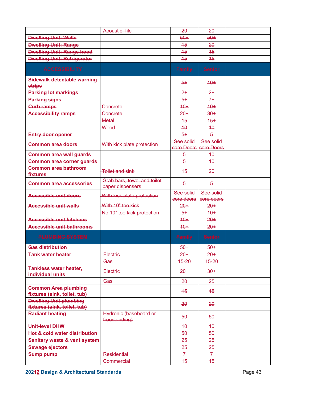|                                                          | <b>Acoustic Tile</b>                            | 20                               | 20                               |  |
|----------------------------------------------------------|-------------------------------------------------|----------------------------------|----------------------------------|--|
| <b>Dwelling Unit: Walls</b>                              |                                                 | $50+$                            | $50+$                            |  |
| <b>Dwelling Unit: Range</b>                              |                                                 | 45                               | 20                               |  |
| <b>Dwelling Unit: Range hood</b>                         |                                                 | 45                               | 45                               |  |
| <b>Dwelling Unit: Refrigerator</b>                       |                                                 | 45                               | $\overline{45}$                  |  |
| <b>ACCESSIBILITY</b>                                     |                                                 | Family                           | <b>Senior</b>                    |  |
| Sidewalk detectable warning                              |                                                 | $5+$                             | $+0+$                            |  |
| <b>strips</b>                                            |                                                 |                                  |                                  |  |
| <b>Parking lot markings</b>                              |                                                 | $2+$                             | $2+$                             |  |
| <b>Parking signs</b>                                     |                                                 | $5+$                             | $7+$                             |  |
| <b>Curb ramps</b>                                        | Concrete                                        | $+0+$                            | $40+$                            |  |
| <b>Accessibility ramps</b>                               | Concrete                                        | $20+$                            | $30+$                            |  |
|                                                          | Metal                                           | $\overline{45}$                  | $45+$                            |  |
|                                                          | Wood                                            | 40                               | 40                               |  |
| <b>Entry door opener</b>                                 |                                                 | $5+$                             | $\overline{a}$                   |  |
| <b>Common area doors</b>                                 | With kick plate protection                      | See solid                        | See solid                        |  |
|                                                          |                                                 | core Doors                       | core Doors                       |  |
| <b>Common area wall guards</b>                           |                                                 | $\overline{5}$<br>$\overline{5}$ | 40                               |  |
| <b>Common area corner guards</b><br>Common area bathroom |                                                 |                                  | 40                               |  |
| <b>fixtures</b>                                          | <b>Toilet and sink</b>                          | 45                               | 20                               |  |
| <b>Common area accessories</b>                           | Grab bars, towel and toilet<br>paper dispensers | $\overline{6}$                   | $\overline{a}$                   |  |
| <b>Accessible unit doors</b>                             | With kick plate protection                      | See solid<br>core doors          | See solid<br>core doors          |  |
| <b>Accessible unit walls</b>                             | With 10" toe kick                               | $20+$                            | $20+$                            |  |
|                                                          | No 10" toe kick protection                      | $5+$                             | $40+$                            |  |
| Accessible unit kitchens                                 |                                                 | $+0+$                            | $20+$                            |  |
| Accessible unit bathrooms                                |                                                 | $40+$                            | $20+$                            |  |
| <b>PLUMBING SYSTEM</b>                                   |                                                 | <b>Family</b>                    | <b>Senior</b>                    |  |
| <b>Gas distribution</b>                                  |                                                 | $50+$                            | $50+$                            |  |
| <b>Tank water heater</b>                                 | <del>Electric</del>                             | $20+$                            | $20+$                            |  |
|                                                          | <b>Gas</b>                                      | $15 - 20$                        | $15 - 20$                        |  |
| <b>Tankless water heater,</b><br>individual units        | <b>Electric</b>                                 | $20+$                            | $30+$                            |  |
|                                                          | <del>Gas</del>                                  | 20                               | $25 -$                           |  |
| <b>Common Area plumbing</b>                              |                                                 | $+5$                             | $+5$                             |  |
| fixtures (sink, toilet, tub)                             |                                                 |                                  |                                  |  |
| <b>Dwelling Unit plumbing</b>                            |                                                 |                                  |                                  |  |
|                                                          |                                                 | 20                               | 20 <sub>1</sub>                  |  |
| fixtures (sink, toilet, tub)                             |                                                 |                                  |                                  |  |
| <b>Radiant heating</b>                                   | <b>Hydronic (baseboard or</b><br>freestanding)  | $50^{\circ}$                     | 50 <sup>°</sup>                  |  |
| Unit-level DHW                                           |                                                 | 40                               | 40                               |  |
| <b>Hot &amp; cold water distribution</b>                 |                                                 | 50                               | 50                               |  |
| <b>Sanitary waste &amp; vent system</b>                  |                                                 | 25                               | 25                               |  |
| Sewage ejectors                                          |                                                 | 25                               | 25                               |  |
| Sump pump                                                | <b>Residential</b><br>Commercial                | $\mathcal{F}$<br>45 <sub>1</sub> | $\mathcal{F}$<br>45 <sub>2</sub> |  |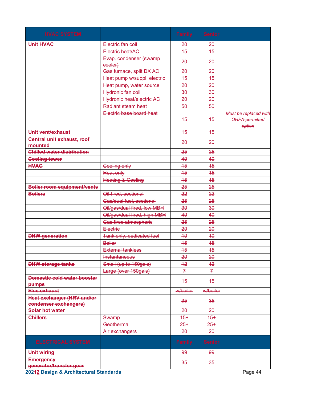| Electric fan coil<br><b>Unit HVAC</b><br>20<br>20<br>Electric heat/AC<br>45<br>45<br>Evap. condenser (swamp<br>20<br>20<br>cooler)<br>Gas furnace, split DX AC<br>20<br>20<br>Heat pump w/suppl. electric<br>45<br>45<br>Heat pump, water source<br>20<br>20<br>Hydronic fan coil<br>30<br>$30^{\circ}$<br>Hydronic heat/electric AC<br>20<br>20<br>Radiant steam heat<br>50<br>50<br>Electric base board heat<br>OHFA-permitted<br>45<br>45<br>option<br>Unit vent/exhaust<br>45<br>45<br><b>Central unit exhaust, roof</b><br>20<br>20<br>mounted<br><b>Chilled water distribution</b><br>25<br>25<br><b>Cooling tower</b><br>40<br>40<br><b>Cooling only</b><br>45<br><b>HVAC</b><br>45<br>Heat only<br>45<br>45<br><b>Heating &amp; Cooling</b><br>45<br>45<br>Boiler room equipment/vents<br>25<br>25<br>Oil-fired, sectional<br><b>Beilers</b><br>22<br>22<br>Gas/dual fuel, sectional<br>25<br>25<br>Oil/gas/dual fired, low MBH<br>30<br>30<br>Oil/gas/dual fired, high MBH<br>40<br>40<br>Gas fired atmospheric<br>25<br>25<br><b>Electric</b><br>20<br>20<br><b>DHW</b> generation<br><b>Tank only, dedicated fuel</b><br>40<br>40<br><b>Boiler</b><br>45<br>45<br><b>External tankless</b><br>45<br>45<br><b>Instantaneous</b><br>20<br>20<br>Small (up to 150gals)<br>42<br><b>DHW storage tanks</b><br>42<br>$\overline{f}$<br>Large (over 150gals)<br>$\overline{f}$<br>Domestic cold water booster<br>45<br>$\overline{45}$<br><b>pumps</b><br><b>Flue exhaust</b><br>w/boiler<br>w/boiler | <b>HVAC SYSTEM</b>                | <b>Family</b> | <b>Senior</b> |                       |
|-----------------------------------------------------------------------------------------------------------------------------------------------------------------------------------------------------------------------------------------------------------------------------------------------------------------------------------------------------------------------------------------------------------------------------------------------------------------------------------------------------------------------------------------------------------------------------------------------------------------------------------------------------------------------------------------------------------------------------------------------------------------------------------------------------------------------------------------------------------------------------------------------------------------------------------------------------------------------------------------------------------------------------------------------------------------------------------------------------------------------------------------------------------------------------------------------------------------------------------------------------------------------------------------------------------------------------------------------------------------------------------------------------------------------------------------------------------------------------------------------------------|-----------------------------------|---------------|---------------|-----------------------|
|                                                                                                                                                                                                                                                                                                                                                                                                                                                                                                                                                                                                                                                                                                                                                                                                                                                                                                                                                                                                                                                                                                                                                                                                                                                                                                                                                                                                                                                                                                           |                                   |               |               |                       |
|                                                                                                                                                                                                                                                                                                                                                                                                                                                                                                                                                                                                                                                                                                                                                                                                                                                                                                                                                                                                                                                                                                                                                                                                                                                                                                                                                                                                                                                                                                           |                                   |               |               |                       |
|                                                                                                                                                                                                                                                                                                                                                                                                                                                                                                                                                                                                                                                                                                                                                                                                                                                                                                                                                                                                                                                                                                                                                                                                                                                                                                                                                                                                                                                                                                           |                                   |               |               |                       |
|                                                                                                                                                                                                                                                                                                                                                                                                                                                                                                                                                                                                                                                                                                                                                                                                                                                                                                                                                                                                                                                                                                                                                                                                                                                                                                                                                                                                                                                                                                           |                                   |               |               |                       |
|                                                                                                                                                                                                                                                                                                                                                                                                                                                                                                                                                                                                                                                                                                                                                                                                                                                                                                                                                                                                                                                                                                                                                                                                                                                                                                                                                                                                                                                                                                           |                                   |               |               |                       |
|                                                                                                                                                                                                                                                                                                                                                                                                                                                                                                                                                                                                                                                                                                                                                                                                                                                                                                                                                                                                                                                                                                                                                                                                                                                                                                                                                                                                                                                                                                           |                                   |               |               |                       |
|                                                                                                                                                                                                                                                                                                                                                                                                                                                                                                                                                                                                                                                                                                                                                                                                                                                                                                                                                                                                                                                                                                                                                                                                                                                                                                                                                                                                                                                                                                           |                                   |               |               |                       |
|                                                                                                                                                                                                                                                                                                                                                                                                                                                                                                                                                                                                                                                                                                                                                                                                                                                                                                                                                                                                                                                                                                                                                                                                                                                                                                                                                                                                                                                                                                           |                                   |               |               |                       |
|                                                                                                                                                                                                                                                                                                                                                                                                                                                                                                                                                                                                                                                                                                                                                                                                                                                                                                                                                                                                                                                                                                                                                                                                                                                                                                                                                                                                                                                                                                           |                                   |               |               |                       |
|                                                                                                                                                                                                                                                                                                                                                                                                                                                                                                                                                                                                                                                                                                                                                                                                                                                                                                                                                                                                                                                                                                                                                                                                                                                                                                                                                                                                                                                                                                           |                                   |               |               | Must be replaced with |
|                                                                                                                                                                                                                                                                                                                                                                                                                                                                                                                                                                                                                                                                                                                                                                                                                                                                                                                                                                                                                                                                                                                                                                                                                                                                                                                                                                                                                                                                                                           |                                   |               |               |                       |
|                                                                                                                                                                                                                                                                                                                                                                                                                                                                                                                                                                                                                                                                                                                                                                                                                                                                                                                                                                                                                                                                                                                                                                                                                                                                                                                                                                                                                                                                                                           |                                   |               |               |                       |
|                                                                                                                                                                                                                                                                                                                                                                                                                                                                                                                                                                                                                                                                                                                                                                                                                                                                                                                                                                                                                                                                                                                                                                                                                                                                                                                                                                                                                                                                                                           |                                   |               |               |                       |
|                                                                                                                                                                                                                                                                                                                                                                                                                                                                                                                                                                                                                                                                                                                                                                                                                                                                                                                                                                                                                                                                                                                                                                                                                                                                                                                                                                                                                                                                                                           |                                   |               |               |                       |
|                                                                                                                                                                                                                                                                                                                                                                                                                                                                                                                                                                                                                                                                                                                                                                                                                                                                                                                                                                                                                                                                                                                                                                                                                                                                                                                                                                                                                                                                                                           |                                   |               |               |                       |
|                                                                                                                                                                                                                                                                                                                                                                                                                                                                                                                                                                                                                                                                                                                                                                                                                                                                                                                                                                                                                                                                                                                                                                                                                                                                                                                                                                                                                                                                                                           |                                   |               |               |                       |
|                                                                                                                                                                                                                                                                                                                                                                                                                                                                                                                                                                                                                                                                                                                                                                                                                                                                                                                                                                                                                                                                                                                                                                                                                                                                                                                                                                                                                                                                                                           |                                   |               |               |                       |
|                                                                                                                                                                                                                                                                                                                                                                                                                                                                                                                                                                                                                                                                                                                                                                                                                                                                                                                                                                                                                                                                                                                                                                                                                                                                                                                                                                                                                                                                                                           |                                   |               |               |                       |
|                                                                                                                                                                                                                                                                                                                                                                                                                                                                                                                                                                                                                                                                                                                                                                                                                                                                                                                                                                                                                                                                                                                                                                                                                                                                                                                                                                                                                                                                                                           |                                   |               |               |                       |
|                                                                                                                                                                                                                                                                                                                                                                                                                                                                                                                                                                                                                                                                                                                                                                                                                                                                                                                                                                                                                                                                                                                                                                                                                                                                                                                                                                                                                                                                                                           |                                   |               |               |                       |
|                                                                                                                                                                                                                                                                                                                                                                                                                                                                                                                                                                                                                                                                                                                                                                                                                                                                                                                                                                                                                                                                                                                                                                                                                                                                                                                                                                                                                                                                                                           |                                   |               |               |                       |
|                                                                                                                                                                                                                                                                                                                                                                                                                                                                                                                                                                                                                                                                                                                                                                                                                                                                                                                                                                                                                                                                                                                                                                                                                                                                                                                                                                                                                                                                                                           |                                   |               |               |                       |
|                                                                                                                                                                                                                                                                                                                                                                                                                                                                                                                                                                                                                                                                                                                                                                                                                                                                                                                                                                                                                                                                                                                                                                                                                                                                                                                                                                                                                                                                                                           |                                   |               |               |                       |
|                                                                                                                                                                                                                                                                                                                                                                                                                                                                                                                                                                                                                                                                                                                                                                                                                                                                                                                                                                                                                                                                                                                                                                                                                                                                                                                                                                                                                                                                                                           |                                   |               |               |                       |
|                                                                                                                                                                                                                                                                                                                                                                                                                                                                                                                                                                                                                                                                                                                                                                                                                                                                                                                                                                                                                                                                                                                                                                                                                                                                                                                                                                                                                                                                                                           |                                   |               |               |                       |
|                                                                                                                                                                                                                                                                                                                                                                                                                                                                                                                                                                                                                                                                                                                                                                                                                                                                                                                                                                                                                                                                                                                                                                                                                                                                                                                                                                                                                                                                                                           |                                   |               |               |                       |
|                                                                                                                                                                                                                                                                                                                                                                                                                                                                                                                                                                                                                                                                                                                                                                                                                                                                                                                                                                                                                                                                                                                                                                                                                                                                                                                                                                                                                                                                                                           |                                   |               |               |                       |
|                                                                                                                                                                                                                                                                                                                                                                                                                                                                                                                                                                                                                                                                                                                                                                                                                                                                                                                                                                                                                                                                                                                                                                                                                                                                                                                                                                                                                                                                                                           |                                   |               |               |                       |
|                                                                                                                                                                                                                                                                                                                                                                                                                                                                                                                                                                                                                                                                                                                                                                                                                                                                                                                                                                                                                                                                                                                                                                                                                                                                                                                                                                                                                                                                                                           |                                   |               |               |                       |
|                                                                                                                                                                                                                                                                                                                                                                                                                                                                                                                                                                                                                                                                                                                                                                                                                                                                                                                                                                                                                                                                                                                                                                                                                                                                                                                                                                                                                                                                                                           |                                   |               |               |                       |
|                                                                                                                                                                                                                                                                                                                                                                                                                                                                                                                                                                                                                                                                                                                                                                                                                                                                                                                                                                                                                                                                                                                                                                                                                                                                                                                                                                                                                                                                                                           |                                   |               |               |                       |
|                                                                                                                                                                                                                                                                                                                                                                                                                                                                                                                                                                                                                                                                                                                                                                                                                                                                                                                                                                                                                                                                                                                                                                                                                                                                                                                                                                                                                                                                                                           |                                   |               |               |                       |
| 35 <sub>5</sub><br>35 <sub>5</sub>                                                                                                                                                                                                                                                                                                                                                                                                                                                                                                                                                                                                                                                                                                                                                                                                                                                                                                                                                                                                                                                                                                                                                                                                                                                                                                                                                                                                                                                                        | <b>Heat exchanger (HRV and/or</b> |               |               |                       |
| condenser exchangers)                                                                                                                                                                                                                                                                                                                                                                                                                                                                                                                                                                                                                                                                                                                                                                                                                                                                                                                                                                                                                                                                                                                                                                                                                                                                                                                                                                                                                                                                                     |                                   |               |               |                       |
| Solar hot water<br>20<br>20                                                                                                                                                                                                                                                                                                                                                                                                                                                                                                                                                                                                                                                                                                                                                                                                                                                                                                                                                                                                                                                                                                                                                                                                                                                                                                                                                                                                                                                                               |                                   |               |               |                       |
| $15+$<br><b>Chillers</b><br>$15+$<br><b>Swamp</b>                                                                                                                                                                                                                                                                                                                                                                                                                                                                                                                                                                                                                                                                                                                                                                                                                                                                                                                                                                                                                                                                                                                                                                                                                                                                                                                                                                                                                                                         |                                   |               |               |                       |
| Geothermal<br>$25+$<br>$25+$                                                                                                                                                                                                                                                                                                                                                                                                                                                                                                                                                                                                                                                                                                                                                                                                                                                                                                                                                                                                                                                                                                                                                                                                                                                                                                                                                                                                                                                                              |                                   |               |               |                       |
| 20 <sub>1</sub><br>20 <sub>2</sub><br>Air exchangers                                                                                                                                                                                                                                                                                                                                                                                                                                                                                                                                                                                                                                                                                                                                                                                                                                                                                                                                                                                                                                                                                                                                                                                                                                                                                                                                                                                                                                                      |                                   |               |               |                       |
| <b>ELECTRICAL SYSTEM</b><br><b>Family</b><br><b>Senior</b>                                                                                                                                                                                                                                                                                                                                                                                                                                                                                                                                                                                                                                                                                                                                                                                                                                                                                                                                                                                                                                                                                                                                                                                                                                                                                                                                                                                                                                                |                                   |               |               |                       |
| <b>Unit wiring</b><br>99<br>99                                                                                                                                                                                                                                                                                                                                                                                                                                                                                                                                                                                                                                                                                                                                                                                                                                                                                                                                                                                                                                                                                                                                                                                                                                                                                                                                                                                                                                                                            |                                   |               |               |                       |
| <b>Emergency</b><br>35 <sub>5</sub><br>35 <sub>1</sub><br>generator/transfer gear                                                                                                                                                                                                                                                                                                                                                                                                                                                                                                                                                                                                                                                                                                                                                                                                                                                                                                                                                                                                                                                                                                                                                                                                                                                                                                                                                                                                                         |                                   |               |               |                       |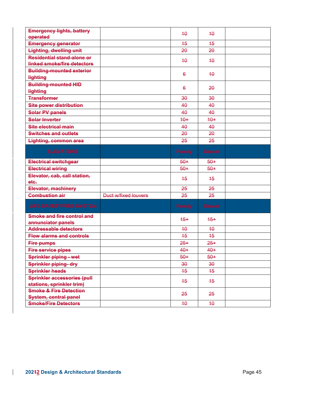| <b>Emergency lights, battery</b><br>operated     |                      | 40              | 40              |  |
|--------------------------------------------------|----------------------|-----------------|-----------------|--|
| <b>Emergency generator</b>                       |                      | 45              | 45              |  |
| <b>Lighting, dwelling unit</b>                   |                      | 20              | 20              |  |
| <b>Residential stand-alone or</b>                |                      |                 |                 |  |
| linked smoke/fire detectors                      |                      | 40              | $40^{\circ}$    |  |
| <b>Building-mounted exterior</b>                 |                      |                 |                 |  |
| <b>lighting</b>                                  |                      | $6^{\circ}$     | 40              |  |
| <b>Building-mounted HID</b>                      |                      |                 |                 |  |
| lighting                                         |                      | 6               | 20              |  |
| <b>Transformer</b>                               |                      | 30              | 30              |  |
| <b>Site power distribution</b>                   |                      | 40              | 40              |  |
| <b>Solar PV panels</b>                           |                      | 40              | 40              |  |
| <b>Solar Inverter</b>                            |                      | $40+$           | $40+$           |  |
| Site electrical main                             |                      | 40              | 40              |  |
| <b>Switches and outlets</b>                      |                      | 20              | $20^{\circ}$    |  |
| Lighting, common area                            |                      | 25              | 25              |  |
| <b>ELEVATORS</b>                                 |                      | Family          | <b>Senior</b>   |  |
| <b>Electrical switchgear</b>                     |                      | $50+$           | $50+$           |  |
| <b>Electrical wiring</b>                         |                      | $50+$           | $50+$           |  |
| Elevator, cab, call station,                     |                      | $\overline{45}$ | 45              |  |
| etc.                                             |                      |                 |                 |  |
| Elevator, machinery                              |                      | 25              | 25              |  |
| <b>Combustion air</b>                            | Duct w/fixed louvers | 25              | 25              |  |
| LIFE SAFETY/FIRE SYSTEM                          |                      | <b>Family</b>   | <b>Senior</b>   |  |
| Smoke and fire control and<br>annunciator panels |                      | $45+$           | $45+$           |  |
| <b>Addressable detectors</b>                     |                      | 40              | 40 <sup>°</sup> |  |
| <b>Flow alarms and controls</b>                  |                      | 45              | 45              |  |
| <b>Fire pumps</b>                                |                      | $25+$           | $25+$           |  |
| <b>Fire service pipes</b>                        |                      | $40+$           | $40+$           |  |
| <b>Sprinkler piping - wet</b>                    |                      | $50+$           | $50+$           |  |
| Sprinkler piping-dry                             |                      | $30^{\circ}$    | $30^{\circ}$    |  |
| <b>Sprinkler heads</b>                           |                      | 45              | 45              |  |
| Sprinkler accessories (pull                      |                      | 45              | 45              |  |
| stations, sprinkler trim)                        |                      |                 |                 |  |
| <b>Smoke &amp; Fire Detection</b>                |                      |                 |                 |  |
| <b>System, central panel</b>                     |                      | 25              | 25              |  |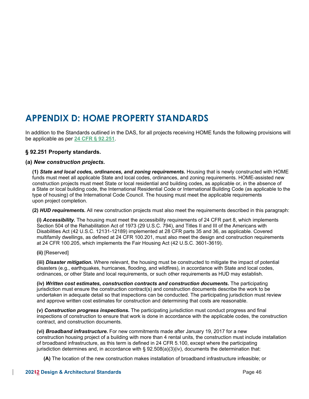# **APPENDIX D: HOME PROPERTY STANDARDS**

In addition to the Standards outlined in the DAS, for all projects receiving HOME funds the following provisions will be applicable as per **24 CFR § 92.251**.

## **§ 92.251 Property standards.**

#### **(a)** *New construction projects.*

**(1)** *State and local codes, ordinances, and zoning requirements.* Housing that is newly constructed with HOME funds must meet all applicable State and local codes, ordinances, and zoning requirements. HOME-assisted new construction projects must meet State or local residential and building codes, as applicable or, in the absence of a State or local building code, the International Residential Code or International Building Code (as applicable to the type of housing) of the International Code Council. The housing must meet the applicable requirements upon project completion.

**(2)** *HUD requirements.* All new construction projects must also meet the requirements described in this paragraph:

**(i)** *Accessibility.* The housing must meet the accessibility requirements of 24 CFR part 8, which implements Section 504 of the Rehabilitation Act of 1973 (29 U.S.C. 794), and Titles II and III of the Americans with Disabilities Act (42 U.S.C. 12131-12189) implemented at 28 CFR parts 35 and 36, as applicable. Covered multifamily dwellings, as defined at 24 CFR 100.201, must also meet the design and construction requirements at 24 CFR 100.205, which implements the Fair Housing Act (42 U.S.C. 3601-3619).

#### **(ii)** [Reserved]

**(iii)** *Disaster mitigation.* Where relevant, the housing must be constructed to mitigate the impact of potential disasters (e.g., earthquakes, hurricanes, flooding, and wildfires), in accordance with State and local codes, ordinances, or other State and local requirements, or such other requirements as HUD may establish.

**(iv)** *Written cost estimates, construction contracts and construction documents.* The participating jurisdiction must ensure the construction contract(s) and construction documents describe the work to be undertaken in adequate detail so that inspections can be conducted. The participating jurisdiction must review and approve written cost estimates for construction and determining that costs are reasonable.

**(v)** *Construction progress inspections.* The participating jurisdiction must conduct progress and final inspections of construction to ensure that work is done in accordance with the applicable codes, the construction contract, and construction documents.

**(vi)** *Broadband infrastructure.* For new commitments made after January 19, 2017 for a new construction housing project of a building with more than 4 rental units, the construction must include installation of broadband infrastructure, as this term is defined in 24 CFR 5.100, except where the participating jurisdiction determines and, in accordance with § 92.508(a)(3)(iv), documents the determination that:

**(A)** The location of the new construction makes installation of broadband infrastructure infeasible; or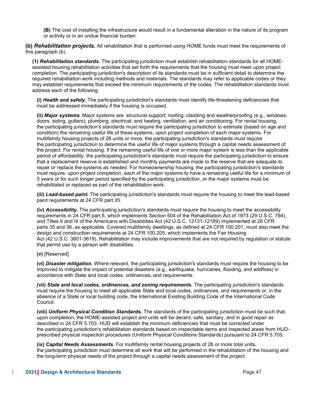**(B)** The cost of installing the infrastructure would result in a fundamental alteration in the nature of its program or activity or in an undue financial burden.

**(b)** *Rehabilitation projects.* All rehabilitation that is performed using HOME funds must meet the requirements of this paragraph (b).

**(1)** *Rehabilitation standards.* The participating jurisdiction must establish rehabilitation standards for all HOMEassisted housing rehabilitation activities that set forth the requirements that the housing must meet upon project completion. The participating jurisdiction's description of its standards must be in sufficient detail to determine the required rehabilitation work including methods and materials. The standards may refer to applicable codes or they may establish requirements that exceed the minimum requirements of the codes. The rehabilitation standards must address each of the following:

**(i)** *Health and safety.* The participating jurisdiction's standards must identify life-threatening deficiencies that must be addressed immediately if the housing is occupied.

**(ii)** *Major systems.* Major systems are: structural support; roofing; cladding and weatherproofing (e.g., windows, doors, siding, gutters); plumbing; electrical; and heating, ventilation, and air conditioning. For rental housing, the participating jurisdiction's standards must require the participating jurisdiction to estimate (based on age and condition) the remaining useful life of these systems, upon project completion of each major systems. For multifamily housing projects of 26 units or more, the participating jurisdiction's standards must require the participating jurisdiction to determine the useful life of major systems through a capital needs assessment of the project. For rental housing, if the remaining useful life of one or more major system is less than the applicable period of affordability, the participating jurisdiction's standards must require the participating jurisdiction to ensure that a replacement reserve is established and monthly payments are made to the reserve that are adequate to repair or replace the systems as needed. For homeownership housing, the participating jurisdiction's standards must require, upon project completion, each of the major systems to have a remaining useful life for a minimum of 5 years or for such longer period specified by the participating jurisdiction, or the major systems must be rehabilitated or replaced as part of the rehabilitation work.

**(iii)** *Lead-based paint.* The participating jurisdiction's standards must require the housing to meet the lead-based paint requirements at 24 CFR part 35.

**(iv)** *Accessibility.* The participating jurisdiction's standards must require the housing to meet the accessibility requirements in 24 CFR part 8, which implements Section 504 of the Rehabilitation Act of 1973 (29 U.S.C. 794), and Titles II and III of the Americans with Disabilities Act (42 U.S.C. 12131-12189) implemented at 28 CFR parts 35 and 36, as applicable. Covered multifamily dwellings, as defined at 24 CFR 100.201, must also meet the design and construction requirements at 24 CFR 100.205, which implements the Fair Housing Act (42 U.S.C. 3601-3619). Rehabilitation may include improvements that are not required by regulation or statute that permit use by a person with disabilities.

**(v)** [Reserved]

**(vi)** *Disaster mitigation.* Where relevant, the participating jurisdiction's standards must require the housing to be improved to mitigate the impact of potential disasters (e.g., earthquake, hurricanes, flooding, and wildfires) in accordance with State and local codes, ordinances, and requirements.

**(vii)** *State and local codes, ordinances, and zoning requirements.* The participating jurisdiction's standards must require the housing to meet all applicable State and local codes, ordinances, and requirements or, in the absence of a State or local building code, the International Existing Building Code of the International Code Council.

**(viii)** *Uniform Physical Condition Standards.* The standards of the participating jurisdiction must be such that, upon completion, the HOME-assisted project and units will be decent, safe, sanitary, and in good repair as described in 24 CFR 5.703. HUD will establish the minimum deficiencies that must be corrected under the participating jurisdiction's rehabilitation standards based on inspectable items and inspected areas from HUDprescribed physical inspection procedures (Uniform Physical Conditions Standards) pursuant to 24 CFR 5.705.

**(ix)** *Capital Needs Assessments.* For multifamily rental housing projects of 26 or more total units, the participating jurisdiction must determine all work that will be performed in the rehabilitation of the housing and the long-term physical needs of the project through a capital needs assessment of the project.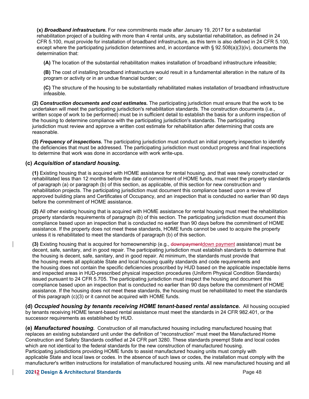**(x)** *Broadband infrastructure.* For new commitments made after January 19, 2017 for a substantial rehabilitation project of a building with more than 4 rental units, any substantial rehabilitation, as defined in 24 CFR 5.100, must provide for installation of broadband infrastructure, as this term is also defined in 24 CFR 5.100, except where the participating jurisdiction determines and, in accordance with § 92.508(a)(3)(iv), documents the determination that:

**(A)** The location of the substantial rehabilitation makes installation of broadband infrastructure infeasible;

**(B)** The cost of installing broadband infrastructure would result in a fundamental alteration in the nature of its program or activity or in an undue financial burden; or

**(C)** The structure of the housing to be substantially rehabilitated makes installation of broadband infrastructure infeasible.

**(2)** *Construction documents and cost estimates.* The participating jurisdiction must ensure that the work to be undertaken will meet the participating jurisdiction's rehabilitation standards. The construction documents (i.e., written scope of work to be performed) must be in sufficient detail to establish the basis for a uniform inspection of the housing to determine compliance with the participating jurisdiction's standards. The participating jurisdiction must review and approve a written cost estimate for rehabilitation after determining that costs are reasonable.

**(3)** *Frequency of inspections.* The participating jurisdiction must conduct an initial property inspection to identify the deficiencies that must be addressed. The participating jurisdiction must conduct progress and final inspections to determine that work was done in accordance with work write-ups.

## **(c)** *Acquisition of standard housing.*

**(1)** Existing housing that is acquired with HOME assistance for rental housing, and that was newly constructed or rehabilitated less than 12 months before the date of commitment of HOME funds, must meet the property standards of paragraph (a) or paragraph (b) of this section, as applicable, of this section for new construction and rehabilitation projects. The participating jurisdiction must document this compliance based upon a review of approved building plans and Certificates of Occupancy, and an inspection that is conducted no earlier than 90 days before the commitment of HOME assistance.

**(2)** All other existing housing that is acquired with HOME assistance for rental housing must meet the rehabilitation property standards requirements of paragraph (b) of this section. The participating jurisdiction must document this compliance based upon an inspection that is conducted no earlier than 90 days before the commitment of HOME assistance. If the property does not meet these standards, HOME funds cannot be used to acquire the property unless it is rehabilitated to meet the standards of paragraph (b) of this section.

**(3)** Existing housing that is acquired for homeownership (e.g., downpaymentdown payment assistance) must be decent, safe, sanitary, and in good repair. The participating jurisdiction must establish standards to determine that the housing is decent, safe, sanitary, and in good repair. At minimum, the standards must provide that the housing meets all applicable State and local housing quality standards and code requirements and the housing does not contain the specific deficiencies proscribed by HUD based on the applicable inspectable items and inspected areas in HUD-prescribed physical inspection procedures (Uniform Physical Condition Standards) issued pursuant to 24 CFR 5.705. The participating jurisdiction must inspect the housing and document this compliance based upon an inspection that is conducted no earlier than 90 days before the commitment of HOME assistance. If the housing does not meet these standards, the housing must be rehabilitated to meet the standards of this paragraph (c)(3) or it cannot be acquired with HOME funds.

**(d)** *Occupied housing by tenants receiving HOME tenant-based rental assistance.* All housing occupied by tenants receiving HOME tenant-based rental assistance must meet the standards in 24 CFR 982.401, or the successor requirements as established by HUD.

**(e)** *Manufactured housing.* Construction of all manufactured housing including manufactured housing that replaces an existing substandard unit under the definition of "reconstruction" must meet the Manufactured Home Construction and Safety Standards codified at 24 CFR part 3280. These standards preempt State and local codes which are not identical to the federal standards for the new construction of manufactured housing. Participating jurisdictions providing HOME funds to assist manufactured housing units must comply with applicable State and local laws or codes. In the absence of such laws or codes, the installation must comply with the manufacturer's written instructions for installation of manufactured housing units. All new manufactured housing and all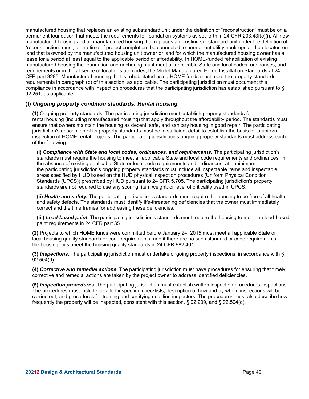manufactured housing that replaces an existing substandard unit under the definition of "reconstruction" must be on a permanent foundation that meets the requirements for foundation systems as set forth in 24 CFR 203.43f(c)(i). All new manufactured housing and all manufactured housing that replaces an existing substandard unit under the definition of "reconstruction" must, at the time of project completion, be connected to permanent utility hook-ups and be located on land that is owned by the manufactured housing unit owner or land for which the manufactured housing owner has a lease for a period at least equal to the applicable period of affordability. In HOME-funded rehabilitation of existing manufactured housing the foundation and anchoring must meet all applicable State and local codes, ordinances, and requirements or in the absence of local or state codes, the Model Manufactured Home Installation Standards at 24 CFR part 3285. Manufactured housing that is rehabilitated using HOME funds must meet the property standards requirements in paragraph (b) of this section, as applicable. The participating jurisdiction must document this compliance in accordance with inspection procedures that the participating jurisdiction has established pursuant to § 92.251, as applicable.

## **(f)** *Ongoing property condition standards: Rental housing.*

**(1)** Ongoing property standards. The participating jurisdiction must establish property standards for rental housing (including manufactured housing) that apply throughout the affordability period. The standards must ensure that owners maintain the housing as decent, safe, and sanitary housing in good repair. The participating jurisdiction's description of its property standards must be in sufficient detail to establish the basis for a uniform inspection of HOME rental projects. The participating jurisdiction's ongoing property standards must address each of the following:

**(i)** *Compliance with State and local codes, ordinances, and requirements.* The participating jurisdiction's standards must require the housing to meet all applicable State and local code requirements and ordinances. In the absence of existing applicable State or local code requirements and ordinances, at a minimum, the participating jurisdiction's ongoing property standards must include all inspectable items and inspectable areas specified by HUD based on the HUD physical inspection procedures (Uniform Physical Condition Standards (UPCS)) prescribed by HUD pursuant to 24 CFR 5.705. The participating jurisdiction's property standards are not required to use any scoring, item weight, or level of criticality used in UPCS.

**(ii)** *Health and safety.* The participating jurisdiction's standards must require the housing to be free of all health and safety defects. The standards must identify life-threatening deficiencies that the owner must immediately correct and the time frames for addressing these deficiencies.

**(iii)** *Lead-based paint.* The participating jurisdiction's standards must require the housing to meet the lead-based paint requirements in 24 CFR part 35.

**(2)** Projects to which HOME funds were committed before January 24, 2015 must meet all applicable State or local housing quality standards or code requirements, and if there are no such standard or code requirements, the housing must meet the housing quality standards in 24 CFR 982.401.

**(3)** *Inspections.* The participating jurisdiction must undertake ongoing property inspections, in accordance with § 92.504(d).

**(4)** *Corrective and remedial actions.* The participating jurisdiction must have procedures for ensuring that timely corrective and remedial actions are taken by the project owner to address identified deficiencies.

**(5)** *Inspection procedures.* The participating jurisdiction must establish written inspection procedures inspections. The procedures must include detailed inspection checklists, description of how and by whom inspections will be carried out, and procedures for training and certifying qualified inspectors. The procedures must also describe how frequently the property will be inspected, consistent with this section, § 92.209, and § 92.504(d).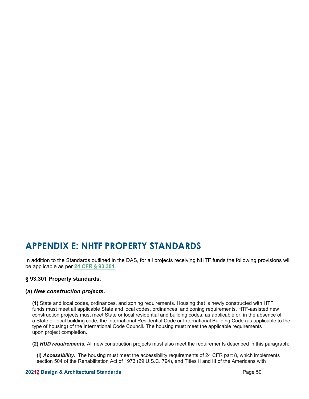# **APPENDIX E: NHTF PROPERTY STANDARDS**

In addition to the Standards outlined in the DAS, for all projects receiving NHTF funds the following provisions will be applicable as per **24 CFR § 93.301**.

## **§ 93.301 Property standards.**

## **(a)** *New construction projects.*

**(1)** State and local codes, ordinances, and zoning requirements. Housing that is newly constructed with HTF funds must meet all applicable State and local codes, ordinances, and zoning requirements. HTF-assisted new construction projects must meet State or local residential and building codes, as applicable or, in the absence of a State or local building code, the International Residential Code or International Building Code (as applicable to the type of housing) of the International Code Council. The housing must meet the applicable requirements upon project completion.

**(2)** *HUD requirements.* All new construction projects must also meet the requirements described in this paragraph:

**(i)** *Accessibility.* The housing must meet the accessibility requirements of 24 CFR part 8, which implements section 504 of the Rehabilitation Act of 1973 (29 U.S.C. 794), and Titles II and III of the Americans with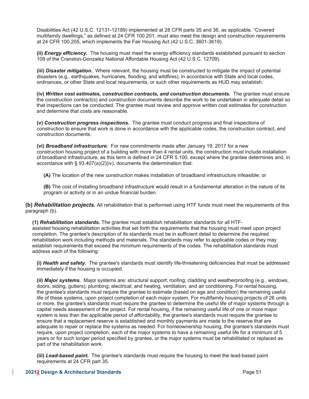Disabilities Act (42 U.S.C. 12131-12189) implemented at 28 CFR parts 35 and 36, as applicable. "Covered multifamily dwellings," as defined at 24 CFR 100.201, must also meet the design and construction requirements at 24 CFR 100.205, which implements the Fair Housing Act (42 U.S.C. 3601-3619).

**(ii)** *Energy efficiency.*The housing must meet the energy efficiency standards established pursuant to section 109 of the Cranston-Gonzalez National Affordable Housing Act (42 U.S.C. 12709).

**(iii)** *Disaster mitigation.* Where relevant, the housing must be constructed to mitigate the impact of potential disasters (e.g., earthquakes, hurricanes, flooding, and wildfires), in accordance with State and local codes, ordinances, or other State and local requirements, or such other requirements as HUD may establish.

**(iv)** *Written cost estimates, construction contracts, and construction documents.* The grantee must ensure the construction contract(s) and construction documents describe the work to be undertaken in adequate detail so that inspections can be conducted. The grantee must review and approve written cost estimates for construction and determine that costs are reasonable.

**(v)** *Construction progress inspections.* The grantee must conduct progress and final inspections of construction to ensure that work is done in accordance with the applicable codes, the construction contract, and construction documents.

**(vi)** *Broadband infrastructure.* For new commitments made after January 19, 2017 for a new construction housing project of a building with more than 4 rental units, the construction must include installation of broadband infrastructure, as this term is defined in 24 CFR 5.100, except where the grantee determines and, in accordance with § 93.407(a)(2)(iv), documents the determination that:

**(A)** The location of the new construction makes installation of broadband infrastructure infeasible; or

**(B)** The cost of installing broadband infrastructure would result in a fundamental alteration in the nature of its program or activity or in an undue financial burden.

**(b)** *Rehabilitation projects.* All rehabilitation that is performed using HTF funds must meet the requirements of this paragraph (b).

**(1)** *Rehabilitation standards.* The grantee must establish rehabilitation standards for all HTFassisted housing rehabilitation activities that set forth the requirements that the housing must meet upon project completion. The grantee's description of its standards must be in sufficient detail to determine the required rehabilitation work including methods and materials. The standards may refer to applicable codes or they may establish requirements that exceed the minimum requirements of the codes. The rehabilitation standards must address each of the following:

**(i)** *Health and safety.* The grantee's standards must identify life-threatening deficiencies that must be addressed immediately if the housing is occupied.

**(ii)** *Major systems.* Major systems are: structural support; roofing; cladding and weatherproofing (e.g., windows, doors, siding, gutters); plumbing; electrical; and heating, ventilation, and air conditioning. For rental housing, the grantee's standards must require the grantee to estimate (based on age and condition) the remaining useful life of these systems, upon project completion of each major system. For multifamily housing projects of 26 units or more, the grantee's standards must require the grantee to determine the useful life of major systems through a capital needs assessment of the project. For rental housing, if the remaining useful life of one or more major system is less than the applicable period of affordability, the grantee's standards must require the grantee to ensure that a replacement reserve is established and monthly payments are made to the reserve that are adequate to repair or replace the systems as needed. For homeownership housing, the grantee's standards must require, upon project completion, each of the major systems to have a remaining useful life for a minimum of 5 years or for such longer period specified by grantee, or the major systems must be rehabilitated or replaced as part of the rehabilitation work.

**(iii)** *Lead-based paint.*The grantee's standards must require the housing to meet the lead-based paint requirements at 24 CFR part 35.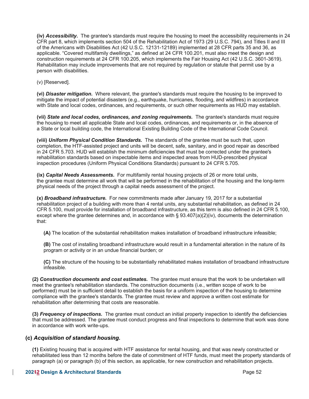**(iv)** *Accessibility.* The grantee's standards must require the housing to meet the accessibility requirements in 24 CFR part 8, which implements section 504 of the Rehabilitation Act of 1973 (29 U.S.C. 794), and Titles II and III of the Americans with Disabilities Act (42 U.S.C. 12131-12189) implemented at 28 CFR parts 35 and 36, as applicable. "Covered multifamily dwellings," as defined at 24 CFR 100.201, must also meet the design and construction requirements at 24 CFR 100.205, which implements the Fair Housing Act (42 U.S.C. 3601-3619). Rehabilitation may include improvements that are not required by regulation or statute that permit use by a person with disabilities.

#### (v) [Reserved].

**(vi)** *Disaster mitigation.* Where relevant, the grantee's standards must require the housing to be improved to mitigate the impact of potential disasters (e.g., earthquake, hurricanes, flooding, and wildfires) in accordance with State and local codes, ordinances, and requirements, or such other requirements as HUD may establish.

**(vii)** *State and local codes, ordinances, and zoning requirements.*The grantee's standards must require the housing to meet all applicable State and local codes, ordinances, and requirements or, in the absence of a State or local building code, the International Existing Building Code of the International Code Council.

**(viii)** *Uniform Physical Condition Standards.* The standards of the grantee must be such that, upon completion, the HTF-assisted project and units will be decent, safe, sanitary, and in good repair as described in 24 CFR 5.703. HUD will establish the minimum deficiencies that must be corrected under the grantee's rehabilitation standards based on inspectable items and inspected areas from HUD-prescribed physical inspection procedures (Uniform Physical Conditions Standards) pursuant to 24 CFR 5.705.

**(ix)** *Capital Needs Assessments.* For multifamily rental housing projects of 26 or more total units, the grantee must determine all work that will be performed in the rehabilitation of the housing and the long-term physical needs of the project through a capital needs assessment of the project.

**(x)** *Broadband infrastructure.* For new commitments made after January 19, 2017 for a substantial rehabilitation project of a building with more than 4 rental units, any substantial rehabilitation, as defined in 24 CFR 5.100, must provide for installation of broadband infrastructure, as this term is also defined in 24 CFR 5.100, except where the grantee determines and, in accordance with § 93.407(a)(2)(iv), documents the determination that:

**(A)** The location of the substantial rehabilitation makes installation of broadband infrastructure infeasible;

**(B)** The cost of installing broadband infrastructure would result in a fundamental alteration in the nature of its program or activity or in an undue financial burden; or

**(C)** The structure of the housing to be substantially rehabilitated makes installation of broadband infrastructure infeasible.

**(2)** *Construction documents and cost estimates.* The grantee must ensure that the work to be undertaken will meet the grantee's rehabilitation standards. The construction documents (i.e., written scope of work to be performed) must be in sufficient detail to establish the basis for a uniform inspection of the housing to determine compliance with the grantee's standards. The grantee must review and approve a written cost estimate for rehabilitation after determining that costs are reasonable.

**(3)** *Frequency of inspections.* The grantee must conduct an initial property inspection to identify the deficiencies that must be addressed. The grantee must conduct progress and final inspections to determine that work was done in accordance with work write-ups.

## **(c)** *Acquisition of standard housing.*

**(1)** Existing housing that is acquired with HTF assistance for rental housing, and that was newly constructed or rehabilitated less than 12 months before the date of commitment of HTF funds, must meet the property standards of paragraph (a) or paragraph (b) of this section, as applicable, for new construction and rehabilitation projects.

#### **20212 Design & Architectural Standards** Page 52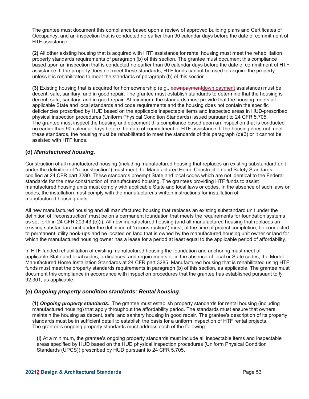The grantee must document this compliance based upon a review of approved building plans and Certificates of Occupancy, and an inspection that is conducted no earlier than 90 calendar days before the date of commitment of HTF assistance.

**(2)** All other existing housing that is acquired with HTF assistance for rental housing must meet the rehabilitation property standards requirements of paragraph (b) of this section. The grantee must document this compliance based upon an inspection that is conducted no earlier than 90 calendar days before the date of commitment of HTF assistance. If the property does not meet these standards, HTF funds cannot be used to acquire the property unless it is rehabilitated to meet the standards of paragraph (b) of this section.

(3) Existing housing that is acquired for homeownership (e.g., downpaymentdown payment assistance) must be decent, safe, sanitary, and in good repair. The grantee must establish standards to determine that the housing is decent, safe, sanitary, and in good repair. At minimum, the standards must provide that the housing meets all applicable State and local standards and code requirements and the housing does not contain the specific deficiencies proscribed by HUD based on the applicable inspectable items and inspected areas in HUD-prescribed physical inspection procedures (Uniform Physical Condition Standards) issued pursuant to 24 CFR 5.705. The grantee must inspect the housing and document this compliance based upon an inspection that is conducted no earlier than 90 calendar days before the date of commitment of HTF assistance. If the housing does not meet these standards, the housing must be rehabilitated to meet the standards of this paragraph (c)(3) or it cannot be assisted with HTF funds.

## **(d)** *Manufactured housing.*

Construction of all manufactured housing (including manufactured housing that replaces an existing substandard unit under the definition of "reconstruction") must meet the Manufactured Home Construction and Safety Standards codified at 24 CFR part 3280. These standards preempt State and local codes which are not identical to the Federal standards for the new construction of manufactured housing. The grantees providing HTF funds to assist manufactured housing units must comply with applicable State and local laws or codes. In the absence of such laws or codes, the installation must comply with the manufacturer's written instructions for installation of manufactured housing units.

All new manufactured housing and all manufactured housing that replaces an existing substandard unit under the definition of "reconstruction" must be on a permanent foundation that meets the requirements for foundation systems as set forth in 24 CFR 203.43f(c)(i). All new manufactured housing (and all manufactured housing that replaces an existing substandard unit under the definition of "reconstruction") must, at the time of project completion, be connected to permanent utility hook-ups and be located on land that is owned by the manufactured housing unit owner or land for which the manufactured housing owner has a lease for a period at least equal to the applicable period of affordability.

In HTF-funded rehabilitation of existing manufactured housing the foundation and anchoring must meet all applicable State and local codes, ordinances, and requirements or in the absence of local or State codes, the Model Manufactured Home Installation Standards at 24 CFR part 3285. Manufactured housing that is rehabilitated using HTF funds must meet the property standards requirements in paragraph (b) of this section, as applicable. The grantee must document this compliance in accordance with inspection procedures that the grantee has established pursuant to § 92.301, as applicable.

## **(e)** *Ongoing property condition standards: Rental housing.*

**(1)** *Ongoing property standards.* The grantee must establish property standards for rental housing (including manufactured housing) that apply throughout the affordability period. The standards must ensure that owners maintain the housing as decent, safe, and sanitary housing in good repair. The grantee's description of its property standards must be in sufficient detail to establish the basis for a uniform inspection of HTF rental projects. The grantee's ongoing property standards must address each of the following:

**(i)** At a minimum, the grantee's ongoing property standards must include all inspectable items and inspectable areas specified by HUD based on the HUD physical inspection procedures (Uniform Physical Condition Standards (UPCS)) prescribed by HUD pursuant to 24 CFR 5.705.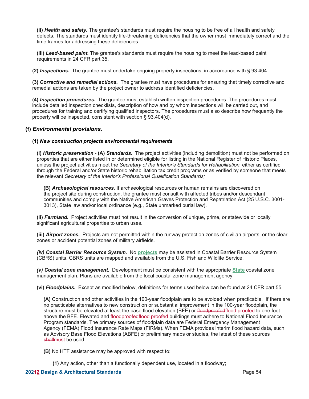**(ii)** *Health and safety.* The grantee's standards must require the housing to be free of all health and safety defects. The standards must identify life-threatening deficiencies that the owner must immediately correct and the time frames for addressing these deficiencies.

**(iii)** *Lead-based paint.* The grantee's standards must require the housing to meet the lead-based paint requirements in 24 CFR part 35.

**(2)** *Inspections.* The grantee must undertake ongoing property inspections, in accordance with § 93.404.

**(3)** *Corrective and remedial actions.*The grantee must have procedures for ensuring that timely corrective and remedial actions are taken by the project owner to address identified deficiencies.

**(4)** *Inspection procedures.* The grantee must establish written inspection procedures. The procedures must include detailed inspection checklists, description of how and by whom inspections will be carried out, and procedures for training and certifying qualified inspectors. The procedures must also describe how frequently the property will be inspected, consistent with section § 93.404(d).

## **(f)** *Environmental provisions.*

#### **(1)** *New construction projects environmental requirements*

**(i)** *Historic preservation* - **(A)** *Standards.*The project activities (including demolition) must not be performed on properties that are either listed in or determined eligible for listing in the National Register of Historic Places, unless the project activities meet the *Secretary of the Interior's Standards for Rehabilitation,* either as certified through the Federal and/or State historic rehabilitation tax credit programs or as verified by someone that meets the relevant *Secretary of the Interior's Professional Qualification Standards;*

**(B)** *Archaeological resources.* If archaeological resources or human remains are discovered on the project site during construction, the grantee must consult with affected tribes and/or descendant communities and comply with the Native American Graves Protection and Repatriation Act (25 U.S.C. 3001- 3013), State law and/or local ordinance (e.g., State unmarked burial law).

**(ii)** *Farmland.* Project activities must not result in the conversion of unique, prime, or statewide or locally significant agricultural properties to urban uses.

**(iii)** *Airport zones.* Projects are not permitted within the runway protection zones of civilian airports, or the clear zones or accident potential zones of military airfields.

*(iv) Coastal Barrier Resource System.* No **projects** may be assisted in Coastal Barrier Resource System (CBRS) units. CBRS units are mapped and available from the U.S. Fish and Wildlife Service.

*(v) Coastal zone management.* Development must be consistent with the appropriate **State** coastal zone management plan. Plans are available from the local coastal zone management agency.

**(vi)** *Floodplains.* Except as modified below, definitions for terms used below can be found at 24 CFR part 55.

**(A)** Construction and other activities in the 100-year floodplain are to be avoided when practicable. If there are no practicable alternatives to new construction or substantial improvement in the 100-year floodplain, the structure must be elevated at least the base flood elevation (BFE) or floodproofedflood proofed to one foot above the BFE. Elevated and floodproofedflood proofed buildings must adhere to National Flood Insurance Program standards. The primary sources of floodplain data are Federal Emergency Management Agency (FEMA) Flood Insurance Rate Maps (FIRMs). When FEMA provides interim flood hazard data, such as Advisory Base Flood Elevations (ABFE) or preliminary maps or studies, the latest of these sources shallmust be used.

**(B)** No HTF assistance may be approved with respect to:

**(1)** Any action, other than a functionally dependent use, located in a floodway;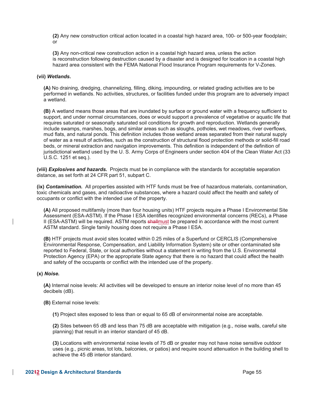**(2)** Any new construction critical action located in a coastal high hazard area, 100- or 500-year floodplain; or

**(3)** Any non-critical new construction action in a coastal high hazard area, unless the action is reconstruction following destruction caused by a disaster and is designed for location in a coastal high hazard area consistent with the FEMA National Flood Insurance Program requirements for V-Zones.

#### **(vii)** *Wetlands.*

**(A)** No draining, dredging, channelizing, filling, diking, impounding, or related grading activities are to be performed in wetlands. No activities, structures, or facilities funded under this program are to adversely impact a wetland.

**(B)** A wetland means those areas that are inundated by surface or ground water with a frequency sufficient to support, and under normal circumstances, does or would support a prevalence of vegetative or aquatic life that requires saturated or seasonally saturated soil conditions for growth and reproduction. Wetlands generally include swamps, marshes, bogs, and similar areas such as sloughs, potholes, wet meadows, river overflows, mud flats, and natural ponds. This definition includes those wetland areas separated from their natural supply of water as a result of activities, such as the construction of structural flood protection methods or solid-fill road beds, or mineral extraction and navigation improvements. This definition is independent of the definition of jurisdictional wetland used by the U. S. Army Corps of Engineers under section 404 of the Clean Water Act (33 U.S.C. 1251 et seq.).

**(viii)** *Explosives and hazards.* Projects must be in compliance with the standards for acceptable separation distance, as set forth at 24 CFR part 51, subpart C.

**(ix)** *Contamination.* All properties assisted with HTF funds must be free of hazardous materials, contamination, toxic chemicals and gases, and radioactive substances, where a hazard could affect the health and safety of occupants or conflict with the intended use of the property.

**(A)** All proposed multifamily (more than four housing units) HTF projects require a Phase I Environmental Site Assessment (ESA-ASTM). If the Phase I ESA identifies recognized environmental concerns (RECs), a Phase II (ESA-ASTM) will be required. ASTM reports shallmust be prepared in accordance with the most current ASTM standard. Single family housing does not require a Phase I ESA.

**(B)** HTF projects must avoid sites located within 0.25 miles of a Superfund or CERCLIS (Comprehensive Environmental Response, Compensation, and Liability Information System) site or other contaminated site reported to Federal, State, or local authorities without a statement in writing from the U.S. Environmental Protection Agency (EPA) or the appropriate State agency that there is no hazard that could affect the health and safety of the occupants or conflict with the intended use of the property.

#### **(x)** *Noise.*

**(A)** Internal noise levels: All activities will be developed to ensure an interior noise level of no more than 45 decibels (dB).

**(B)** External noise levels:

**(1)** Project sites exposed to less than or equal to 65 dB of environmental noise are acceptable.

**(2)** Sites between 65 dB and less than 75 dB are acceptable with mitigation (e.g., noise walls, careful site planning) that result in an interior standard of 45 dB.

**(3)** Locations with environmental noise levels of 75 dB or greater may not have noise sensitive outdoor uses (e.g., picnic areas, tot lots, balconies, or patios) and require sound attenuation in the building shell to achieve the 45 dB interior standard.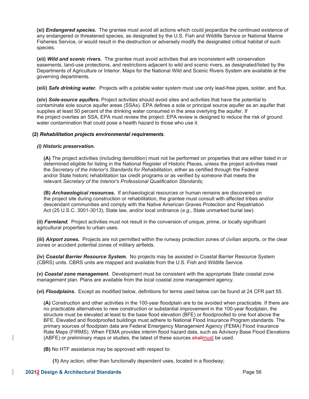**(xi)** *Endangered species.* The grantee must avoid all actions which could jeopardize the continued existence of any endangered or threatened species, as designated by the U.S. Fish and Wildlife Service or National Marine Fisheries Service, or would result in the destruction or adversely modify the designated critical habitat of such species.

**(xii)** *Wild and scenic rivers.* The grantee must avoid activities that are inconsistent with conservation easements, land-use protections, and restrictions adjacent to wild and scenic rivers, as designated/listed by the Departments of Agriculture or Interior. Maps for the National Wild and Scenic Rivers System are available at the governing departments.

**(xiii)** *Safe drinking water.* Projects with a potable water system must use only lead-free pipes, solder, and flux.

**(xiv)** *Sole-source aquifers.* Project activities should avoid sites and activities that have the potential to contaminate sole source aquifer areas (SSAs). EPA defines a sole or principal source aquifer as an aquifer that supplies at least 50 percent of the drinking water consumed in the area overlying the aquifer. If the project overlies an SSA, EPA must review the project. EPA review is designed to reduce the risk of ground water contamination that could pose a health hazard to those who use it.

## **(2)** *Rehabilitation projects environmental requirements*.

#### *(i) Historic preservation.*

**(A)** The project activities (including demolition) must not be performed on properties that are either listed in or determined eligible for listing in the National Register of Historic Places, unless the project activities meet the *Secretary of the Interior's Standards for Rehabilitation,* either as certified through the Federal and/or State historic rehabilitation tax credit programs or as verified by someone that meets the relevant *Secretary of the Interior's Professional Qualification Standards;*

**(B)** *Archaeological resources.* If archaeological resources or human remains are discovered on the project site during construction or rehabilitation, the grantee must consult with affected tribes and/or descendant communities and comply with the Native American Graves Protection and Repatriation Act (25 U.S.C. 3001-3013), State law, and/or local ordinance (*e.g.,* State unmarked burial law).

**(ii)** *Farmland.* Project activities must not result in the conversion of unique, prime, or locally significant agricultural properties to urban uses.

**(iii)** *Airport zones.* Projects are not permitted within the runway protection zones of civilian airports, or the clear zones or accident potential zones of military airfields.

**(iv)** *Coastal Barrier Resource System.* No projects may be assisted in Coastal Barrier Resource System (CBRS) units. CBRS units are mapped and available from the U.S. Fish and Wildlife Service.

**(v)** *Coastal zone management.* Development must be consistent with the appropriate State coastal zone management plan. Plans are available from the local coastal zone management agency.

**(vi)** *Floodplains.* Except as modified below, definitions for terms used below can be found at 24 CFR part 55.

**(A)** Construction and other activities in the 100-year floodplain are to be avoided when practicable. If there are no practicable alternatives to new construction or substantial improvement in the 100-year floodplain, the structure must be elevated at least to the base flood elevation (BFE) or floodproofed to one foot above the BFE. Elevated and floodproofed buildings must adhere to National Flood Insurance Program standards. The primary sources of floodplain data are Federal Emergency Management Agency (FEMA) Flood Insurance Rate Maps (FIRMS). When FEMA provides interim flood hazard data, such as Advisory Base Flood Elevations (ABFE) or preliminary maps or studies, the latest of these sources shallmust be used.

**(B)** No HTF assistance may be approved with respect to:

**(1)** Any action, other than functionally dependent uses, located in a floodway;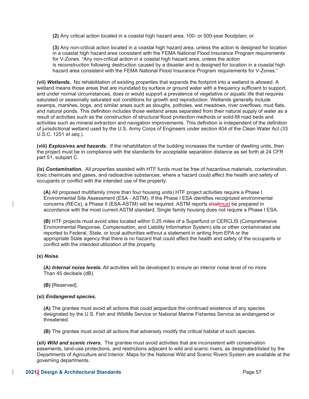**(2)** Any critical action located in a coastal high hazard area, 100- or 500-year floodplain; or

**(3)** Any non-critical action located in a coastal high hazard area, unless the action is designed for location in a coastal high hazard area consistent with the FEMA National Flood Insurance Program requirements for V-Zones. "Any non-critical action in a coastal high hazard area, unless the action is reconstruction following destruction caused by a disaster and is designed for location in a coastal high hazard area consistent with the FEMA National Flood Insurance Program requirements for V-Zones."

**(vii)** *Wetlands.* No rehabilitation of existing properties that expands the footprint into a wetland is allowed. A wetland means those areas that are inundated by surface or ground water with a frequency sufficient to support, and under normal circumstances, does or would support a prevalence of vegetative or aquatic life that requires saturated or seasonally saturated soil conditions for growth and reproduction. Wetlands generally include swamps, marshes, bogs, and similar areas such as sloughs, potholes, wet meadows, river overflows, mud flats, and natural ponds. This definition includes those wetland areas separated from their natural supply of water as a result of activities such as the construction of structural flood protection methods or solid-fill road beds and activities such as mineral extraction and navigation improvements. This definition is independent of the definition of jurisdictional wetland used by the U.S. Army Corps of Engineers under section 404 of the Clean Water Act (33 U.S.C. 1251 *et seq.*).

**(viii)** *Explosives and hazards.* If the rehabilitation of the building increases the number of dwelling units, then the project must be in compliance with the standards for acceptable separation distance as set forth at 24 CFR part 51, subpart C.

**(ix)** *Contamination.* All properties assisted with HTF funds must be free of hazardous materials, contamination, toxic chemicals and gases, and radioactive substances, where a hazard could affect the health and safety of occupants or conflict with the intended use of the property:

**(A)** All proposed multifamily (more than four housing units) HTF project activities require a Phase I Environmental Site Assessment (ESA - ASTM). If the Phase I ESA identifies recognized environmental concerns (RECs), a Phase II (ESA-ASTM) will be required. ASTM reports shall must be prepared in accordance with the most current ASTM standard. Single family housing does not require a Phase I ESA.

**(B)** HTF projects must avoid sites located within 0.25 miles of a Superfund or CERCLIS (Comprehensive Environmental Response, Compensation, and Liability Information System) site or other contaminated site reported to Federal, State, or local authorities without a statement in writing from EPA or the appropriate State agency that there is no hazard that could affect the health and safety of the occupants or conflict with the intended utilization of the property.

## **(x)** *Noise*.

**(A)** *Internal noise levels.* All activities will be developed to ensure an interior noise level of no more Than 45 decibels (dB).

**(B)** [Reserved].

## **(xi)** *Endangered species.*

**(A)** The grantee must avoid all actions that could jeopardize the continued existence of any species designated by the U.S. Fish and Wildlife Service or National Marine Fisheries Service as endangered or threatened.

**(B)** The grantee must avoid all actions that adversely modify the critical habitat of such species.

**(xii)** *Wild and scenic rivers.* The grantee must avoid activities that are inconsistent with conservation easements, land-use protections, and restrictions adjacent to wild and scenic rivers, as designated/listed by the Departments of Agriculture and Interior. Maps for the National Wild and Scenic Rivers System are available at the governing departments.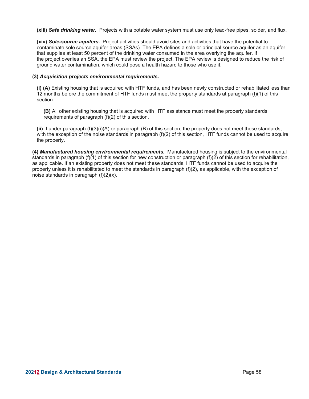**(xiii)** *Safe drinking water.* Projects with a potable water system must use only lead-free pipes, solder, and flux.

**(xiv)** *Sole-source aquifers.* Project activities should avoid sites and activities that have the potential to contaminate sole source aquifer areas (SSAs). The EPA defines a sole or principal source aquifer as an aquifer that supplies at least 50 percent of the drinking water consumed in the area overlying the aquifer. If the project overlies an SSA, the EPA must review the project. The EPA review is designed to reduce the risk of ground water contamination, which could pose a health hazard to those who use it.

#### **(3)** *Acquisition projects environmental requirements.*

**(i) (A)** Existing housing that is acquired with HTF funds, and has been newly constructed or rehabilitated less than 12 months before the commitment of HTF funds must meet the property standards at paragraph (f)(1) of this section.

**(B)** All other existing housing that is acquired with HTF assistance must meet the property standards requirements of paragraph (f)(2) of this section.

**(ii)** If under paragraph (f)(3)(i)(A) or paragraph (B) of this section, the property does not meet these standards, with the exception of the noise standards in paragraph (f)(2) of this section, HTF funds cannot be used to acquire the property.

**(4)** *Manufactured housing environmental requirements.* Manufactured housing is subject to the environmental standards in paragraph (f)(1) of this section for new construction or paragraph (f)(2) of this section for rehabilitation, as applicable. If an existing property does not meet these standards, HTF funds cannot be used to acquire the property unless it is rehabilitated to meet the standards in paragraph (f)(2), as applicable, with the exception of noise standards in paragraph (f)(2)(x).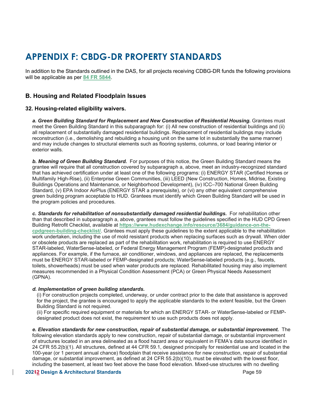# **APPENDIX F: CBDG-DR PROPERTY STANDARDS**

In addition to the Standards outlined in the DAS, for all projects receiving CDBG-DR funds the following provisions will be applicable as per **84 FR 5844**.

# **B. Housing and Related Floodplain Issues**

## **32. Housing-related eligibility waivers.**

*a. Green Building Standard for Replacement and New Construction of Residential Housing.* Grantees must meet the Green Building Standard in this subparagraph for: (i) All new construction of residential buildings and (ii) all replacement of substantially damaged residential buildings. Replacement of residential buildings may include reconstruction (i.e., demolishing and rebuilding a housing unit on the same lot in substantially the same manner) and may include changes to structural elements such as flooring systems, columns, or load bearing interior or exterior walls.

*b. Meaning of Green Building Standard.* For purposes of this notice, the Green Building Standard means the grantee will require that all construction covered by subparagraph a, above, meet an industry-recognized standard that has achieved certification under at least one of the following programs: (i) ENERGY STAR (Certified Homes or Multifamily High-Rise), (ii) Enterprise Green Communities, (iii) LEED (New Construction, Homes, Midrise, Existing Buildings Operations and Maintenance, or Neighborhood Development), (iv) ICC–700 National Green Building Standard, (v) EPA Indoor AirPlus (ENERGY STAR a prerequisite), or (vi) any other equivalent comprehensive green building program acceptable to HUD. Grantees must identify which Green Building Standard will be used in the program policies and procedures.

*c. Standards for rehabilitation of nonsubstantially damaged residential buildings.* For rehabilitation other than that described in subparagraph a, above, grantees must follow the guidelines specified in the HUD CPD Green Building Retrofit Checklist, available at **https://www.hudexchange.info/resource/3684/guidance-on-thecpdgreen-building-checklist/**. Grantees must apply these guidelines to the extent applicable to the rehabilitation work undertaken, including the use of mold resistant products when replacing surfaces such as drywall. When older or obsolete products are replaced as part of the rehabilitation work, rehabilitation is required to use ENERGY STAR-labeled, WaterSense-labeled, or Federal Energy Management Program (FEMP)-designated products and appliances. For example, if the furnace, air conditioner, windows, and appliances are replaced, the replacements must be ENERGY STAR-labeled or FEMP-designated products; WaterSense-labeled products (e.g., faucets, toilets, showerheads) must be used when water products are replaced. Rehabilitated housing may also implement measures recommended in a Physical Condition Assessment (PCA) or Green Physical Needs Assessment (GPNA).

#### *d. Implementation of green building standards.*

(i) For construction projects completed, underway, or under contract prior to the date that assistance is approved for the project, the grantee is encouraged to apply the applicable standards to the extent feasible, but the Green Building Standard is not required.

(ii) For specific required equipment or materials for which an ENERGY STAR- or WaterSense-labeled or FEMPdesignated product does not exist, the requirement to use such products does not apply.

*e. Elevation standards for new construction, repair of substantial damage, or substantial improvement.* The following elevation standards apply to new construction, repair of substantial damage, or substantial improvement of structures located in an area delineated as a flood hazard area or equivalent in FEMA's data source identified in 24 CFR 55.2(b)(1). All structures, defined at 44 CFR 59.1, designed principally for residential use and located in the 100-year (or 1 percent annual chance) floodplain that receive assistance for new construction, repair of substantial damage, or substantial improvement, as defined at 24 CFR 55.2(b)(10), must be elevated with the lowest floor, including the basement, at least two feet above the base flood elevation. Mixed-use structures with no dwelling